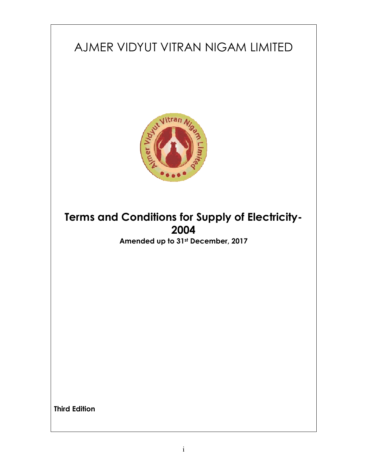# AJMER VIDYUT VITRAN NIGAM LIMITED



# **Terms and Conditions for Supply of Electricity-2004**

**Amended up to 31st December, 2017**

**Third Edition**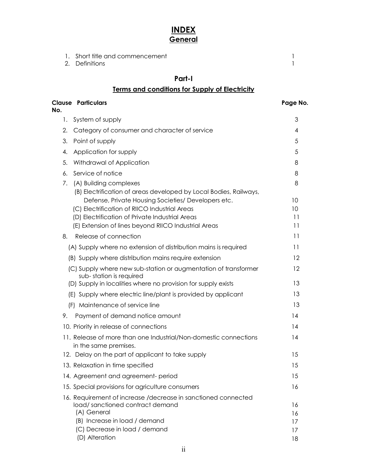# **INDEX General**

| 1. Short title and commencement |  |
|---------------------------------|--|
| 2. Definitions                  |  |

# **Part-I**

# **Terms and conditions for Supply of Electricity**

| No. | <b>Clause Particulars</b>                                                                                       | Page No. |
|-----|-----------------------------------------------------------------------------------------------------------------|----------|
| 1.  | System of supply                                                                                                | 3        |
| 2.  | Category of consumer and character of service                                                                   | 4        |
| 3.  | Point of supply                                                                                                 | 5        |
| 4.  | Application for supply                                                                                          | 5        |
| 5.  | Withdrawal of Application                                                                                       | 8        |
| 6.  | Service of notice                                                                                               | 8        |
| 7.  | (A) Building complexes<br>(B) Electrification of areas developed by Local Bodies, Railways,                     | 8        |
|     | Defense, Private Housing Societies/ Developers etc.<br>(C) Electrification of RIICO Industrial Areas            | 10<br>10 |
|     | (D) Electrification of Private Industrial Areas                                                                 | 11       |
|     | (E) Extension of lines beyond RIICO Industrial Areas                                                            | 11       |
| 8.  | Release of connection                                                                                           | 11       |
|     | (A) Supply where no extension of distribution mains is required                                                 | 11       |
|     | (B) Supply where distribution mains require extension                                                           | 12       |
|     | (C) Supply where new sub-station or augmentation of transformer<br>sub-station is required                      | 12       |
|     | (D) Supply in localities where no provision for supply exists                                                   | 13       |
|     | (E) Supply where electric line/plant is provided by applicant                                                   | 13       |
|     | (F) Maintenance of service line                                                                                 | 13       |
| 9.  | Payment of demand notice amount                                                                                 | 14       |
|     | 10. Priority in release of connections                                                                          | 14       |
|     | 11. Release of more than one Industrial/Non-domestic connections<br>in the same premises.                       | 14       |
|     | 12. Delay on the part of applicant to take supply                                                               | 15       |
|     | 13. Relaxation in time specified                                                                                | 15       |
|     | 14. Agreement and agreement- period                                                                             | 15       |
|     | 15. Special provisions for agriculture consumers                                                                | 16       |
|     | 16. Requirement of increase /decrease in sanctioned connected<br>load/sanctioned contract demand<br>(A) General | 16<br>16 |
|     | (B) Increase in load / demand                                                                                   | 17       |
|     | (C) Decrease in load / demand                                                                                   | 17       |
|     | (D) Alteration                                                                                                  | 18       |

ii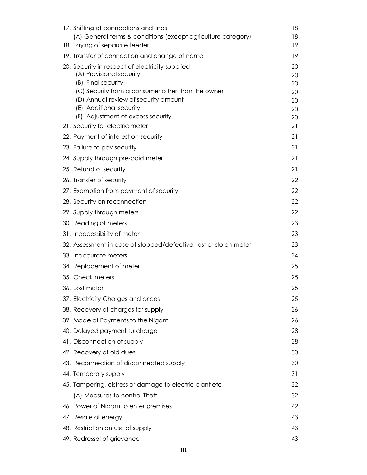| 17. Shifting of connections and lines                                                         | 18       |
|-----------------------------------------------------------------------------------------------|----------|
| (A) General terms & conditions (except agriculture category)<br>18. Laying of separate feeder | 18<br>19 |
| 19. Transfer of connection and change of name                                                 | 19       |
| 20. Security in respect of electricity supplied                                               | 20       |
| (A) Provisional security                                                                      | 20       |
| (B) Final security                                                                            | 20       |
| (C) Security from a consumer other than the owner                                             | 20       |
| (D) Annual review of security amount<br>(E) Additional security                               | 20<br>20 |
| (F) Adjustment of excess security                                                             | 20       |
| 21. Security for electric meter                                                               | 21       |
| 22. Payment of interest on security                                                           | 21       |
| 23. Failure to pay security                                                                   | 21       |
| 24. Supply through pre-paid meter                                                             | 21       |
| 25. Refund of security                                                                        | 21       |
| 26. Transfer of security                                                                      | 22       |
| 27. Exemption from payment of security                                                        | 22       |
| 28. Security on reconnection                                                                  | 22       |
| 29. Supply through meters                                                                     | 22       |
| 30. Reading of meters                                                                         | 23       |
| 31. Inaccessibility of meter                                                                  | 23       |
| 32. Assessment in case of stopped/defective, lost or stolen meter                             | 23       |
| 33. Inaccurate meters                                                                         | 24       |
| 34. Replacement of meter                                                                      | 25       |
| 35. Check meters                                                                              | 25       |
| 36. Lost meter                                                                                | 25       |
| 37. Electricity Charges and prices                                                            | 25       |
| 38. Recovery of charges for supply                                                            | 26       |
| 39. Mode of Payments to the Nigam                                                             | 26       |
| 40. Delayed payment surcharge                                                                 | 28       |
| 41. Disconnection of supply                                                                   | 28       |
| 42. Recovery of old dues                                                                      | 30       |
| 43. Reconnection of disconnected supply                                                       | 30       |
| 44. Temporary supply                                                                          | 31       |
| 45. Tampering, distress or damage to electric plant etc                                       | 32       |
| (A) Measures to control Theft                                                                 | 32       |
| 46. Power of Nigam to enter premises                                                          | 42       |
| 47. Resale of energy                                                                          | 43       |
| 48. Restriction on use of supply                                                              | 43       |
| 49. Redressal of grievance                                                                    | 43       |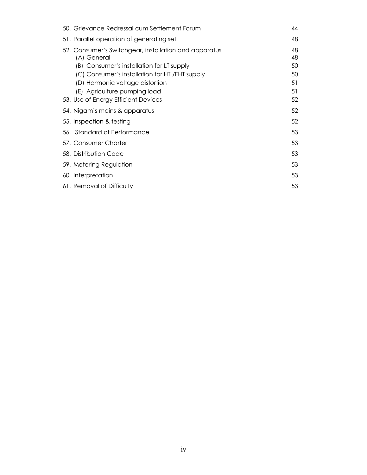| 50. Grievance Redressal cum Settlement Forum                                                 | 44       |
|----------------------------------------------------------------------------------------------|----------|
| 51. Parallel operation of generating set                                                     | 48       |
| 52. Consumer's Switchgear, installation and apparatus<br>(A) General                         | 48<br>48 |
| (B) Consumer's installation for LT supply<br>(C) Consumer's installation for HT / EHT supply | 50<br>50 |
| (D) Harmonic voltage distortion                                                              | 51       |
| (E) Agriculture pumping load                                                                 | 51       |
| 53. Use of Energy Efficient Devices                                                          | 52       |
| 54. Nigam's mains & apparatus                                                                | 52       |
| 55. Inspection & testing                                                                     | 52       |
| 56. Standard of Performance                                                                  | 53       |
| 57. Consumer Charter                                                                         | 53       |
| 58. Distribution Code                                                                        | 53       |
| 59. Metering Regulation                                                                      | 53       |
| 60. Interpretation                                                                           | 53       |
| 61. Removal of Difficulty                                                                    | 53       |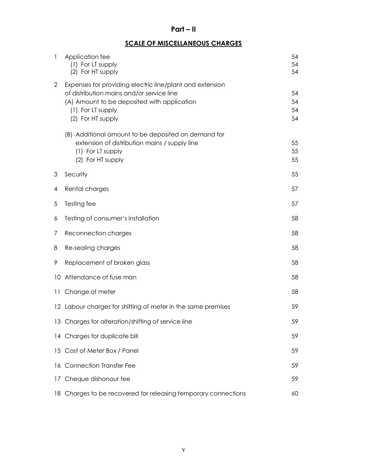# **Part – II**

# **SCALE OF MISCELLANEOUS CHARGES**

| 1              | Application fee<br>(1) For LT supply<br>(2) For HT supply                                                                                                                                      | 54<br>54<br>54       |
|----------------|------------------------------------------------------------------------------------------------------------------------------------------------------------------------------------------------|----------------------|
| $\overline{2}$ | Expenses for providing electric line/plant and extension<br>of distribution mains and/or service line<br>(A) Amount to be deposited with application<br>(1) For LT supply<br>(2) For HT supply | 54<br>54<br>54<br>54 |
|                | (B) Additional amount to be deposited on demand for<br>extension of distribution mains / supply line<br>(1) For LT supply<br>(2) For HT supply                                                 | 55<br>55<br>55       |
| 3              | Security                                                                                                                                                                                       | 55                   |
| 4              | Rental charges                                                                                                                                                                                 | 57                   |
| 5              | Testing fee                                                                                                                                                                                    | 57                   |
| 6              | Testing of consumer's installation                                                                                                                                                             | 58                   |
| 7              | Reconnection charges                                                                                                                                                                           | 58                   |
| 8              | Re-sealing charges                                                                                                                                                                             | 58                   |
| 9              | Replacement of broken glass                                                                                                                                                                    | 58                   |
| 10             | Attendance of fuse man                                                                                                                                                                         | 58                   |
| 11             | Change of meter                                                                                                                                                                                | 58                   |
|                | 12 Labour charges for shifting of meter in the same premises                                                                                                                                   | 59                   |
|                | 13 Charges for alteration/shifting of service line                                                                                                                                             | 59                   |
|                | 14 Charges for duplicate bill                                                                                                                                                                  | 59                   |
|                | 15 Cost of Meter Box / Panel                                                                                                                                                                   | 59                   |
|                | 16 Connection Transfer Fee                                                                                                                                                                     | 59                   |
| 17             | Cheque dishonour fee                                                                                                                                                                           | 59                   |
|                | 18 Charges to be recovered for releasing temporary connections                                                                                                                                 | 60                   |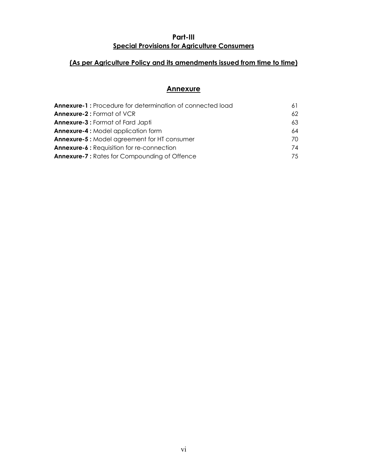## **Part-III Special Provisions for Agriculture Consumers**

# **(As per Agriculture Policy and its amendments issued from time to time)**

## **Annexure**

| <b>Annexure-1:</b> Procedure for determination of connected load |     |
|------------------------------------------------------------------|-----|
| <b>Annexure-2: Format of VCR</b>                                 | 62. |
| <b>Annexure-3: Format of Fard Japti</b>                          | 63. |
| <b>Annexure-4: Model application form</b>                        | 64  |
| <b>Annexure-5: Model agreement for HT consumer</b>               | 70. |
| <b>Annexure-6: Requisition for re-connection</b>                 | 74  |
| <b>Annexure-7: Rates for Compounding of Offence</b>              | 75  |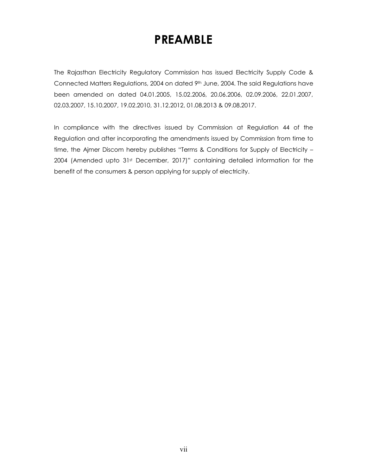# **PREAMBLE**

The Rajasthan Electricity Regulatory Commission has issued Electricity Supply Code & Connected Matters Regulations, 2004 on dated 9th June, 2004. The said Regulations have been amended on dated 04.01.2005, 15.02.2006, 20.06.2006, 02.09.2006, 22.01.2007, 02.03.2007, 15.10.2007, 19.02.2010, 31.12.2012, 01.08.2013 & 09.08.2017.

In compliance with the directives issued by Commission at Regulation 44 of the Regulation and after incorporating the amendments issued by Commission from time to time, the Ajmer Discom hereby publishes "Terms & Conditions for Supply of Electricity – 2004 (Amended upto 31st December, 2017)" containing detailed information for the benefit of the consumers & person applying for supply of electricity.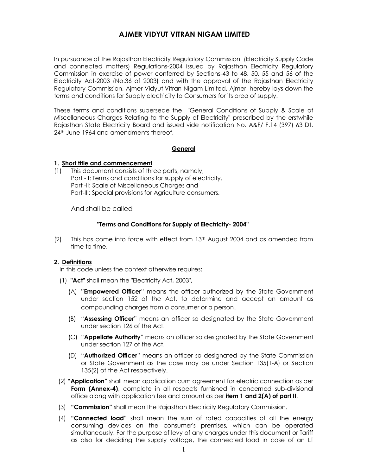# **AJMER VIDYUT VITRAN NIGAM LIMITED**

In pursuance of the Rajasthan Electricity Regulatory Commission (Electricity Supply Code and connected matters) Regulations-2004 issued by Rajasthan Electricity Regulatory Commission in exercise of power conferred by Sections-43 to 48, 50, 55 and 56 of the Electricity Act-2003 (No.36 of 2003) and with the approval of the Rajasthan Electricity Regulatory Commission, Ajmer Vidyut Vitran Nigam Limited, Ajmer, hereby lays down the terms and conditions for Supply electricity to Consumers for its area of supply.

These terms and conditions supersede the "General Conditions of Supply & Scale of Miscellaneous Charges Relating to the Supply of Electricity" prescribed by the erstwhile Rajasthan State Electricity Board and issued vide notification No. A&F/ F.14 (397) 63 Dt. 24<sup>th</sup> June 1964 and amendments thereof.

## **General**

#### **1. Short title and commencement**

(1) This document consists of three parts, namely, Part - I: Terms and conditions for supply of electricity. Part -II: Scale of Miscellaneous Charges and Part-III: Special provisions for Agriculture consumers.

And shall be called

## *"***Terms and Conditions for Supply of Electricity- 2004***"*

(2) This has come into force with effect from  $13<sup>th</sup>$  August 2004 and as amended from time to time.

## **2. Definitions**

In this code unless the context otherwise requires;

- (1) **"Act"** shall mean the "Electricity Act, 2003",
	- (A) **"Empowered Officer**" means the officer authorized by the State Government under section 152 of the Act, to determine and accept an amount as compounding charges from a consumer or a person.
	- (B) "**Assessing Officer**" means an officer so designated by the State Government under section 126 of the Act.
	- (C) "**Appellate Authority**" means an officer so designated by the State Government under section 127 of the Act.
	- (D) "**Authorized Officer**" means an officer so designated by the State Commission or State Government as the case may be under Section 135(1-A) or Section 135(2) of the Act respectively.
- (2) **"Application"** shall mean application cum agreement for electric connection as per **Form (Annex-4)**, complete in all respects furnished in concerned sub-divisional office along with application fee and amount as per **item 1 and 2(A) of part II**.
- (3) **"Commission"** shall mean the Rajasthan Electricity Regulatory Commission.
- (4) **"Connected load"** shall mean the sum of rated capacities of all the energy consuming devices on the consumer's premises, which can be operated simultaneously. For the purpose of levy of any charges under this document or Tariff as also for deciding the supply voltage, the connected load in case of an LT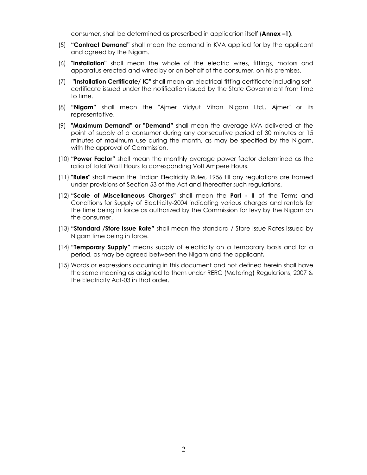consumer, shall be determined as prescribed in application itself (**Annex –1)**.

- (5) **"Contract Demand"** shall mean the demand in KVA applied for by the applicant and agreed by the Nigam.
- (6) **"Installation"** shall mean the whole of the electric wires, fittings, motors and apparatus erected and wired by or on behalf of the consumer, on his premises.
- (7) **"Installation Certificate/ IC"** shall mean an electrical fitting certificate including selfcertificate issued under the notification issued by the State Government from time to time.
- (8) **"Nigam"** shall mean the "Ajmer Vidyut Vitran Nigam Ltd., Ajmer" or its representative.
- (9) **"Maximum Demand" or "Demand"** shall mean the average kVA delivered at the point of supply of a consumer during any consecutive period of 30 minutes or 15 minutes of maximum use during the month, as may be specified by the Nigam, with the approval of Commission.
- (10) **"Power Factor"** shall mean the monthly average power factor determined as the ratio of total Watt Hours to corresponding Volt Ampere Hours.
- (11) **"Rules"** shall mean the "Indian Electricity Rules, 1956 till any regulations are framed under provisions of Section 53 of the Act and thereafter such regulations.
- (12) **"Scale of Miscellaneous Charges"** shall mean the **Part - II** of the Terms and Conditions for Supply of Electricity-2004 indicating various charges and rentals for the time being in force as authorized by the Commission for levy by the Nigam on the consumer.
- (13) **"Standard /Store Issue Rate"** shall mean the standard / Store Issue Rates issued by Nigam time being in force.
- (14) **"Temporary Supply"** means supply of electricity on a temporary basis and for a period, as may be agreed between the Nigam and the applicant**.**
- (15) Words or expressions occurring in this document and not defined herein shall have the same meaning as assigned to them under RERC (Metering) Regulations, 2007 & the Electricity Act-03 in that order.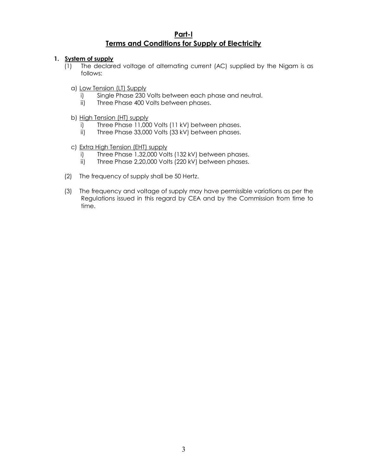## **Part-I Terms and Conditions for Supply of Electricity**

## **1. System of supply**

- (1) The declared voltage of alternating current (AC) supplied by the Nigam is as follows:
	- a) Low Tension (LT) Supply
		- i) Single Phase 230 Volts between each phase and neutral.<br>ii) Three Phase 400 Volts between phases.
		- Three Phase 400 Volts between phases.
	- b) High Tension (HT) supply
		- i) Three Phase 11,000 Volts (11 kV) between phases.
		- ii) Three Phase 33,000 Volts (33 kV) between phases.
	- c) Extra High Tension (EHT) supply
		- i) Three Phase 1,32,000 Volts (132 kV) between phases.
		- ii) Three Phase 2,20,000 Volts (220 kV) between phases.
- (2) The frequency of supply shall be 50 Hertz.
- (3) The frequency and voltage of supply may have permissible variations as per the Regulations issued in this regard by CEA and by the Commission from time to time.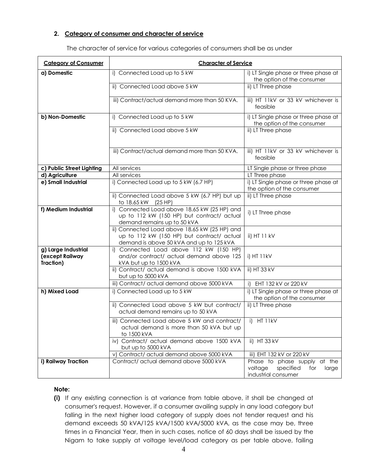## **2. Category of consumer and character of service**

| <b>Category of Consumer</b><br><b>Character of Service</b> |                                                                                                                                         |                                                                                             |  |  |
|------------------------------------------------------------|-----------------------------------------------------------------------------------------------------------------------------------------|---------------------------------------------------------------------------------------------|--|--|
| a) Domestic                                                | i) Connected Load up to 5 kW                                                                                                            | i) LT Single phase or three phase at<br>the option of the consumer                          |  |  |
|                                                            | ii) Connected Load above 5 kW                                                                                                           | ii) LT Three phase                                                                          |  |  |
|                                                            | iii) Contract/actual demand more than 50 KVA.                                                                                           | iii) HT 11kV or 33 kV whichever is<br>feasible                                              |  |  |
| b) Non-Domestic                                            | i) Connected Load up to 5 kW                                                                                                            | i) LT Single phase or three phase at<br>the option of the consumer                          |  |  |
|                                                            | ii) Connected Load above 5 kW                                                                                                           | ii) LT Three phase                                                                          |  |  |
|                                                            | iii) Contract/actual demand more than 50 KVA.                                                                                           | iii) HT 11kV or 33 kV whichever is<br>feasible                                              |  |  |
| c) Public Street Lighting                                  | All services                                                                                                                            | LT Single phase or three phase                                                              |  |  |
| d) Agriculture                                             | All services                                                                                                                            | LT Three phase                                                                              |  |  |
| e) Small Industrial                                        | i) Connected Load up to 5 kW (6.7 HP)                                                                                                   | i) LT Single phase or three phase at<br>the option of the consumer                          |  |  |
|                                                            | ii) Connected Load above 5 kW (6.7 HP) but up<br>to 18.65 kW (25 HP)                                                                    | ii) LT Three phase                                                                          |  |  |
| f) Medium Industrial                                       | i) Connected Load above 18.65 kW (25 HP) and<br>up to 112 kW (150 HP) but contract/ actual<br>demand remains up to 50 kVA               | i) LT Three phase                                                                           |  |  |
|                                                            | ii) Connected Load above 18.65 kW (25 HP) and<br>up to 112 kW (150 HP) but contract/ actual<br>demand is above 50 kVA and up to 125 kVA | ii) HT 11 kV                                                                                |  |  |
| g) Large Industrial<br>(except Railway<br>Traction)        | i) Connected Load above 112 kW (150 HP)<br>and/or contract/ actual demand above 125<br>kVA but up to 1500 kVA                           | i) HT 11kV                                                                                  |  |  |
|                                                            | ii) Contract/ actual demand is above 1500 kVA<br>but up to 5000 kVA                                                                     | ii) HT 33 kV                                                                                |  |  |
|                                                            | iii) Contract/ actual demand above 5000 kVA                                                                                             | i) EHT 132 kV or 220 kV                                                                     |  |  |
| h) Mixed Load                                              | i) Connected Load up to 5 kW                                                                                                            | i) LT Single phase or three phase at<br>the option of the consumer                          |  |  |
|                                                            | ii) Connected Load above 5 kW but contract/<br>actual demand remains up to 50 kVA                                                       | ii) LT Three phase                                                                          |  |  |
|                                                            | iii) Connected Load above 5 kW and contract/<br>actual demand is more than 50 kVA but up<br>to 1500 kVA                                 | i) HT 11kV                                                                                  |  |  |
|                                                            | iv) Contract/ actual demand above 1500 kVA<br>but up to 5000 kVA                                                                        | ii) HT 33 kV                                                                                |  |  |
|                                                            | v) Contract/ actual demand above 5000 kVA                                                                                               | iii) EHT 132 kV or 220 kV                                                                   |  |  |
| i) Railway Traction                                        | Contract/ actual demand above 5000 kVA                                                                                                  | Phase to phase supply at the<br>voltage<br>specified<br>for<br>large<br>industrial consumer |  |  |

The character of service for various categories of consumers shall be as under

#### **Note:**

**(i)** If any existing connection is at variance from table above, it shall be changed at consumer's request. However, if a consumer availing supply in any load category but falling in the next higher load category of supply does not tender request and his demand exceeds 50 kVA/125 kVA/1500 kVA/5000 kVA, as the case may be, three times in a Financial Year, then in such cases, notice of 60 days shall be issued by the Nigam to take supply at voltage level/load category as per table above, failing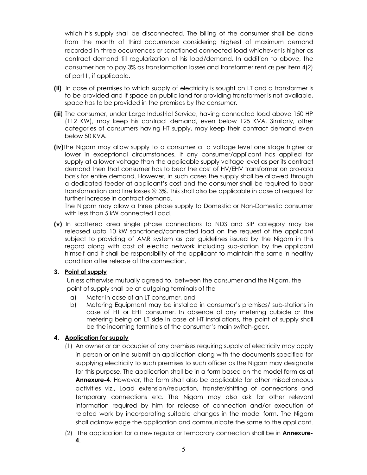which his supply shall be disconnected. The billing of the consumer shall be done from the month of third occurrence considering highest of maximum demand recorded in three occurrences or sanctioned connected load whichever is higher as contract demand till regularization of his load/demand. In addition to above, the consumer has to pay 3% as transformation losses and transformer rent as per item 4(2) of part II, if applicable.

- **(ii)** In case of premises to which supply of electricity is sought on LT and a transformer is to be provided and if space on public land for providing transformer is not available, space has to be provided in the premises by the consumer.
- **(iii**) The consumer, under Large Industrial Service, having connected load above 150 HP (112 KW), may keep his contract demand, even below 125 KVA. Similarly, other categories of consumers having HT supply, may keep their contract demand even below 50 KVA.
- **(iv)**The Nigam may allow supply to a consumer at a voltage level one stage higher or lower in exceptional circumstances. If any consumer/applicant has applied for supply at a lower voltage than the applicable supply voltage level as per its contract demand then that consumer has to bear the cost of HV/EHV transformer on pro-rata basis for entire demand. However, in such cases the supply shall be allowed through a dedicated feeder at applicant's cost and the consumer shall be required to bear transformation and line losses @ 3%. This shall also be applicable in case of request for further increase in contract demand.

The Nigam may allow a three phase supply to Domestic or Non-Domestic consumer with less than 5 kW connected Load.

**(v)** In scattered area single phase connections to NDS and SIP category may be released upto 10 kW sanctioned/connected load on the request of the applicant subject to providing of AMR system as per guidelines issued by the Nigam in this regard along with cost of electric network including sub-station by the applicant himself and it shall be responsibility of the applicant to maintain the same in healthy condition after release of the connection.

## **3. Point of supply**

Unless otherwise mutually agreed to, between the consumer and the Nigam, the point of supply shall be at outgoing terminals of the

- a) Meter in case of an LT consumer, and
- b) Metering Equipment may be installed in consumer's premises/ sub-stations in case of HT or EHT consumer. In absence of any metering cubicle or the metering being on LT side in case of HT installations, the point of supply shall be the incoming terminals of the consumer's main switch-gear.

## **4. Application for supply**

- (1) An owner or an occupier of any premises requiring supply of electricity may apply in person or online submit an application along with the documents specified for supplying electricity to such premises to such officer as the Nigam may designate for this purpose. The application shall be in a form based on the model form as at **Annexure-4**. However, the form shall also be applicable for other miscellaneous activities viz., Load extension/reduction, transfer/shifting of connections and temporary connections etc. The Nigam may also ask for other relevant information required by him for release of connection and/or execution of related work by incorporating suitable changes in the model form. The Nigam shall acknowledge the application and communicate the same to the applicant.
- (2) The application for a new regular or temporary connection shall be in **Annexure-4**.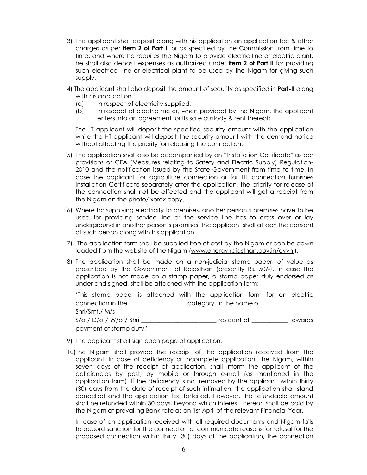- (3) The applicant shall deposit along with his application an application fee & other charges as per **item 2 of Part II** or as specified by the Commission from time to time, and where he requires the Nigam to provide electric line or electric plant, he shall also deposit expenses as authorized under **item 2 of Part II** for providing such electrical line or electrical plant to be used by the Nigam for giving such supply.
- (4) The applicant shall also deposit the amount of security as specified in **Part-II** along with his application
	- (a) In respect of electricity supplied,
	- (b) In respect of electric meter, when provided by the Nigam, the applicant enters into an agreement for its safe custody & rent thereof;

The LT applicant will deposit the specified security amount with the application while the HT applicant will deposit the security amount with the demand notice without affecting the priority for releasing the connection.

- (5) The application shall also be accompanied by an "Installation Certificate" as per provisions of CEA (Measures relating to Safety and Electric Supply) Regulation-2010 and the notification issued by the State Government from time to time. In case the applicant for agriculture connection or for HT connection furnishes Installation Certificate separately after the application, the priority for release of the connection shall not be affected and the applicant will get a receipt from the Nigam on the photo/ xerox copy.
- (6) Where for supplying electricity to premises, another person's premises have to be used for providing service line or the service line has to cross over or lay underground in another person's premises, the applicant shall attach the consent of such person along with his application.
- (7) The application form shall be supplied free of cost by the Nigam or can be down loaded from the website of the Nigam (www.energy.rajasthan.gov.in/avvnl).
- (8) The application shall be made on a non-judicial stamp paper, of value as prescribed by the Government of Rajasthan (presently Rs. 50/-). In case the application is not made on a stamp paper, a stamp paper duly endorsed as under and signed, shall be attached with the application form:

|                         |  |                                |  | 'This stamp paper is attached with the application form for an electric                              |  |         |
|-------------------------|--|--------------------------------|--|------------------------------------------------------------------------------------------------------|--|---------|
|                         |  |                                |  | connection in the <u>connection</u> in the solution of                                               |  |         |
|                         |  | Shri/Smt./ M/s                 |  |                                                                                                      |  |         |
|                         |  | $S/O$ / $D/O$ / $W/O$ / $Shri$ |  | resident of the control of the control of the control of the control of the control of the control o |  | towards |
| payment of stamp duty.' |  |                                |  |                                                                                                      |  |         |

- (9) The applicant shall sign each page of application.
- (10)The Nigam shall provide the receipt of the application received from the applicant. In case of deficiency or incomplete application, the Nigam, within seven days of the receipt of application, shall inform the applicant of the deficiencies by post, by mobile or through e-mail (as mentioned in the application form). If the deficiency is not removed by the applicant within thirty (30) days from the date of receipt of such intimation, the application shall stand cancelled and the application fee forfeited. However, the refundable amount shall be refunded within 30 days, beyond which interest thereon shall be paid by the Nigam at prevailing Bank rate as on 1st April of the relevant Financial Year.

In case of an application received with all required documents and Nigam fails to accord sanction for the connection or communicate reasons for refusal for the proposed connection within thirty (30) days of the application, the connection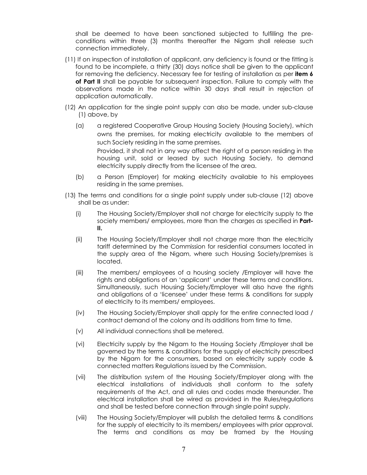shall be deemed to have been sanctioned subjected to fulfilling the preconditions within three (3) months thereafter the Nigam shall release such connection immediately.

- (11) If on inspection of installation of applicant, any deficiency is found or the fitting is found to be incomplete, a thirty (30) days notice shall be given to the applicant for removing the deficiency. Necessary fee for testing of installation as per **item 6 of Part II** shall be payable for subsequent inspection. Failure to comply with the observations made in the notice within 30 days shall result in rejection of application automatically.
- (12) An application for the single point supply can also be made, under sub-clause (1) above, by
	- (a) a registered Cooperative Group Housing Society (Housing Society), which owns the premises, for making electricity available to the members of such Society residing in the same premises. Provided, it shall not in any way affect the right of a person residing in the

housing unit, sold or leased by such Housing Society, to demand electricity supply directly from the licensee of the area.

- (b) a Person (Employer) for making electricity available to his employees residing in the same premises.
- (13) The terms and conditions for a single point supply under sub-clause (12) above shall be as under:
	- (i) The Housing Society/Employer shall not charge for electricity supply to the society members/ employees, more than the charges as specified in **Part-II.**
	- (ii) The Housing Society/Employer shall not charge more than the electricity tariff determined by the Commission for residential consumers located in the supply area of the Nigam, where such Housing Society/premises is located.
	- (iii) The members/ employees of a housing society /Employer will have the rights and obligations of an 'applicant' under these terms and conditions. Simultaneously, such Housing Society/Employer will also have the rights and obligations of a 'licensee' under these terms & conditions for supply of electricity to its members/ employees.
	- (iv) The Housing Society/Employer shall apply for the entire connected load / contract demand of the colony and its additions from time to time.
	- (v) All individual connections shall be metered.
	- (vi) Electricity supply by the Nigam to the Housing Society /Employer shall be governed by the terms & conditions for the supply of electricity prescribed by the Nigam for the consumers, based on electricity supply code & connected matters Regulations issued by the Commission.
	- (vii) The distribution system of the Housing Society/Employer along with the electrical installations of individuals shall conform to the safety requirements of the Act, and all rules and codes made thereunder. The electrical installation shall be wired as provided in the Rules/regulations and shall be tested before connection through single point supply.
	- (viii) The Housing Society/Employer will publish the detailed terms & conditions for the supply of electricity to its members/ employees with prior approval. The terms and conditions as may be framed by the Housing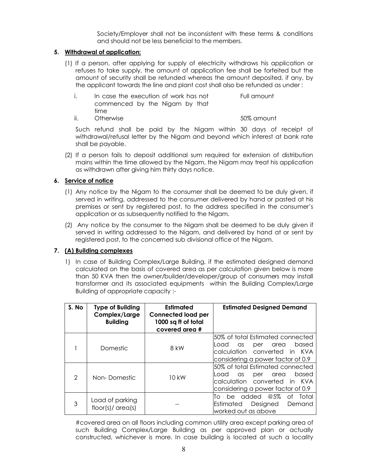Society/Employer shall not be inconsistent with these terms & conditions and should not be less beneficial to the members.

## **5. Withdrawal of application:**

- (1) If a person, after applying for supply of electricity withdraws his application or refuses to take supply, the amount of application fee shall be forfeited but the amount of security shall be refunded whereas the amount deposited, if any, by the applicant towards the line and plant cost shall also be refunded as under :
	- i. In case the execution of work has not commenced by the Nigam by that time Full amount ii. Otherwise 50% amount
	-

Such refund shall be paid by the Nigam within 30 days of receipt of withdrawal/refusal letter by the Nigam and beyond which interest at bank rate shall be payable.

(2) If a person fails to deposit additional sum required for extension of distribution mains within the time allowed by the Nigam, the Nigam may treat his application as withdrawn after giving him thirty days notice.

## **6. Service of notice**

- (1) Any notice by the Nigam to the consumer shall be deemed to be duly given, if served in writing, addressed to the consumer delivered by hand or pasted at his premises or sent by registered post, to the address specified in the consumer's application or as subsequently notified to the Nigam.
- (2) Any notice by the consumer to the Nigam shall be deemed to be duly given if served in writing addressed to the Nigam, and delivered by hand at or sent by registered post, to the concerned sub divisional office of the Nigam.

## **7. (A) Building complexes**

1) In case of Building Complex/Large Building, if the estimated designed demand calculated on the basis of covered area as per calculation given below is more than 50 KVA then the owner/builder/developer/group of consumers may install transformer and its associated equipments within the Building Complex/Large Building of appropriate capacity :-

| S. No          | <b>Type of Building</b><br>Complex/Large<br><b>Building</b> | Estimated<br><b>Connected load per</b><br>1000 sq ft of total<br>covered area # | <b>Estimated Designed Demand</b>                                                                                                                    |  |  |
|----------------|-------------------------------------------------------------|---------------------------------------------------------------------------------|-----------------------------------------------------------------------------------------------------------------------------------------------------|--|--|
|                | Domestic                                                    | 8 kW                                                                            | 50% of total Estimated connected<br>based<br>Load<br>per<br>area<br>as.<br>calculation converted in KVA<br>considering a power factor of 0.9        |  |  |
| $\mathfrak{D}$ | Non-Domestic                                                | $10 \text{ kW}$                                                                 | 50% of total Estimated connected<br>based<br>Load<br>per<br>area<br>$\alpha s$<br>calculation converted in KVA<br>considering a power factor of 0.9 |  |  |
| 3              | Load of parking<br>floor(s)/area(s)                         |                                                                                 | added @5%<br>Tο<br>of Total<br>be.<br>Estimated<br>Designed<br>Demand<br>worked out as above                                                        |  |  |

#covered area on all floors including common utility area except parking area of such Building Complex/Large Building as per approved plan or actually constructed, whichever is more. In case building is located at such a locality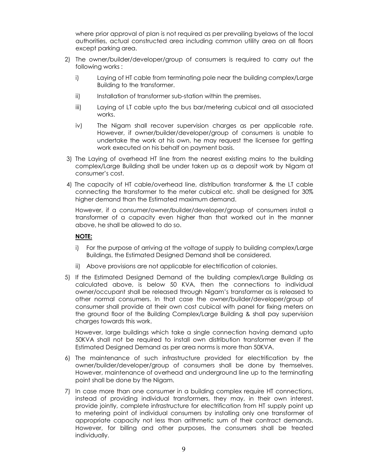where prior approval of plan is not required as per prevailing byelaws of the local authorities, actual constructed area including common utility area on all floors except parking area.

- 2) The owner/builder/developer/group of consumers is required to carry out the following works :
	- i) Laying of HT cable from terminating pole near the building complex/Large Building to the transformer.
	- ii) Installation of transformer sub-station within the premises.
	- iii) Laying of LT cable upto the bus bar/metering cubical and all associated works.
	- iv) The Nigam shall recover supervision charges as per applicable rate. However, if owner/builder/developer/group of consumers is unable to undertake the work at his own, he may request the licensee for getting work executed on his behalf on payment basis.
- 3) The Laying of overhead HT line from the nearest existing mains to the building complex/Large Building shall be under taken up as a deposit work by Nigam at consumer's cost.
- 4) The capacity of HT cable/overhead line, distribution transformer & the LT cable connecting the transformer to the meter cubical etc. shall be designed for 30% higher demand than the Estimated maximum demand.

However, if a consumer/owner/builder/developer/group of consumers install a transformer of a capacity even higher than that worked out in the manner above, he shall be allowed to do so.

### **NOTE:**

- i) For the purpose of arriving at the voltage of supply to building complex/Large Buildings, the Estimated Designed Demand shall be considered.
- ii) Above provisions are not applicable for electrification of colonies.
- 5) If the Estimated Designed Demand of the building complex/Large Building as calculated above, is below 50 KVA, then the connections to individual owner/occupant shall be released through Nigam's transformer as is released to other normal consumers. In that case the owner/builder/developer/group of consumer shall provide at their own cost cubical with panel for fixing meters on the ground floor of the Building Complex/Large Building & shall pay supervision charges towards this work.

However, large buildings which take a single connection having demand upto 50KVA shall not be required to install own distribution transformer even if the Estimated Designed Demand as per area norms is more than 50KVA.

- 6) The maintenance of such infrastructure provided for electrification by the owner/builder/developer/group of consumers shall be done by themselves. However, maintenance of overhead and underground line up to the terminating point shall be done by the Nigam.
- 7) In case more than one consumer in a building complex require HT connections, instead of providing individual transformers, they may, in their own interest, provide jointly, complete infrastructure for electrification from HT supply point up to metering point of individual consumers by installing only one transformer of appropriate capacity not less than arithmetic sum of their contract demands. However, for billing and other purposes, the consumers shall be treated individually.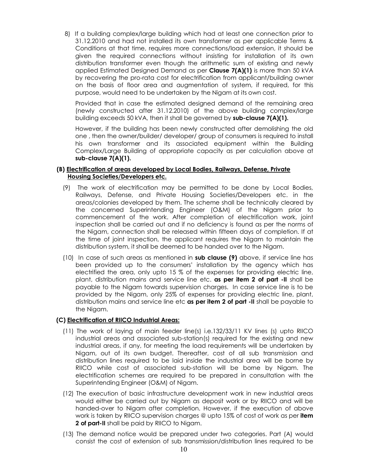8) If a building complex/large building which had at least one connection prior to 31.12.2010 and had not installed its own transformer as per applicable Terms & Conditions at that time, requires more connections/load extension, it should be given the required connections without insisting for installation of its own distribution transformer even though the arithmetic sum of existing and newly applied Estimated Designed Demand as per **Clause 7(A)(1)** is more than 50 kVA by recovering the pro-rata cost for electrification from applicant/building owner on the basis of floor area and augmentation of system, if required, for this purpose, would need to be undertaken by the Nigam at its own cost.

Provided that in case the estimated designed demand of the remaining area (newly constructed after 31.12.2010) of the above building complex/large building exceeds 50 kVA, then it shall be governed by **sub-clause 7(A)(1).**

However, if the building has been newly constructed after demolishing the old one , then the owner/builder/ developer/ group of consumers is required to install his own transformer and its associated equipment within the Building Complex/Large Building of appropriate capacity as per calculation above at **sub-clause 7(A)(1).**

## **(B) Electrification of areas developed by Local Bodies, Railways, Defense, Private Housing Societies/Developers etc.**

- (9) The work of electrification may be permitted to be done by Local Bodies, Railways, Defense, and Private Housing Societies/Developers etc. in the areas/colonies developed by them. The scheme shall be technically cleared by the concerned Superintending Engineer (O&M) of the Nigam prior to commencement of the work. After completion of electrification work, joint inspection shall be carried out and if no deficiency is found as per the norms of the Nigam, connection shall be released within fifteen days of completion. If at the time of joint inspection, the applicant requires the Nigam to maintain the distribution system, it shall be deemed to be handed over to the Nigam.
- (10) In case of such areas as mentioned in **sub clause (9)** above, if service line has been provided up to the consumers' installation by the agency which has electrified the area, only upto 15 % of the expenses for providing electric line, plant, distribution mains and service line etc. **as per item 2 of part -II** shall be payable to the Nigam towards supervision charges. In case service line is to be provided by the Nigam, only 25% of expenses for providing electric line, plant, distribution mains and service line etc **as per item 2 of part -II** shall be payable to the Nigam.

## **(C) Electrification of RIICO Industrial Areas:**

- (11) The work of laying of main feeder line(s) i.e.132/33/11 KV lines (s) upto RIICO industrial areas and associated sub-station(s) required for the existing and new industrial areas, if any, for meeting the load requirements will be undertaken by Nigam, out of its own budget. Thereafter, cost of all sub transmission and distribution lines required to be laid inside the industrial area will be borne by RIICO while cost of associated sub-station will be borne by Nigam. The electrification schemes are required to be prepared in consultation with the Superintending Engineer (O&M) of Nigam.
- (12) The execution of basic infrastructure development work in new industrial areas would either be carried out by Nigam as deposit work or by RIICO and will be handed-over to Nigam after completion. However, if the execution of above work is taken by RIICO supervision charges @ upto 15% of cost of work as per **item 2 of part-II** shall be paid by RIICO to Nigam.
- (13) The demand notice would be prepared under two categories. Part (A) would consist the cost of extension of sub transmission/distribution lines required to be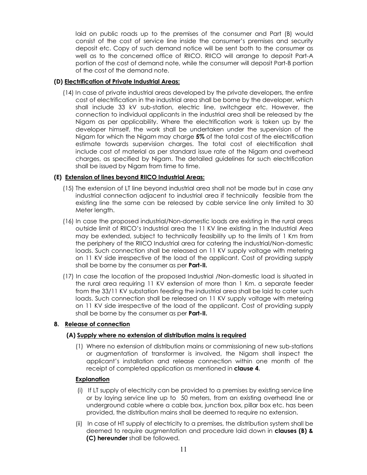laid on public roads up to the premises of the consumer and Part (B) would consist of the cost of service line inside the consumer's premises and security deposit etc. Copy of such demand notice will be sent both to the consumer as well as to the concerned office of RIICO. RIICO will arrange to deposit Part-A portion of the cost of demand note, while the consumer will deposit Part-B portion of the cost of the demand note.

## **(D) Electrification of Private Industrial Areas:**

(14) In case of private industrial areas developed by the private developers, the entire cost of electrification in the industrial area shall be borne by the developer, which shall include 33 kV sub-station, electric line, switchgear etc. However, the connection to individual applicants in the industrial area shall be released by the Nigam as per applicability. Where the electrification work is taken up by the developer himself, the work shall be undertaken under the supervision of the Nigam for which the Nigam may charge **5%** of the total cost of the electrification estimate towards supervision charges. The total cost of electrification shall include cost of material as per standard issue rate of the Nigam and overhead charges, as specified by Nigam. The detailed guidelines for such electrification shall be issued by Nigam from time to time.

## **(E) Extension of lines beyond RIICO Industrial Areas:**

- (15) The extension of LT line beyond industrial area shall not be made but in case any industrial connection adjacent to industrial area if technically feasible from the existing line the same can be released by cable service line only limited to 30 Meter length.
- (16) In case the proposed industrial/Non-domestic loads are existing in the rural areas outside limit of RIICO's Industrial area the 11 KV line existing in the Industrial Area may be extended, subject to technically feasibility up to the limits of 1 Km from the periphery of the RIICO Industrial area for catering the industrial/Non-domestic loads. Such connection shall be released on 11 KV supply voltage with metering on 11 KV side irrespective of the load of the applicant. Cost of providing supply shall be borne by the consumer as per **Part-II.**
- (17) In case the location of the proposed Industrial /Non-domestic load is situated in the rural area requiring 11 KV extension of more than 1 Km. a separate feeder from the 33/11 KV substation feeding the industrial area shall be laid to cater such loads. Such connection shall be released on 11 KV supply voltage with metering on 11 KV side irrespective of the load of the applicant. Cost of providing supply shall be borne by the consumer as per **Part-II.**

## **8. Release of connection**

## **(A) Supply where no extension of distribution mains is required**

(1) Where no extension of distribution mains or commissioning of new sub-stations or augmentation of transformer is involved, the Nigam shall inspect the applicant's installation and release connection within one month of the receipt of completed application as mentioned in **clause 4.**

## **Explanation**

- (i) If LT supply of electricity can be provided to a premises by existing service line or by laying service line up to 50 meters, from an existing overhead line or underground cable where a cable box, junction box, pillar box etc. has been provided, the distribution mains shall be deemed to require no extension.
- (ii) In case of HT supply of electricity to a premises, the distribution system shall be deemed to require augmentation and procedure laid down in **clauses (B) & (C) hereunder** shall be followed.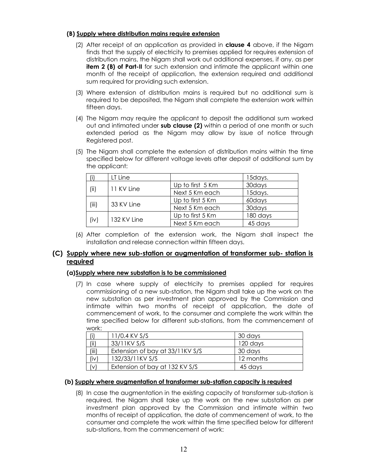## **(B) Supply where distribution mains require extension**

- (2) After receipt of an application as provided in **clause 4** above, if the Nigam finds that the supply of electricity to premises applied for requires extension of distribution mains, the Nigam shall work out additional expenses, if any, as per **item 2 (B) of Part-II** for such extension and intimate the applicant within one month of the receipt of application, the extension required and additional sum required for providing such extension.
- (3) Where extension of distribution mains is required but no additional sum is required to be deposited, the Nigam shall complete the extension work within fifteen days.
- (4) The Nigam may require the applicant to deposit the additional sum worked out and intimated under **sub clause (2)** within a period of one month or such extended period as the Nigam may allow by issue of notice through Registered post.
- (5) The Nigam shall complete the extension of distribution mains within the time specified below for different voltage levels after deposit of additional sum by the applicant:

|       | LT Line     |                  | 15days.  |
|-------|-------------|------------------|----------|
|       |             | Up to first 5 Km | 30days   |
| (ii)  | 11 KV Line  | Next 5 Km each   | 15days.  |
|       | 33 KV Line  | Up to first 5 Km | 60days   |
| (iii) |             | Next 5 Km each   | 30days   |
|       |             | Up to first 5 Km | 180 days |
| (iv)  | 132 KV Line | Next 5 Km each   | 45 days  |

(6) After completion of the extension work, the Nigam shall inspect the installation and release connection within fifteen days.

## **(C) Supply where new sub-station or augmentation of transformer sub- station is required**

## **(a)Supply where new substation is to be commissioned**

(7) In case where supply of electricity to premises applied for requires commissioning of a new sub-station, the Nigam shall take up the work on the new substation as per investment plan approved by the Commission and intimate within two months of receipt of application, the date of commencement of work, to the consumer and complete the work within the time specified below for different sub-stations, from the commencement of work:

| (i)     | 11/0.4 KV S/S                   | 30 days   |
|---------|---------------------------------|-----------|
| (ii)    | 33/11KV S/S                     | 120 days  |
| (iii)   | Extension of bay at 33/11KV S/S | 30 days   |
| (iv)    | 132/33/11KV S/S                 | 12 months |
| $\{v\}$ | Extension of bay at 132 KV S/S  | 45 days   |

## **(b) Supply where augmentation of transformer sub-station capacity is required**

(8) In case the augmentation in the existing capacity of transformer sub-station is required, the Nigam shall take up the work on the new substation as per investment plan approved by the Commission and intimate within two months of receipt of application, the date of commencement of work, to the consumer and complete the work within the time specified below for different sub-stations, from the commencement of work: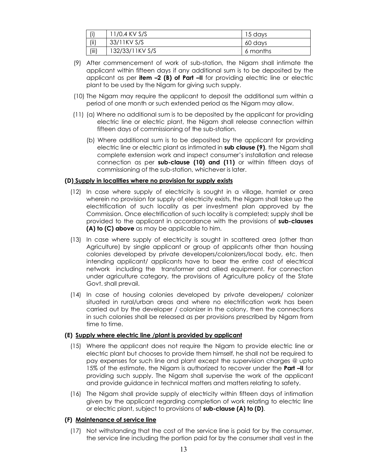| (i)   | 1/0.4 KV S/S    | 15 days  |
|-------|-----------------|----------|
| (ii)  | 33/11KV S/S     | 60 days  |
| (iii) | 132/33/11KV S/S | 6 months |

- (9) After commencement of work of sub-station, the Nigam shall intimate the applicant within fifteen days if any additional sum is to be deposited by the applicant as per **item –2 (B) of Part –II** for providing electric line or electric plant to be used by the Nigam for giving such supply.
- (10) The Nigam may require the applicant to deposit the additional sum within a period of one month or such extended period as the Nigam may allow.
- (11) (a) Where no additional sum is to be deposited by the applicant for providing electric line or electric plant, the Nigam shall release connection within fifteen days of commissioning of the sub-station.
	- (b) Where additional sum is to be deposited by the applicant for providing electric line or electric plant as intimated in **sub clause (9)**, the Nigam shall complete extension work and inspect consumer's installation and release connection as per **sub-clause (10) and (11)** or within fifteen days of commissioning of the sub-station, whichever is later.

## **(D) Supply in localities where no provision for supply exists**

- (12) In case where supply of electricity is sought in a village, hamlet or area wherein no provision for supply of electricity exists, the Nigam shall take up the electrification of such locality as per investment plan approved by the Commission. Once electrification of such locality is completed; supply shall be provided to the applicant in accordance with the provisions of **sub-clauses (A) to (C) above** as may be applicable to him.
- (13) In case where supply of electricity is sought in scattered area (other than Agriculture) by single applicant or group of applicants other than housing colonies developed by private developers/colonizers/local body, etc. then intending applicant/ applicants have to bear the entire cost of electrical network including the transformer and allied equipment. For connection under agriculture category, the provisions of Agriculture policy of the State Govt. shall prevail.
- (14) In case of housing colonies developed by private developers/ colonizer situated in rural/urban areas and where no electrification work has been carried out by the developer / colonizer in the colony, then the connections in such colonies shall be released as per provisions prescribed by Nigam from time to time.

## **(E) Supply where electric line /plant is provided by applicant**

- (15) Where the applicant does not require the Nigam to provide electric line or electric plant but chooses to provide them himself, he shall not be required to pay expenses for such line and plant except the supervision charges @ upto 15% of the estimate, the Nigam is authorized to recover under the **Part –II** for providing such supply. The Nigam shall supervise the work of the applicant and provide guidance in technical matters and matters relating to safety.
- (16) The Nigam shall provide supply of electricity within fifteen days of intimation given by the applicant regarding completion of work relating to electric line or electric plant, subject to provisions of **sub-clause (A) to (D)**.

## **(F) Maintenance of service line**

(17) Not withstanding that the cost of the service line is paid for by the consumer, the service line including the portion paid for by the consumer shall vest in the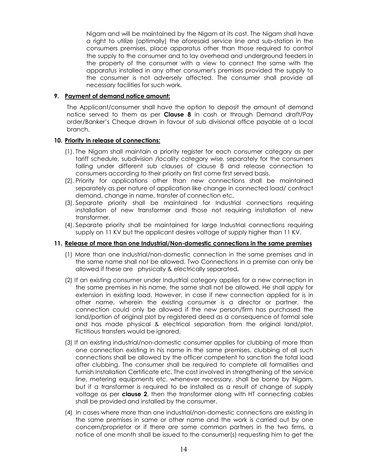Nigam and will be maintained by the Nigam at its cost. The Nigam shall have a right to utilize (optimally) the aforesaid service line and sub-station in the consumers premises, place apparatus other than those required to control the supply to the consumer and to lay overhead and underground feeders in the property of the consumer with a view to connect the same with the apparatus installed in any other consumer's premises provided the supply to the consumer is not adversely affected. The consumer shall provide all necessary facilities for such work.

## **9. Payment of demand notice amount:**

The Applicant/consumer shall have the option to deposit the amount of demand notice served to them as per **Clause 8** in cash or through Demand draft/Pay order/Banker's Cheque drawn in favour of sub divisional office payable at a local branch.

## **10. Priority in release of connections:**

- (1). The Nigam shall maintain a priority register for each consumer category as per tariff schedule, subdivision /locality category wise, separately for the consumers falling under different sub clauses of clause 8 and release connection to consumers according to their priority on first come first served basis.
- (2). Priority for applications other than new connections shall be maintained separately as per nature of application like change in connected load/ contract demand, change in name, transfer of connection etc.
- (3). Separate priority shall be maintained for Industrial connections requiring installation of new transformer and those not requiring installation of new transformer.
- (4). Separate priority shall be maintained for large Industrial connections requiring supply on 11 KV but the applicant desires voltage of supply higher than 11 KV.

## **11. Release of more than one Industrial/Non-domestic connections in the same premises**

- (1) More than one industrial/non-domestic connection in the same premises and in the same name shall not be allowed. Two Connections in a premise can only be allowed if these are physically & electrically separated**.**
- (2) If an existing consumer under Industrial category applies for a new connection in the same premises in his name, the same shall not be allowed. He shall apply for extension in existing load. However, in case if new connection applied for is in other name, wherein the existing consumer is a director or partner, the connection could only be allowed if the new person/firm has purchased the land/portion of original plot by registered deed as a consequence of formal sale and has made physical & electrical separation from the original land/plot. Fictitious transfers would be ignored.
- (3) If an existing industrial/non-domestic consumer applies for clubbing of more than one connection existing in his name in the same premises, clubbing of all such connections shall be allowed by the officer competent to sanction the total load after clubbing. The consumer shall be required to complete all formalities and furnish Installation Certificate etc. The cost involved in strengthening of the service line, metering equipments etc. whenever necessary, shall be borne by Nigam, but if a transformer is required to be installed as a result of change of supply voltage as per **clause 2**, then the transformer along with HT connecting cables shall be provided and installed by the consumer.
- (4) In cases where more than one industrial/non-domestic connections are existing in the same premises in same or other name and the work is carried out by one concern/proprietor or if there are some common partners in the two firms, a notice of one month shall be issued to the consumer(s) requesting him to get the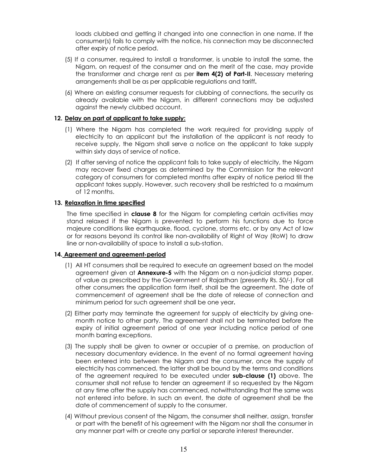loads clubbed and getting it changed into one connection in one name. If the consumer(s) fails to comply with the notice, his connection may be disconnected after expiry of notice period.

- (5) If a consumer, required to install a transformer, is unable to install the same, the Nigam, on request of the consumer and on the merit of the case, may provide the transformer and charge rent as per **item 4(2) of Part-II**. Necessary metering arrangements shall be as per applicable regulations and tariff**.**
- (6) Where an existing consumer requests for clubbing of connections, the security as already available with the Nigam, in different connections may be adjusted against the newly clubbed account.

## **12. Delay on part of applicant to take supply:**

- (1) Where the Nigam has completed the work required for providing supply of electricity to an applicant but the installation of the applicant is not ready to receive supply, the Nigam shall serve a notice on the applicant to take supply within sixty days of service of notice.
- (2) If after serving of notice the applicant fails to take supply of electricity, the Nigam may recover fixed charges as determined by the Commission for the relevant category of consumers for completed months after expiry of notice period till the applicant takes supply. However, such recovery shall be restricted to a maximum of 12 months.

#### **13. Relaxation in time specified**

The time specified in **clause 8** for the Nigam for completing certain activities may stand relaxed if the Nigam is prevented to perform his functions due to force majeure conditions like earthquake, flood, cyclone, storms etc. or by any Act of law or for reasons beyond its control like non-availability of Right of Way (RoW) to draw line or non-availability of space to install a sub-station.

## **14. Agreement and agreement-period**

- (1) All HT consumers shall be required to execute an agreement based on the model agreement given at **Annexure-5** with the Nigam on a non-judicial stamp paper, of value as prescribed by the Government of Rajasthan (presently Rs. 50/-). For all other consumers the application form itself, shall be the agreement. The date of commencement of agreement shall be the date of release of connection and minimum period for such agreement shall be one year**.**
- (2) Either party may terminate the agreement for supply of electricity by giving onemonth notice to other party. The agreement shall not be terminated before the expiry of initial agreement period of one year including notice period of one month barring exceptions.
- (3) The supply shall be given to owner or occupier of a premise, on production of necessary documentary evidence. In the event of no formal agreement having been entered into between the Nigam and the consumer, once the supply of electricity has commenced, the latter shall be bound by the terms and conditions of the agreement required to be executed under **sub-clause (1)** above. The consumer shall not refuse to tender an agreement if so requested by the Nigam at any time after the supply has commenced, notwithstanding that the same was not entered into before. In such an event, the date of agreement shall be the date of commencement of supply to the consumer.
- (4) Without previous consent of the Nigam, the consumer shall neither, assign, transfer or part with the benefit of his agreement with the Nigam nor shall the consumer in any manner part with or create any partial or separate interest thereunder.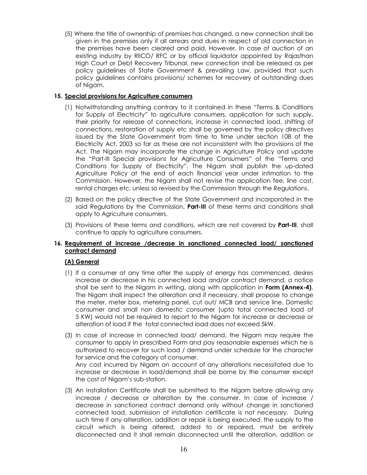(5) Where the title of ownership of premises has changed, a new connection shall be given in the premises only if all arrears and dues in respect of old connection in the premises have been cleared and paid. However, In case of auction of an existing industry by RIICO/ RFC or by official liquidator appointed by Rajasthan High Court or Debt Recovery Tribunal, new connection shall be released as per policy guidelines of State Government & prevailing Law, provided that such policy guidelines contains provisions/ schemes for recovery of outstanding dues of Nigam.

## **15. Special provisions for Agriculture consumers**

- (1) Notwithstanding anything contrary to it contained in these "Terms & Conditions for Supply of Electricity" to agriculture consumers, application for such supply, their priority for release of connections, increase in connected load, shifting of connections, restoration of supply etc shall be governed by the policy directives issued by the State Government from time to time under section 108 of the Electricity Act, 2003 so far as these are not inconsistent with the provisions of the Act. The Nigam may incorporate the change in Agriculture Policy and update the "Part-III Special provisions for Agriculture Consumers" of the "Terms and Conditions for Supply of Electricity". The Nigam shall publish the up-dated Agriculture Policy at the end of each financial year under intimation to the Commission. However, the Nigam shall not revise the application fee, line cost, rental charges etc. unless so revised by the Commission through the Regulations.
- (2) Based on the policy directive of the State Government and incorporated in the said Regulations by the Commission, **Part-III** of these terms and conditions shall apply to Agriculture consumers.
- (3) Provisions of these terms and conditions, which are not covered by **Part-III**, shall continue to apply to agriculture consumers.

## **16. Requirement of increase /decrease in sanctioned connected load/ sanctioned contract demand**

## **(A) General**

- (1) If a consumer at any time after the supply of energy has commenced, desires increase or decrease in his connected load and/or contract demand, a notice shall be sent to the Nigam in writing, along with application in **Form (Annex-4)**. The Nigam shall inspect the alteration and if necessary, shall propose to change the meter, meter box, metering panel, cut out/ MCB and service line. Domestic consumer and small non domestic consumer (upto total connected load of 5 KW) would not be required to report to the Nigam for increase or decrease or alteration of load if the total connected load does not exceed 5kW.
- (3) In case of increase in connected load/ demand, the Nigam may require the consumer to apply in prescribed Form and pay reasonable expenses which he is authorized to recover for such load / demand under schedule for the character for service and the category of consumer. Any cost incurred by Nigam on account of any alterations necessitated due to increase or decrease in load/demand shall be borne by the consumer except

the cost of Nigam's sub-station.

(3) An Installation Certificate shall be submitted to the Nigam before allowing any increase / decrease or alteration by the consumer. In case of increase / decrease in sanctioned contract demand only without change in sanctioned connected load, submission of installation certificate is not necessary. During such time if any alteration, addition or repair is being executed, the supply to the circuit which is being altered, added to or repaired, must be entirely disconnected and it shall remain disconnected until the alteration, addition or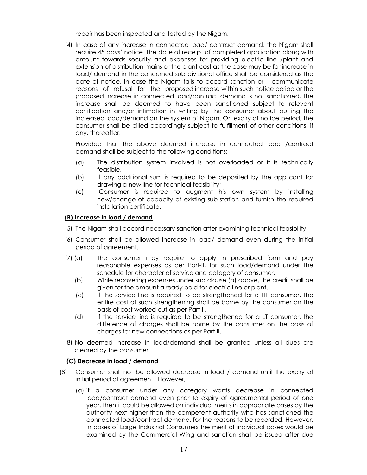repair has been inspected and tested by the Nigam.

(4) In case of any increase in connected load/ contract demand, the Nigam shall require 45 days' notice. The date of receipt of completed application along with amount towards security and expenses for providing electric line /plant and extension of distribution mains or the plant cost as the case may be for increase in load/ demand in the concerned sub divisional office shall be considered as the date of notice. In case the Nigam fails to accord sanction or communicate reasons of refusal for the proposed increase within such notice period or the proposed increase in connected load/contract demand is not sanctioned, the increase shall be deemed to have been sanctioned subject to relevant certification and/or intimation in writing by the consumer about putting the increased load/demand on the system of Nigam. On expiry of notice period, the consumer shall be billed accordingly subject to fulfillment of other conditions, if any, thereafter:

Provided that the above deemed increase in connected load /contract demand shall be subject to the following conditions:

- (a) The distribution system involved is not overloaded or it is technically feasible.
- (b) If any additional sum is required to be deposited by the applicant for drawing a new line for technical feasibility;
- (c) Consumer is required to augment his own system by installing new/change of capacity of existing sub-station and furnish the required installation certificate.

## **(B) Increase in load / demand**

- (5) The Nigam shall accord necessary sanction after examining technical feasibility.
- (6) Consumer shall be allowed increase in load/ demand even during the initial period of agreement.
- (7) (a) The consumer may require to apply in prescribed form and pay reasonable expenses as per Part-II, for such load/demand under the schedule for character of service and category of consumer.
	- (b) While recovering expenses under sub clause (a) above, the credit shall be given for the amount already paid for electric line or plant.
	- (c) If the service line is required to be strengthened for a HT consumer, the entire cost of such strengthening shall be borne by the consumer on the basis of cost worked out as per Part-II.
	- (d) If the service line is required to be strengthened for a LT consumer, the difference of charges shall be borne by the consumer on the basis of charges for new connections as per Part-II.
- (8) No deemed increase in load/demand shall be granted unless all dues are cleared by the consumer.

## **(C) Decrease in load / demand**

- (8) Consumer shall not be allowed decrease in load / demand until the expiry of initial period of agreement. However,
	- (a) if a consumer under any category wants decrease in connected load/contract demand even prior to expiry of agreemental period of one year, then it could be allowed on individual merits in appropriate cases by the authority next higher than the competent authority who has sanctioned the connected load/contract demand, for the reasons to be recorded. However, in cases of Large Industrial Consumers the merit of individual cases would be examined by the Commercial Wing and sanction shall be issued after due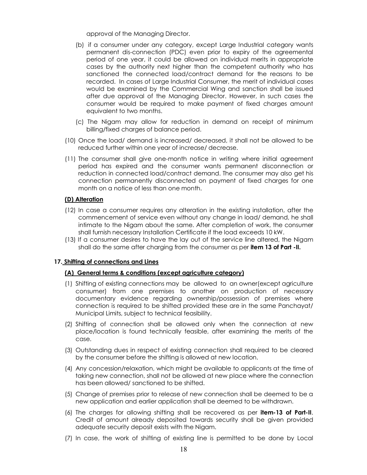approval of the Managing Director.

- (b) if a consumer under any category, except Large Industrial category wants permanent dis-connection (PDC) even prior to expiry of the agreemental period of one year, it could be allowed on individual merits in appropriate cases by the authority next higher than the competent authority who has sanctioned the connected load/contract demand for the reasons to be recorded. In cases of Large Industrial Consumer, the merit of individual cases would be examined by the Commercial Wing and sanction shall be issued after due approval of the Managing Director. However, in such cases the consumer would be required to make payment of fixed charges amount equivalent to two months.
- (c) The Nigam may allow for reduction in demand on receipt of minimum billing/fixed charges of balance period.
- (10) Once the load/ demand is increased/ decreased, it shall not be allowed to be reduced further within one year of increase/ decrease.
- (11) The consumer shall give one-month notice in writing where initial agreement period has expired and the consumer wants permanent disconnection or reduction in connected load/contract demand. The consumer may also get his connection permanently disconnected on payment of fixed charges for one month on a notice of less than one month.

## **(D) Alteration**

- (12) In case a consumer requires any alteration in the existing installation, after the commencement of service even without any change in load/ demand, he shall intimate to the Nigam about the same. After completion of work, the consumer shall furnish necessary Installation Certificate if the load exceeds 10 kW.
- (13) If a consumer desires to have the lay out of the service line altered, the Nigam shall do the same after charging from the consumer as per **item 13 of Part -II.**

## **17. Shifting of connections and Lines**

## **(A) General terms & conditions (except agriculture category)**

- (1) Shifting of existing connections may be allowed to an owner(except agriculture consumer) from one premises to another on production of necessary documentary evidence regarding ownership/possession of premises where connection is required to be shifted provided these are in the same Panchayat/ Municipal Limits, subject to technical feasibility.
- (2) Shifting of connection shall be allowed only when the connection at new place/location is found technically feasible, after examining the merits of the case.
- (3) Outstanding dues in respect of existing connection shall required to be cleared by the consumer before the shifting is allowed at new location.
- (4) Any concession/relaxation, which might be available to applicants at the time of taking new connection, shall not be allowed at new place where the connection has been allowed/ sanctioned to be shifted.
- (5) Change of premises prior to release of new connection shall be deemed to be a new application and earlier application shall be deemed to be withdrawn.
- (6) The charges for allowing shifting shall be recovered as per **item-13 of Part-II**. Credit of amount already deposited towards security shall be given provided adequate security deposit exists with the Nigam.
- (7) In case, the work of shifting of existing line is permitted to be done by Local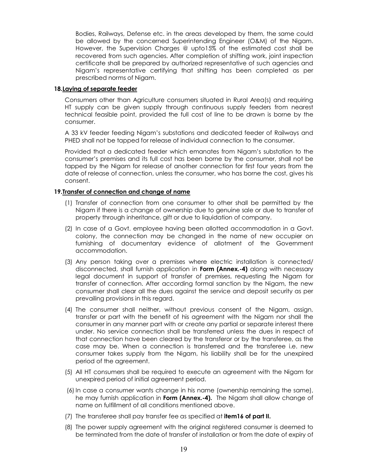Bodies, Railways, Defense etc. in the areas developed by them, the same could be allowed by the concerned Superintending Engineer (O&M) of the Nigam. However, the Supervision Charges @ upto15% of the estimated cost shall be recovered from such agencies. After completion of shifting work, joint inspection certificate shall be prepared by authorized representative of such agencies and Nigam's representative certifying that shifting has been completed as per prescribed norms of Nigam.

### **18.Laying of separate feeder**

Consumers other than Agriculture consumers situated in Rural Area(s) and requiring HT supply can be given supply through continuous supply feeders from nearest technical feasible point, provided the full cost of line to be drawn is borne by the consumer.

A 33 kV feeder feeding Nigam's substations and dedicated feeder of Railways and PHED shall not be tapped for release of individual connection to the consumer.

Provided that a dedicated feeder which emanates from Nigam's substation to the consumer's premises and its full cost has been borne by the consumer, shall not be tapped by the Nigam for release of another connection for first four years from the date of release of connection, unless the consumer, who has borne the cost, gives his consent.

## **19.Transfer of connection and change of name**

- (1) Transfer of connection from one consumer to other shall be permitted by the Nigam if there is a change of ownership due to genuine sale or due to transfer of property through inheritance, gift or due to liquidation of company.
- (2) In case of a Govt. employee having been allotted accommodation in a Govt. colony, the connection may be changed in the name of new occupier on furnishing of documentary evidence of allotment of the Government accommodation.
- (3) Any person taking over a premises where electric installation is connected/ disconnected, shall furnish application in **Form (Annex.-4)** along with necessary legal document in support of transfer of premises, requesting the Nigam for transfer of connection. After according formal sanction by the Nigam, the new consumer shall clear all the dues against the service and deposit security as per prevailing provisions in this regard.
- (4) The consumer shall neither, without previous consent of the Nigam, assign, transfer or part with the benefit of his agreement with the Nigam nor shall the consumer in any manner part with or create any partial or separate interest there under. No service connection shall be transferred unless the dues in respect of that connection have been cleared by the transferor or by the transferee, as the case may be. When a connection is transferred and the transferee i.e. new consumer takes supply from the Nigam, his liability shall be for the unexpired period of the agreement.
- (5) All HT consumers shall be required to execute an agreement with the Nigam for unexpired period of initial agreement period.
- (6) In case a consumer wants change in his name (ownership remaining the same), he may furnish application in **Form (Annex.-4).** The Nigam shall allow change of name on fulfillment of all conditions mentioned above.
- (7) The transferee shall pay transfer fee as specified at **item16 of part II.**
- (8) The power supply agreement with the original registered consumer is deemed to be terminated from the date of transfer of installation or from the date of expiry of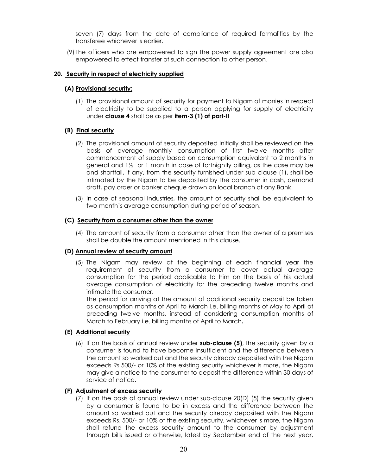seven (7) days from the date of compliance of required formalities by the transferee whichever is earlier.

(9) The officers who are empowered to sign the power supply agreement are also empowered to effect transfer of such connection to other person.

#### **20. Security in respect of electricity supplied**

#### **(A) Provisional security:**

(1) The provisional amount of security for payment to Nigam of monies in respect of electricity to be supplied to a person applying for supply of electricity under **clause 4** shall be as per **item-3 (1) of part-II**

## **(B) Final security**

- (2) The provisional amount of security deposited initially shall be reviewed on the basis of average monthly consumption of first twelve months after commencement of supply based on consumption equivalent to 2 months in general and 1½ or 1 month in case of fortnightly billing, as the case may be and shortfall, if any, from the security furnished under sub clause (1), shall be intimated by the Nigam to be deposited by the consumer in cash, demand draft, pay order or banker cheque drawn on local branch of any Bank.
- (3) In case of seasonal industries, the amount of security shall be equivalent to two month's average consumption during period of season.

#### **(C) Security from a consumer other than the owner**

(4) The amount of security from a consumer other than the owner of a premises shall be double the amount mentioned in this clause.

#### **(D) Annual review of security amount**

(5) The Nigam may review at the beginning of each financial year the requirement of security from a consumer to cover actual average consumption for the period applicable to him on the basis of his actual average consumption of electricity for the preceding twelve months and intimate the consumer.

The period for arriving at the amount of additional security deposit be taken as consumption months of April to March i.e. billing months of May to April of preceding twelve months, instead of considering consumption months of March to February i.e. billing months of April to March**.** 

#### **(E) Additional security**

(6) If on the basis of annual review under **sub-clause (5)**, the security given by a consumer is found to have become insufficient and the difference between the amount so worked out and the security already deposited with the Nigam exceeds Rs 500/- or 10% of the existing security whichever is more, the Nigam may give a notice to the consumer to deposit the difference within 30 days of service of notice.

## **(F) Adjustment of excess security**

(7) If on the basis of annual review under sub-clause 20(D) (5) the security given by a consumer is found to be in excess and the difference between the amount so worked out and the security already deposited with the Nigam exceeds Rs. 500/- or 10% of the existing security, whichever is more, the Nigam shall refund the excess security amount to the consumer by adjustment through bills issued or otherwise, latest by September end of the next year,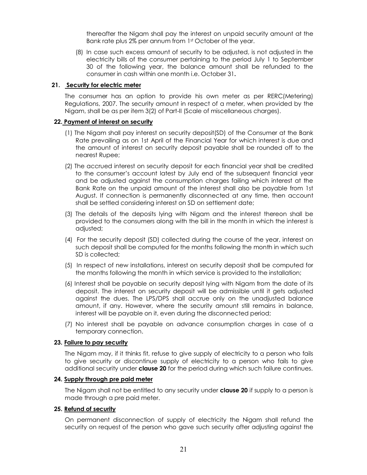thereafter the Nigam shall pay the interest on unpaid security amount at the Bank rate plus 2% per annum from 1st October of the year.

(8) In case such excess amount of security to be adjusted, is not adjusted in the electricity bills of the consumer pertaining to the period July 1 to September 30 of the following year, the balance amount shall be refunded to the consumer in cash within one month i.e. October 31**.**

#### **21. Security for electric meter**

The consumer has an option to provide his own meter as per RERC(Metering) Regulations, 2007. The security amount in respect of a meter, when provided by the Nigam, shall be as per item 3(2) of Part-II (Scale of miscellaneous charges).

## **22. Payment of interest on security**

- (1) The Nigam shall pay interest on security deposit(SD) of the Consumer at the Bank Rate prevailing as on 1st April of the Financial Year for which interest is due and the amount of interest on security deposit payable shall be rounded off to the nearest Rupee;
- (2) The accrued interest on security deposit for each financial year shall be credited to the consumer's account latest by July end of the subsequent financial year and be adjusted against the consumption charges failing which interest at the Bank Rate on the unpaid amount of the interest shall also be payable from 1st August. If connection is permanently disconnected at any time, then account shall be settled considering interest on SD on settlement date;
- (3) The details of the deposits lying with Nigam and the interest thereon shall be provided to the consumers along with the bill in the month in which the interest is adjusted;
- (4) For the security deposit (SD) collected during the course of the year, interest on such deposit shall be computed for the months following the month in which such SD is collected;
- (5) In respect of new installations, interest on security deposit shall be computed for the months following the month in which service is provided to the installation;
- (6) Interest shall be payable on security deposit lying with Nigam from the date of its deposit. The interest on security deposit will be admissible until it gets adjusted against the dues. The LPS/DPS shall accrue only on the unadjusted balance amount, if any. However, where the security amount still remains in balance, interest will be payable on it, even during the disconnected period;
- (7) No interest shall be payable on advance consumption charges in case of a temporary connection.

#### **23. Failure to pay security**

The Nigam may, if it thinks fit, refuse to give supply of electricity to a person who fails to give security or discontinue supply of electricity to a person who fails to give additional security under **clause 20** for the period during which such failure continues.

#### **24. Supply through pre paid meter**

The Nigam shall not be entitled to any security under **clause 20** if supply to a person is made through a pre paid meter.

## **25. Refund of security**

On permanent disconnection of supply of electricity the Nigam shall refund the security on request of the person who gave such security after adjusting against the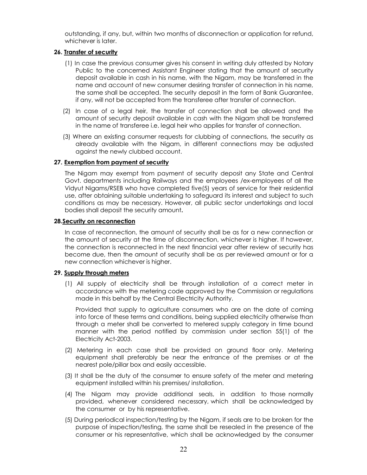outstanding, if any, but, within two months of disconnection or application for refund, whichever is later.

## **26. Transfer of security**

- (1) In case the previous consumer gives his consent in writing duly attested by Notary Public to the concerned Assistant Engineer stating that the amount of security deposit available in cash in his name, with the Nigam, may be transferred in the name and account of new consumer desiring transfer of connection in his name, the same shall be accepted. The security deposit in the form of Bank Guarantee, if any, will not be accepted from the transferee after transfer of connection.
- (2) In case of a legal heir, the transfer of connection shall be allowed and the amount of security deposit available in cash with the Nigam shall be transferred in the name of transferee i.e. legal heir who applies for transfer of connection.
- (3) Where an existing consumer requests for clubbing of connections, the security as already available with the Nigam, in different connections may be adjusted against the newly clubbed account.

## **27. Exemption from payment of security**

The Nigam may exempt from payment of security deposit any State and Central Govt. departments including Railways and the employees /ex-employees of all the Vidyut Nigams/RSEB who have completed five(5) years of service for their residential use, after obtaining suitable undertaking to safeguard its interest and subject to such conditions as may be necessary. However, all public sector undertakings and local bodies shall deposit the security amount**.**

## **28.Security on reconnection**

In case of reconnection, the amount of security shall be as for a new connection or the amount of security at the time of disconnection, whichever is higher. If however, the connection is reconnected in the next financial year after review of security has become due, then the amount of security shall be as per reviewed amount or for a new connection whichever is higher.

## **29. Supply through meters**

(1) All supply of electricity shall be through installation of a correct meter in accordance with the metering code approved by the Commission or regulations made in this behalf by the Central Electricity Authority.

Provided that supply to agriculture consumers who are on the date of coming into force of these terms and conditions, being supplied electricity otherwise than through a meter shall be converted to metered supply category in time bound manner with the period notified by commission under section 55(1) of the Electricity Act-2003.

- (2) Metering in each case shall be provided on ground floor only. Metering equipment shall preferably be near the entrance of the premises or at the nearest pole/pillar box and easily accessible.
- (3) It shall be the duty of the consumer to ensure safety of the meter and metering equipment installed within his premises/ installation.
- (4) The Nigam may provide additional seals, in addition to those normally provided, whenever considered necessary, which shall be acknowledged by the consumer or by his representative.
- (5) During periodical inspection/testing by the Nigam, if seals are to be broken for the purpose of inspection/testing, the same shall be resealed in the presence of the consumer or his representative, which shall be acknowledged by the consumer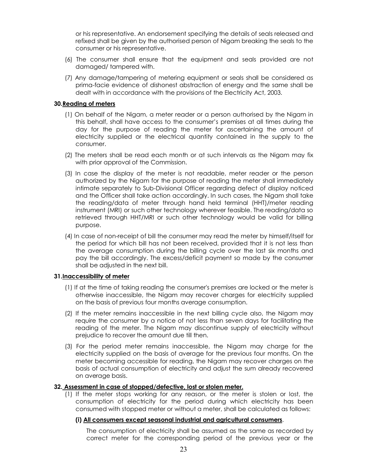or his representative. An endorsement specifying the details of seals released and refixed shall be given by the authorised person of Nigam breaking the seals to the consumer or his representative.

- (6) The consumer shall ensure that the equipment and seals provided are not damaged/ tampered with.
- (7) Any damage/tampering of metering equipment or seals shall be considered as prima-facie evidence of dishonest abstraction of energy and the same shall be dealt with in accordance with the provisions of the Electricity Act, 2003.

#### **30.Reading of meters**

- (1) On behalf of the Nigam, a meter reader or a person authorised by the Nigam in this behalf, shall have access to the consumer's premises at all times during the day for the purpose of reading the meter for ascertaining the amount of electricity supplied or the electrical quantity contained in the supply to the consumer.
- (2) The meters shall be read each month or at such intervals as the Nigam may fix with prior approval of the Commission.
- (3) In case the display of the meter is not readable, meter reader or the person authorized by the Nigam for the purpose of reading the meter shall immediately intimate separately to Sub-Divisional Officer regarding defect of display noticed and the Officer shall take action accordingly. In such cases, the Nigam shall take the reading/data of meter through hand held terminal (HHT)/meter reading instrument (MRI) or such other technology wherever feasible. The reading/data so retrieved through HHT/MRI or such other technology would be valid for billing purpose.
- (4) In case of non-receipt of bill the consumer may read the meter by himself/itself for the period for which bill has not been received, provided that it is not less than the average consumption during the billing cycle over the last six months and pay the bill accordingly. The excess/deficit payment so made by the consumer shall be adjusted in the next bill.

#### **31.Inaccessibility of meter**

- (1) If at the time of taking reading the consumer's premises are locked or the meter is otherwise inaccessible, the Nigam may recover charges for electricity supplied on the basis of previous four months average consumption.
- (2) If the meter remains inaccessible in the next billing cycle also, the Nigam may require the consumer by a notice of not less than seven days for facilitating the reading of the meter. The Nigam may discontinue supply of electricity without prejudice to recover the amount due till then.
- (3) For the period meter remains inaccessible, the Nigam may charge for the electricity supplied on the basis of average for the previous four months. On the meter becoming accessible for reading, the Nigam may recover charges on the basis of actual consumption of electricity and adjust the sum already recovered on average basis.

#### **32. Assessment in case of stopped/defective, lost or stolen meter.**

(1) If the meter stops working for any reason, or the meter is stolen or lost, the consumption of electricity for the period during which electricity has been consumed with stopped meter or without a meter, shall be calculated as follows:

## **(i) All consumers except seasonal industrial and agricultural consumers**.

The consumption of electricity shall be assumed as the same as recorded by correct meter for the corresponding period of the previous year or the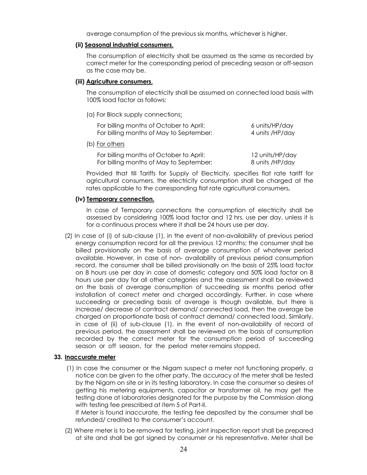average consumption of the previous six months, whichever is higher.

## **(ii) Seasonal industrial consumers**.

The consumption of electricity shall be assumed as the same as recorded by correct meter for the corresponding period of preceding season or off-season as the case may be.

### **(iii) Agriculture consumers**.

The consumption of electricity shall be assumed on connected load basis with 100% load factor as follows:

(a) For Block supply connections:

| For billing months of October to April: | 6 units/HP/day  |
|-----------------------------------------|-----------------|
| For billing months of May to September: | 4 units /HP/day |

(b) For others

| For billing months of October to April: | 12 units/HP/day |
|-----------------------------------------|-----------------|
| For billing months of May to September: | 8 units /HP/day |

Provided that till Tariffs for Supply of Electricity, specifies flat rate tariff for agricultural consumers, the electricity consumption shall be charged at the rates applicable to the corresponding flat rate agricultural consumers**.**

## **(iv) Temporary connection.**

In case of Temporary connections the consumption of electricity shall be assessed by considering 100% load factor and 12 hrs. use per day, unless it is for a continuous process where it shall be 24 hours use per day.

(2) In case of (i) of sub-clause (1), in the event of non-availability of previous period energy consumption record for all the previous 12 months; the consumer shall be billed provisionally on the basis of average consumption of whatever period available. However, in case of non- availability of previous period consumption record, the consumer shall be billed provisionally on the basis of 25% load factor on 8 hours use per day in case of domestic category and 50% load factor on 8 hours use per day for all other categories and the assessment shall be reviewed on the basis of average consumption of succeeding six months period after installation of correct meter and charged accordingly. Further, in case where succeeding or preceding basis of average is though available, but there is increase/ decrease of contract demand/ connected load, then the average be charged on proportionate basis of contract demand/ connected load. Similarly, in case of (ii) of sub-clause (1), in the event of non-availability of record of previous period, the assessment shall be reviewed on the basis of consumption recorded by the correct meter for the consumption period of succeeding season or off season, for the period meter remains stopped.

## **33. Inaccurate meter**

(1) In case the consumer or the Nigam suspect a meter not functioning properly, a notice can be given to the other party. The accuracy of the meter shall be tested by the Nigam on site or in its testing laboratory. In case the consumer so desires of getting his metering equipments, capacitor or transformer oil, he may get the testing done at laboratories designated for the purpose by the Commission along with testing fee prescribed at item 5 of Part-II.

If Meter is found inaccurate, the testing fee deposited by the consumer shall be refunded/ credited to the consumer's account.

(2) Where meter is to be removed for testing, joint inspection report shall be prepared at site and shall be got signed by consumer or his representative. Meter shall be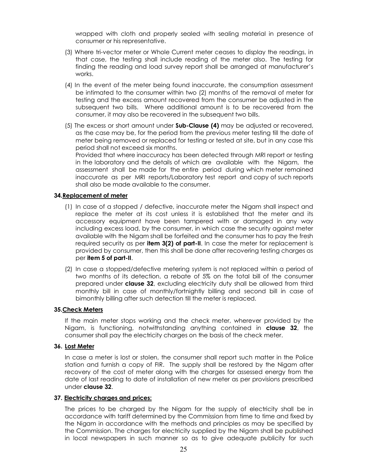wrapped with cloth and properly sealed with sealing material in presence of consumer or his representative.

- (3) Where tri-vector meter or Whole Current meter ceases to display the readings, in that case, the testing shall include reading of the meter also. The testing for finding the reading and load survey report shall be arranged at manufacturer's works.
- (4) In the event of the meter being found inaccurate, the consumption assessment be intimated to the consumer within two (2) months of the removal of meter for testing and the excess amount recovered from the consumer be adjusted in the subsequent two bills. Where additional amount is to be recovered from the consumer, it may also be recovered in the subsequent two bills.
- (5) The excess or short amount under **Sub-Clause (4)** may be adjusted or recovered, as the case may be, for the period from the previous meter testing till the date of meter being removed or replaced for testing or tested at site, but in any case this period shall not exceed six months.

Provided that where inaccuracy has been detected through MRI report or testing in the laboratory and the details of which are available with the Nigam, the assessment shall be made for the entire period during which meter remained inaccurate as per MRI reports/Laboratory test report and copy of such reports shall also be made available to the consumer.

#### **34.Replacement of meter**

- (1) In case of a stopped / defective, inaccurate meter the Nigam shall inspect and replace the meter at its cost unless it is established that the meter and its accessory equipment have been tampered with or damaged in any way including excess load, by the consumer, in which case the security against meter available with the Nigam shall be forfeited and the consumer has to pay the fresh required security as per **item 3(2) of part-II**. In case the meter for replacement is provided by consumer, then this shall be done after recovering testing charges as per **item 5 of part-II**.
- (2) In case a stopped/defective metering system is not replaced within a period of two months of its detection, a rebate of 5% on the total bill of the consumer prepared under **clause 32**, excluding electricity duty shall be allowed from third monthly bill in case of monthly/fortnightly billing and second bill in case of bimonthly billing after such detection till the meter is replaced.

#### **35.Check Meters**

If the main meter stops working and the check meter, wherever provided by the Nigam, is functioning, notwithstanding anything contained in **clause 32**, the consumer shall pay the electricity charges on the basis of the check meter.

#### **36. Lost Meter**

In case a meter is lost or stolen, the consumer shall report such matter in the Police station and furnish a copy of FIR. The supply shall be restored by the Nigam after recovery of the cost of meter along with the charges for assessed energy from the date of last reading to date of installation of new meter as per provisions prescribed under **clause 32**.

#### **37. Electricity charges and prices:**

The prices to be charged by the Nigam for the supply of electricity shall be in accordance with tariff determined by the Commission from time to time and fixed by the Nigam in accordance with the methods and principles as may be specified by the Commission. The charges for electricity supplied by the Nigam shall be published in local newspapers in such manner so as to give adequate publicity for such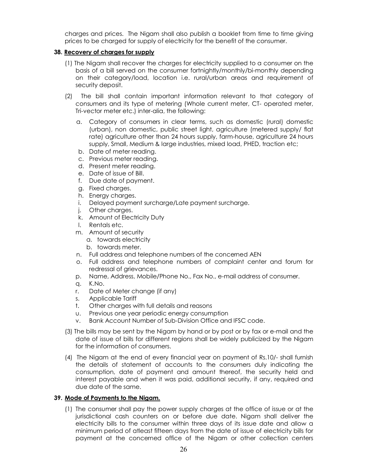charges and prices. The Nigam shall also publish a booklet from time to time giving prices to be charged for supply of electricity for the benefit of the consumer.

## **38. Recovery of charges for supply**

- (1) The Nigam shall recover the charges for electricity supplied to a consumer on the basis of a bill served on the consumer fortnightly/monthly/bi-monthly depending on their category/load, location i.e. rural/urban areas and requirement of security deposit.
- (2) The bill shall contain important information relevant to that category of consumers and its type of metering (Whole current meter, CT- operated meter, Tri-vector meter etc.) inter-alia, the following:
	- a. Category of consumers in clear terms, such as domestic (rural) domestic (urban), non domestic, public street light, agriculture (metered supply/ flat rate) agriculture other than 24 hours supply, farm-house, agriculture 24 hours supply, Small, Medium & large industries, mixed load, PHED, traction etc;
	- b. Date of meter reading.
	- c. Previous meter reading.
	- d. Present meter reading.
	- e. Date of issue of Bill.
	- f. Due date of payment.
	- g. Fixed charges.
	- h. Energy charges.
	- i. Delayed payment surcharge/Late payment surcharge.
	- j. Other charges.
	- k. Amount of Electricity Duty
	- l. Rentals etc.
	- m. Amount of security
		- a. towards electricity
		- b. towards meter.
	- n. Full address and telephone numbers of the concerned AEN
	- o. Full address and telephone numbers of complaint center and forum for redressal of grievances.
	- p. Name, Address, Mobile/Phone No., Fax No., e-mail address of consumer.
	- q. K.No.
	- r. Date of Meter change (if any)
	- s. Applicable Tariff
	- t. Other charges with full details and reasons
	- u. Previous one year periodic energy consumption
	- v. Bank Account Number of Sub-Division Office and IFSC code.
- (3) The bills may be sent by the Nigam by hand or by post or by fax or e-mail and the date of issue of bills for different regions shall be widely publicized by the Nigam for the information of consumers.
- (4) The Nigam at the end of every financial year on payment of Rs.10/- shall furnish the details of statement of accounts to the consumers duly indicating the consumption, date of payment and amount thereof, the security held and interest payable and when it was paid, additional security, if any, required and due date of the same.

## **39. Mode of Payments to the Nigam.**

(1) The consumer shall pay the power supply charges at the office of issue or at the jurisdictional cash counters on or before due date. Nigam shall deliver the electricity bills to the consumer within three days of its issue date and allow a minimum period of atleast fifteen days from the date of issue of electricity bills for payment at the concerned office of the Nigam or other collection centers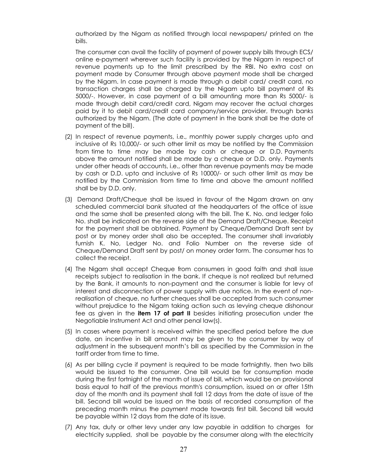authorized by the Nigam as notified through local newspapers/ printed on the bills.

The consumer can avail the facility of payment of power supply bills through ECS/ online e-payment wherever such facility is provided by the Nigam in respect of revenue payments up to the limit prescribed by the RBI. No extra cost on payment made by Consumer through above payment mode shall be charged by the Nigam. In case payment is made through a debit card/ credit card, no transaction charges shall be charged by the Nigam upto bill payment of Rs 5000/-. However, in case payment of a bill amounting more than Rs 5000/- is made through debit card/credit card, Nigam may recover the actual charges paid by it to debit card/credit card company/service provider, through banks authorized by the Nigam. (The date of payment in the bank shall be the date of payment of the bill).

- (2) In respect of revenue payments, i.e., monthly power supply charges upto and inclusive of Rs 10,000/- or such other limit as may be notified by the Commission from time to time may be made by cash or cheque or D.D. Payments above the amount notified shall be made by a cheque or D.D. only. Payments under other heads of accounts, i.e., other than revenue payments may be made by cash or D.D. upto and inclusive of Rs 10000/- or such other limit as may be notified by the Commission from time to time and above the amount notified shall be by D.D. only.
- (3) Demand Draft/Cheque shall be issued in favour of the Nigam drawn on any scheduled commercial bank situated at the headquarters of the office of issue and the same shall be presented along with the bill. The K. No. and ledger folio No. shall be indicated on the reverse side of the Demand Draft/Cheque. Receipt for the payment shall be obtained. Payment by Cheque/Demand Draft sent by post or by money order shall also be accepted. The consumer shall invariably furnish K. No, Ledger No. and Folio Number on the reverse side of Cheque/Demand Draft sent by post/ on money order form. The consumer has to collect the receipt.
- (4) The Nigam shall accept Cheque from consumers in good faith and shall issue receipts subject to realisation in the bank. If cheque is not realized but returned by the Bank, it amounts to non-payment and the consumer is liable for levy of interest and disconnection of power supply with due notice. In the event of nonrealisation of cheque, no further cheques shall be accepted from such consumer without prejudice to the Nigam taking action such as levying cheque dishonour fee as given in the **item 17 of part II** besides initiating prosecution under the Negotiable Instrument Act and other penal law(s).
- (5) In cases where payment is received within the specified period before the due date, an incentive in bill amount may be given to the consumer by way of adjustment in the subsequent month's bill as specified by the Commission in the tariff order from time to time.
- (6) As per billing cycle if payment is required to be made fortnightly, then two bills would be issued to the consumer. One bill would be for consumption made during the first fortnight of the month of issue of bill, which would be on provisional basis equal to half of the previous month's consumption, issued on or after 15th day of the month and its payment shall fall 12 days from the date of issue of the bill. Second bill would be issued on the basis of recorded consumption of the preceding month minus the payment made towards first bill. Second bill would be payable within 12 days from the date of its issue.
- (7) Any tax, duty or other levy under any law payable in addition to charges for electricity supplied, shall be payable by the consumer along with the electricity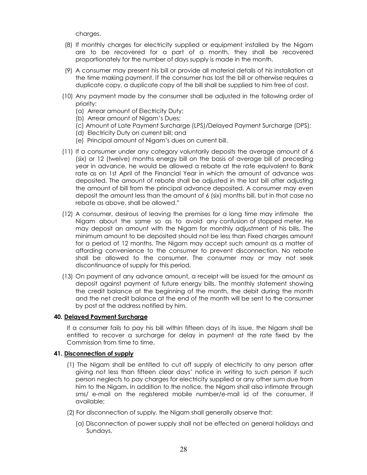charges.

- (8) If monthly charges for electricity supplied or equipment installed by the Nigam are to be recovered for a part of a month, they shall be recovered proportionately for the number of days supply is made in the month.
- (9) A consumer may present his bill or provide all material details of his installation at the time making payment. If the consumer has lost the bill or otherwise requires a duplicate copy, a duplicate copy of the bill shall be supplied to him free of cost.
- (10) Any payment made by the consumer shall be adjusted in the following order of priority:
	- (a) Arrear amount of Electricity Duty;
	- (b) Arrear amount of Nigam's Dues;
	- (c) Amount of Late Payment Surcharge (LPS)/Delayed Payment Surcharge (DPS);
	- (d) Electricity Duty on current bill; and
	- (e) Principal amount of Nigam's dues on current bill.
- (11) If a consumer under any category voluntarily deposits the average amount of 6 (six) or 12 (twelve) months energy bill on the basis of average bill of preceding year in advance, he would be allowed a rebate at the rate equivalent to Bank rate as on 1st April of the Financial Year in which the amount of advance was deposited. The amount of rebate shall be adjusted in the last bill after adjusting the amount of bill from the principal advance deposited. A consumer may even deposit the amount less than the amount of 6 (six) months bill, but in that case no rebate as above, shall be allowed."
- (12) A consumer, desirous of leaving the premises for a long time may intimate the Nigam about the same so as to avoid any confusion of stopped meter. He may deposit an amount with the Nigam for monthly adjustment of his bills. The minimum amount to be deposited should not be less than Fixed charges amount for a period of 12 months. The Nigam may accept such amount as a matter of affording convenience to the consumer to prevent disconnection. No rebate shall be allowed to the consumer. The consumer may or may not seek discontinuance of supply for this period.
- (13) On payment of any advance amount, a receipt will be issued for the amount as deposit against payment of future energy bills. The monthly statement showing the credit balance at the beginning of the month, the debit during the month and the net credit balance at the end of the month will be sent to the consumer by post at the address notified by him.

## **40. Delayed Payment Surcharge**

If a consumer fails to pay his bill within fifteen days of its issue, the Nigam shall be entitled to recover a surcharge for delay in payment at the rate fixed by the Commission from time to time.

## **41. Disconnection of supply**

- (1) The Nigam shall be entitled to cut off supply of electricity to any person after giving not less than fifteen clear days' notice in writing to such person if such person neglects to pay charges for electricity supplied or any other sum due from him to the Nigam. In addition to the notice, the Nigam shall also intimate through sms/ e-mail on the registered mobile number/e-mail id of the consumer, if available;
- (2) For disconnection of supply, the Nigam shall generally observe that:
	- (a) Disconnection of power supply shall not be effected on general holidays and Sundays.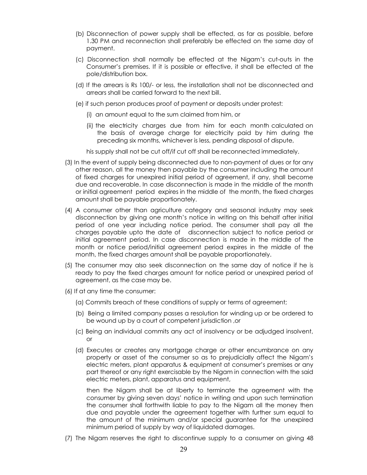- (b) Disconnection of power supply shall be effected, as far as possible, before 1.30 PM and reconnection shall preferably be effected on the same day of payment.
- (c) Disconnection shall normally be effected at the Nigam's cut-outs in the Consumer's premises. If it is possible or effective, it shall be effected at the pole/distribution box.
- (d) If the arrears is Rs 100/- or less, the installation shall not be disconnected and arrears shall be carried forward to the next bill.
- (e) if such person produces proof of payment or deposits under protest:
	- (i) an amount equal to the sum claimed from him, or
	- (ii) the electricity charges due from him for each month calculated on the basis of average charge for electricity paid by him during the preceding six months, whichever is less, pending disposal of dispute,

his supply shall not be cut off/if cut off shall be reconnected immediately.

- (3) In the event of supply being disconnected due to non-payment of dues or for any other reason, all the money then payable by the consumer including the amount of fixed charges for unexpired initial period of agreement, if any, shall become due and recoverable. In case disconnection is made in the middle of the month or initial agreement period expires in the middle of the month, the fixed charges amount shall be payable proportionately.
- (4) A consumer other than agriculture category and seasonal industry may seek disconnection by giving one month's notice in writing on this behalf after initial period of one year including notice period. The consumer shall pay all the charges payable upto the date of disconnection subject to notice period or initial agreement period. In case disconnection is made in the middle of the month or notice period/initial agreement period expires in the middle of the month, the fixed charges amount shall be payable proportionately.
- (5) The consumer may also seek disconnection on the same day of notice if he is ready to pay the fixed charges amount for notice period or unexpired period of agreement, as the case may be.
- (6) If at any time the consumer:
	- (a) Commits breach of these conditions of supply or terms of agreement;
	- (b) Being a limited company passes a resolution for winding up or be ordered to be wound up by a court of competent jurisdiction ,or
	- (c) Being an individual commits any act of insolvency or be adjudged insolvent,  $\alpha$ r
	- (d) Executes or creates any mortgage charge or other encumbrance on any property or asset of the consumer so as to prejudicially affect the Nigam's electric meters, plant apparatus & equipment at consumer's premises or any part thereof or any right exercisable by the Nigam in connection with the said electric meters, plant, apparatus and equipment,

then the Nigam shall be at liberty to terminate the agreement with the consumer by giving seven days' notice in writing and upon such termination the consumer shall forthwith liable to pay to the Nigam all the money then due and payable under the agreement together with further sum equal to the amount of the minimum and/or special guarantee for the unexpired minimum period of supply by way of liquidated damages.

(7) The Nigam reserves the right to discontinue supply to a consumer on giving 48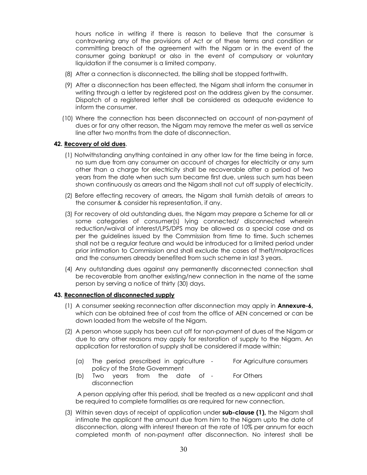hours notice in writing if there is reason to believe that the consumer is contravening any of the provisions of Act or of these terms and condition or committing breach of the agreement with the Nigam or in the event of the consumer going bankrupt or also in the event of compulsory or voluntary liquidation if the consumer is a limited company.

- (8) After a connection is disconnected, the billing shall be stopped forthwith.
- (9) After a disconnection has been effected, the Nigam shall inform the consumer in writing through a letter by registered post on the address given by the consumer. Dispatch of a registered letter shall be considered as adequate evidence to inform the consumer.
- (10) Where the connection has been disconnected on account of non-payment of dues or for any other reason, the Nigam may remove the meter as well as service line after two months from the date of disconnection.

#### **42. Recovery of old dues**.

- (1) Notwithstanding anything contained in any other law for the time being in force, no sum due from any consumer on account of charges for electricity or any sum other than a charge for electricity shall be recoverable after a period of two years from the date when such sum became first due, unless such sum has been shown continuously as arrears and the Nigam shall not cut off supply of electricity.
- (2) Before effecting recovery of arrears, the Nigam shall furnish details of arrears to the consumer & consider his representation, if any.
- (3) For recovery of old outstanding dues, the Nigam may prepare a Scheme for all or some categories of consumer(s) lying connected/ disconnected wherein reduction/waival of interest/LPS/DPS may be allowed as a special case and as per the guidelines issued by the Commission from time to time. Such schemes shall not be a regular feature and would be introduced for a limited period under prior intimation to Commission and shall exclude the cases of theft/malpractices and the consumers already benefited from such scheme in last 3 years.
- (4) Any outstanding dues against any permanently disconnected connection shall be recoverable from another existing/new connection in the name of the same person by serving a notice of thirty (30) days.

#### **43. Reconnection of disconnected supply**

- (1) A consumer seeking reconnection after disconnection may apply in **Annexure-6,** which can be obtained free of cost from the office of AEN concerned or can be down loaded from the website of the Nigam.
- (2) A person whose supply has been cut off for non-payment of dues of the Nigam or due to any other reasons may apply for restoration of supply to the Nigam. An application for restoration of supply shall be considered if made within:
	- (a) The period prescribed in agriculture For Agriculture consumers policy of the State Government
	- (b) Two years from the date of disconnection For Others

A person applying after this period, shall be treated as a new applicant and shall be required to complete formalities as are required for new connection.

(3) Within seven days of receipt of application under **sub-clause (1),** the Nigam shall intimate the applicant the amount due from him to the Nigam upto the date of disconnection, along with interest thereon at the rate of 10% per annum for each completed month of non-payment after disconnection. No interest shall be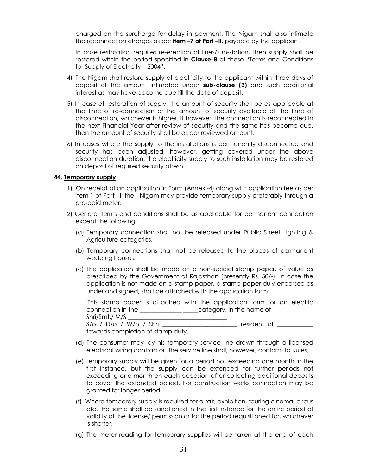charged on the surcharge for delay in payment. The Nigam shall also intimate the reconnection charges as per **item –7 of Part –II,** payable by the applicant.

In case restoration requires re-erection of lines/sub-station, then supply shall be restored within the period specified in **Clause-8** of these "Terms and Conditions for Supply of Electricity – 2004".

- (4) The Nigam shall restore supply of electricity to the applicant within three days of deposit of the amount intimated under **sub-clause (3)** and such additional interest as may have become due till the date of deposit.
- (5) In case of restoration of supply, the amount of security shall be as applicable at the time of re-connection or the amount of security available at the time of disconnection, whichever is higher. If however, the connection is reconnected in the next Financial Year after review of security and the same has become due, then the amount of security shall be as per reviewed amount.
- (6) In cases where the supply to the installations is permanently disconnected and security has been adjusted, however, getting covered under the above disconnection duration, the electricity supply to such installation may be restored on deposit of required security afresh.

#### **44. Temporary supply**

- (1) On receipt of an application in Form (Annex.-4) along with application fee as per item 1 of Part -II, the Nigam may provide temporary supply preferably through a pre-paid meter.
- (2) General terms and conditions shall be as applicable for permanent connection except the following:
	- (a) Temporary connection shall not be released under Public Street Lighting & Agriculture categories.
	- (b) Temporary connections shall not be released to the places of permanent wedding houses.
	- (c) The application shall be made on a non-judicial stamp paper, of value as prescribed by the Government of Rajasthan (presently Rs. 50/-). In case the application is not made on a stamp paper, a stamp paper duly endorsed as under and signed, shall be attached with the application form:

|                                                                                                                                                                                                                                                                        | This stamp paper is attached with the application form for an electric |  |  |  |
|------------------------------------------------------------------------------------------------------------------------------------------------------------------------------------------------------------------------------------------------------------------------|------------------------------------------------------------------------|--|--|--|
| connection in the <u>connection</u> in the solution of                                                                                                                                                                                                                 |                                                                        |  |  |  |
| Shri/Smt./ M/S                                                                                                                                                                                                                                                         |                                                                        |  |  |  |
| $S/O$ / $D/O$ / $W/O$ / $Shri$<br>resident of <b>the contact of the contact of the contact of the contact of the contact of the contact of the contact of the contact of the contact of the contact of the contact of the contact of the contact of the contact of</b> |                                                                        |  |  |  |
| towards completion of stamp duty.'                                                                                                                                                                                                                                     |                                                                        |  |  |  |

- (d) The consumer may lay his temporary service line drawn through a licensed electrical wiring contractor. The service line shall, however, conform to Rules,.
- (e) Temporary supply will be given for a period not exceeding one month in the first instance, but the supply can be extended for further periods not exceeding one month on each occasion after collecting additional deposits to cover the extended period. For construction works connection may be granted for longer period.
- (f) Where temporary supply is required for a fair, exhibition, touring cinema, circus etc. the same shall be sanctioned in the first instance for the entire period of validity of the license/ permission or for the period requisitioned for, whichever is shorter.
- (g) The meter reading for temporary supplies will be taken at the end of each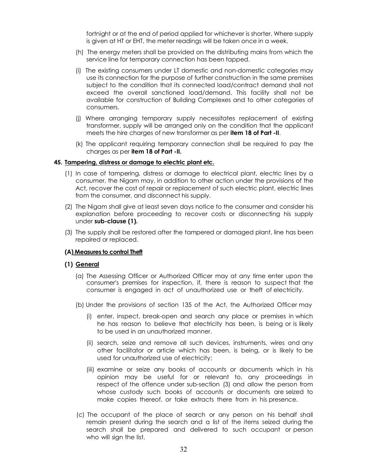fortnight or at the end of period applied for whichever is shorter. Where supply is given at HT or EHT, the meter readings will be taken once in a week.

- (h) The energy meters shall be provided on the distributing mains from which the service line for temporary connection has been tapped.
- (i) The existing consumers under LT domestic and non-domestic categories may use its connection for the purpose of further construction in the same premises subject to the condition that its connected load/contract demand shall not exceed the overall sanctioned load/demand. This facility shall not be available for construction of Building Complexes and to other categories of consumers.
- (j) Where arranging temporary supply necessitates replacement of existing transformer, supply will be arranged only on the condition that the applicant meets the hire charges of new transformer as per **item 18 of Part -II**.
- (k) The applicant requiring temporary connection shall be required to pay the charges as per **item 18 of Part -II.**

#### **45. Tampering, distress or damage to electric plant etc.**

- (1) In case of tampering, distress or damage to electrical plant, electric lines by a consumer, the Nigam may, in addition to other action under the provisions of the Act, recover the cost of repair or replacement of such electric plant, electric lines from the consumer, and disconnect his supply.
- (2) The Nigam shall give at least seven days notice to the consumer and consider his explanation before proceeding to recover costs or disconnecting his supply under **sub-clause (1).**
- (3) The supply shall be restored after the tampered or damaged plant, line has been repaired or replaced.

#### **(A) Measures to control Theft**

#### **(1) General**

- (a) The Assessing Officer or Authorized Officer may at any time enter upon the consumer's premises for inspection, if, there is reason to suspect that the consumer is engaged in act of unauthorized use or theft of electricity.
- (b) Under the provisions of section 135 of the Act, the Authorized Officer may
	- (i) enter, inspect, break-open and search any place or premises in which he has reason to believe that electricity has been, is being or is likely to be used in an unauthorized manner.
	- (ii) search, seize and remove all such devices, instruments, wires and any other facilitator or article which has been, is being, or is likely to be used for unauthorized use of electricity;
	- (iii) examine or seize any books of accounts or documents which in his opinion may be useful for or relevant to, any proceedings in respect of the offence under sub-section (3) and allow the person from whose custody such books of accounts or documents are seized to make copies thereof, or take extracts there from in his presence.
- (c) The occupant of the place of search or any person on his behalf shall remain present during the search and a list of the items seized during the search shall be prepared and delivered to such occupant or person who will sign the list.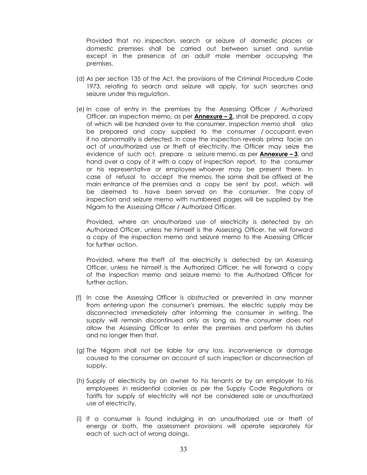Provided that no inspection, search or seizure of domestic places or domestic premises shall be carried out between sunset and sunrise except in the presence of an adult male member occupying the premises.

- (d) As per section 135 of the Act, the provisions of the Criminal Procedure Code 1973, relating to search and seizure will apply, for such searches and seizure under this regulation.
- (e) In case of entry in the premises by the Assessing Officer / Authorized Officer, an inspection memo, as per **Annexure – 2,** shall be prepared, a copy of which will be handed over to the consumer. Inspection memo shall also be prepared and copy supplied to the consumer / occupant, even if no abnormality is detected. In case the inspection reveals prima facie an act of unauthorized use or theft of electricity, the Officer may seize the evidence of such act, prepare a seizure memo, as per **Annexure – 3**, and hand over a copy of it with a copy of inspection report, to the consumer or his representative or employee whoever may be present there. In case of refusal to accept the memos, the same shall be affixed at the main entrance of the premises and a copy be sent by post, which will be deemed to have been served on the consumer. The copy of inspection and seizure memo with numbered pages will be supplied by the Nigam to the Assessing Officer / Authorized Officer.

Provided, where an unauthorized use of electricity is detected by an Authorized Officer, unless he himself is the Assessing Officer, he will forward a copy of the inspection memo and seizure memo to the Assessing Officer for further action.

Provided, where the theft of the electricity is detected by an Assessing Officer, unless he himself is the Authorized Officer, he will forward a copy of the inspection memo and seizure memo to the Authorized Officer for further action.

- (f) In case the Assessing Officer is obstructed or prevented in any manner from entering upon the consumer's premises, the electric supply may be disconnected immediately after informing the consumer in writing. The supply will remain discontinued only as long as the consumer does not allow the Assessing Officer to enter the premises and perform his duties and no longer then that.
- (g) The Nigam shall not be liable for any loss, inconvenience or damage caused to the consumer on account of such inspection or disconnection of supply.
- (h) Supply of electricity by an owner to his tenants or by an employer to his employees in residential colonies as per the Supply Code Regulations or Tariffs for supply of electricity will not be considered sale or unauthorized use of electricity.
- (i) If a consumer is found indulging in an unauthorized use or theft of energy or both, the assessment provisions will operate separately for each of such act of wrong doings.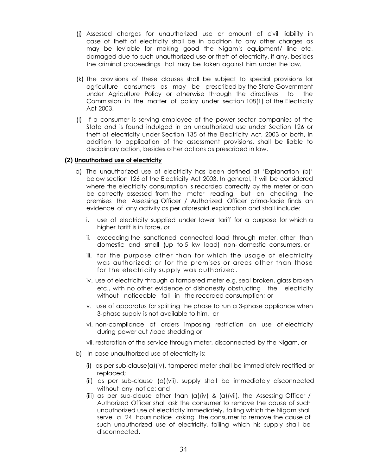- (j) Assessed charges for unauthorized use or amount of civil liability in case of theft of electricity shall be in addition to any other charges as may be leviable for making good the Nigam's equipment/ line etc, damaged due to such unauthorized use or theft of electricity, if any, besides the criminal proceedings that may be taken against him under the law.
- (k) The provisions of these clauses shall be subject to special provisions for agriculture consumers as may be prescribed by the State Government under Agriculture Policy or otherwise through the directives to the Commission in the matter of policy under section 108(1) of the Electricity Act 2003.
- (l) If a consumer is serving employee of the power sector companies of the State and is found indulged in an unauthorized use under Section 126 or theft of electricity under Section 135 of the Electricity Act, 2003 or both, in addition to application of the assessment provisions, shall be liable to disciplinary action, besides other actions as prescribed in law.

#### **(2) Unauthorized use of electricity**

- a) The unauthorized use of electricity has been defined at 'Explanation (b)' below section 126 of the Electricity Act 2003. In general, it will be considered where the electricity consumption is recorded correctly by the meter or can be correctly assessed from the meter reading, but on checking the premises the Assessing Officer / Authorized Officer prima-facie finds an evidence of any activity as per aforesaid explanation and shall include:
	- i. use of electricity supplied under lower tariff for a purpose for which a higher tariff is in force, or
	- ii. exceeding the sanctioned connected load through meter, other than domestic and small (up to 5 kw load) non- domestic consumers, or
	- iii. for the purpose other than for which the usage of electricity was authorized; or for the premises or areas other than those for the electricity supply was authorized.
	- iv. use of electricity through a tampered meter e.g. seal broken, glass broken etc., with no other evidence of dishonestly obstructing the electricity without noticeable fall in the recorded consumption; or
	- v. use of apparatus for splitting the phase to run a 3-phase appliance when 3-phase supply is not available to him, or
	- vi. non-compliance of orders imposing restriction on use of electricity during power cut /load shedding or
	- vii. restoration of the service through meter, disconnected by the Nigam, or
- b) In case unauthorized use of electricity is:
	- (i) as per sub-clause(a)(iv), tampered meter shall be immediately rectified or replaced;
	- (ii) as per sub-clause (a)(vii), supply shall be immediately disconnected without any notice; and
	- (iii) as per sub-clause other than  $(a)$  (iv) &  $(a)$  (vii), the Assessing Officer / Authorized Officer shall ask the consumer to remove the cause of such unauthorized use of electricity immediately, failing which the Nigam shall serve a 24 hours notice asking the consumer to remove the cause of such unauthorized use of electricity, failing which his supply shall be disconnected.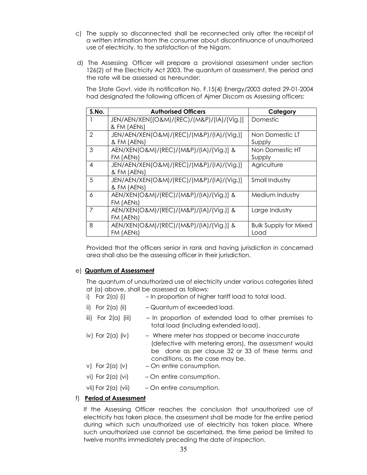- c) The supply so disconnected shall be reconnected only after the receipt of a written intimation from the consumer about discontinuance of unauthorized use of electricity, to the satisfaction of the Nigam.
- d) The Assessing Officer will prepare a provisional assessment under section 126(2) of the Electricity Act 2003. The quantum of assessment, the period and the rate will be assessed as hereunder:

The State Govt. vide its notification No. F.15(4) Energy/2003 dated 29-01-2004 had designated the following officers of Ajmer Discom as Assessing officers:

| S.No.         | <b>Authorised Officers</b>                 | Category                     |
|---------------|--------------------------------------------|------------------------------|
|               | JEN/AEN/XEN[(O&M)/(REC)/(M&P)/(IA)/(Vig.)] | Domestic                     |
|               | & FM (AENs)                                |                              |
| $\mathcal{P}$ | JEN/AEN/XEN(O&M)/(REC)/(M&P)/(IA)/(Vig.)]  | Non Domestic LT              |
|               | & FM (AENs)                                | Supply                       |
| 3             | AEN/XEN(O&M)/(REC)/(M&P)/(IA)/(Vig.)] &    | Non Domestic HT              |
|               | FM (AENs)                                  | Supply                       |
| 4             | JEN/AEN/XEN(O&M)/(REC)/(M&P)/(IA)/(Vig.)]  | Agriculture                  |
|               | & FM (AENs)                                |                              |
| .5            | JEN/AEN/XEN(O&M)/(REC)/(M&P)/(IA)/(Vig.)]  | Small Industry               |
|               | & FM (AENs)                                |                              |
| 6             | AEN/XEN(O&M)/(REC)/(M&P)/(IA)/(Vig.)] &    | Medium Industry              |
|               | FM (AENs)                                  |                              |
| 7             | AEN/XEN(O&M)/(REC)/(M&P)/(IA)/(Vig.)] &    | Large Industry               |
|               | FM (AENs)                                  |                              |
| 8             | AEN/XEN(O&M)/(REC)/(M&P)/(IA)/(Vig.)] &    | <b>Bulk Supply for Mixed</b> |
|               | FM (AENs)                                  | Load                         |

Provided that the officers senior in rank and having jurisdiction in concerned area shall also be the assessing officer in their jurisdiction.

#### e) **Quantum of Assessment**

The quantum of unauthorized use of electricity under various categories listed at (a) above, shall be assessed as follows:

- i) For  $2(a)$  (i) In proportion of higher tariff load to total load.
- ii) For  $2(a)$  (ii)  $-$  Quantum of exceeded load.
- $\overline{u}$  For 2(a) (iii) In proportion of extended load to other premises to total load (including extended load).
- iv) For 2(a) (iv) Where meter has stopped or become inaccurate (defective with metering errors), the assessment would be done as per clause 32 or 33 of these terms and conditions, as the case may be.
- v) For  $2(a)$  (v) On entire consumption.
- vi) For 2(a) (vi) On entire consumption.
- vii) For 2(a) (vii) On entire consumption.

#### f) **Period of Assessment**

If the Assessing Officer reaches the conclusion that unauthorized use of electricity has taken place, the assessment shall be made for the entire period during which such unauthorized use of electricity has taken place. Where such unauthorized use cannot be ascertained, the time period be limited to twelve months immediately preceding the date of inspection.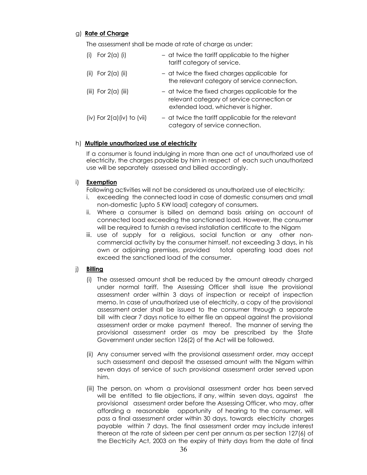## g) **Rate of Charge**

The assessment shall be made at rate of charge as under:

| For $2(a)$ (i)<br>(i)        | - at twice the tariff applicable to the higher<br>tariff category of service.                                                        |
|------------------------------|--------------------------------------------------------------------------------------------------------------------------------------|
| (ii) For $2(a)$ (ii)         | - at twice the fixed charges applicable for<br>the relevant category of service connection.                                          |
| (iii) For $2(a)$ (iii)       | - at twice the fixed charges applicable for the<br>relevant category of service connection or<br>extended load, whichever is higher. |
| (iv) For $2(a)(iv)$ to (vii) | - at twice the tariff applicable for the relevant<br>category of service connection.                                                 |

#### h) **Multiple unauthorized use of electricity**

If a consumer is found indulging in more than one act of unauthorized use of electricity, the charges payable by him in respect of each such unauthorized use will be separately assessed and billed accordingly.

#### i) **Exemption**

Following activities will not be considered as unauthorized use of electricity:

- i. exceeding the connected load in case of domestic consumers and small non-domestic [upto 5 KW load] category of consumers.
- ii. Where a consumer is billed on demand basis arising on account of connected load exceeding the sanctioned load. However, the consumer will be required to furnish a revised installation certificate to the Nigam
- iii. use of supply for a religious, social function or any other noncommercial activity by the consumer himself, not exceeding 3 days, in his own or adjoining premises, provided total operating load does not exceed the sanctioned load of the consumer.

## j) **Billing**

- (i) The assessed amount shall be reduced by the amount already charged under normal tariff. The Assessing Officer shall issue the provisional assessment order within 3 days of inspection or receipt of inspection memo. In case of unauthorized use of electricity, a copy of the provisional assessment order shall be issued to the consumer through a separate bill with clear 7 days notice to either file an appeal against the provisional assessment order or make payment thereof. The manner of serving the provisional assessment order as may be prescribed by the State Government under section 126(2) of the Act will be followed.
- (ii) Any consumer served with the provisional assessment order, may accept such assessment and deposit the assessed amount with the Nigam within seven days of service of such provisional assessment order served upon him.
- (iii) The person, on whom a provisional assessment order has been served will be entitled to file objections, if any, within seven days, against the provisional assessment order before the Assessing Officer, who may, after affording a reasonable opportunity of hearing to the consumer, will pass a final assessment order within 30 days, towards electricity charges payable within 7 days. The final assessment order may include interest thereon at the rate of sixteen per cent per annum as per section 127(6) of the Electricity Act, 2003 on the expiry of thirty days from the date of final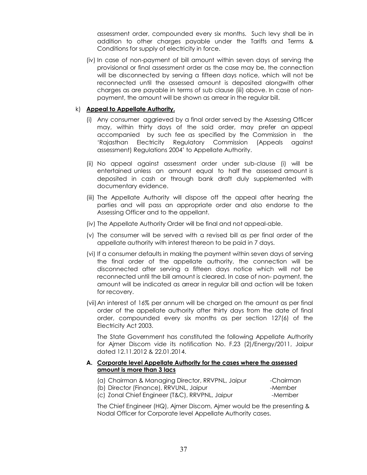assessment order, compounded every six months. Such levy shall be in addition to other charges payable under the Tariffs and Terms & Conditions for supply of electricity in force.

(iv) In case of non-payment of bill amount within seven days of serving the provisional or final assessment order as the case may be, the connection will be disconnected by serving a fifteen days notice, which will not be reconnected until the assessed amount is deposited alongwith other charges as are payable in terms of sub clause (iii) above. In case of nonpayment, the amount will be shown as arrear in the regular bill.

#### k) **Appeal to Appellate Authority.**

- (i) Any consumer aggrieved by a final order served by the Assessing Officer may, within thirty days of the said order, may prefer an appeal accompanied by such fee as specified by the Commission in the 'Rajasthan Electricity Regulatory Commission (Appeals against assessment) Regulations 2004' to Appellate Authority.
- (ii) No appeal against assessment order under sub-clause (i) will be entertained unless an amount equal to half the assessed amount is deposited in cash or through bank draft duly supplemented with documentary evidence.
- (iii) The Appellate Authority will dispose off the appeal after hearing the parties and will pass an appropriate order and also endorse to the Assessing Officer and to the appellant.
- (iv) The Appellate Authority Order will be final and not appeal-able.
- (v) The consumer will be served with a revised bill as per final order of the appellate authority with interest thereon to be paid in 7 days.
- (vi) If a consumer defaults in making the payment within seven days of serving the final order of the appellate authority, the connection will be disconnected after serving a fifteen days notice which will not be reconnected until the bill amount is cleared. In case of non- payment, the amount will be indicated as arrear in regular bill and action will be taken for recovery.
- (vii)An interest of 16% per annum will be charged on the amount as per final order of the appellate authority after thirty days from the date of final order, compounded every six months as per section 127(6) of the Electricity Act 2003.

The State Government has constituted the following Appellate Authority for Ajmer Discom vide its notification No. F.23 (2)/Energy/2011, Jaipur dated 12.11.2012 & 22.01.2014.

#### **A. Corporate level Appellate Authority for the cases where the assessed amount is more than 3 lacs**

| (a) Chairman & Managing Director, RRVPNL, Jaipur | -Chairman |
|--------------------------------------------------|-----------|
| (b) Director (Finance), RRVUNL, Jaipur           | -Member   |
| (c) Zonal Chief Engineer (T&C), RRVPNL, Jaipur   | -Member   |

The Chief Engineer (HQ), Ajmer Discom, Ajmer would be the presenting & Nodal Officer for Corporate level Appellate Authority cases.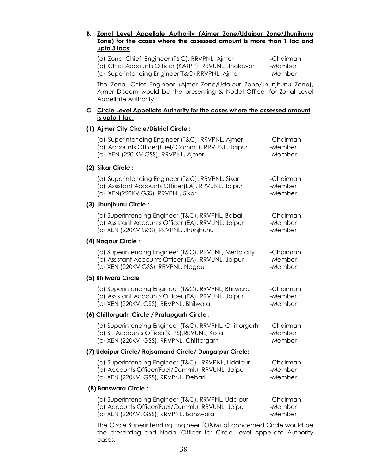| Zonal Level Appellate Authority (Ajmer Zone/Udaipur Zone/Jhunjhunu<br>В.<br>Zone) for the cases where the assessed amount is more than 1 lac and<br><u>upto 3 lacs:</u> |                                 |
|-------------------------------------------------------------------------------------------------------------------------------------------------------------------------|---------------------------------|
| (a) Zonal Chief Engineer (T&C), RRVPNL, Ajmer<br>(b) Chief Accounts Officer (KATPP), RRVUNL, Jhalawar<br>(c) Superintending Engineer(T&C), RRVPNL, Ajmer                | -Chairman<br>-Member<br>-Member |
| The Zonal Chief Engineer (Ajmer Zone/Udaipur Zone/Jhunjhunu Zone),<br>Ajmer Discom would be the presenting & Nodal Officer for Zonal Level<br>Appellate Authority.      |                                 |
| C. Circle Level Appellate Authority for the cases where the assessed amount<br><u>is upto 1 lac:</u>                                                                    |                                 |
| (1) Ajmer City Circle/District Circle:                                                                                                                                  |                                 |
| (a) Superintending Engineer (T&C), RRVPNL, Aimer<br>(b) Accounts Officer(Fuel/ Comml.), RRVUNL, Jaipur<br>(c) XEN-(220 KV GSS), RRVPNL, Ajmer                           | -Chairman<br>-Member<br>-Member |
| (2) Sikar Circle :                                                                                                                                                      |                                 |
| (a) Superintending Engineer (T&C), RRVPNL, Sikar<br>(b) Assistant Accounts Officer(EA), RRVUNL, Jaipur<br>(c) XEN(220KV GSS), RRVPNL, Sikar                             | -Chairman<br>-Member<br>-Member |
| (3) Jhunjhunu Circle:                                                                                                                                                   |                                 |
| (a) Superintending Engineer (T&C), RRVPNL, Babai<br>(b) Assistant Accounts Officer (EA), RRVUNL, Jaipur<br>(c) XEN (220KV GSS), RRVPNL, Jhunjhunu                       | -Chairman<br>-Member<br>-Member |
| (4) Nagaur Circle:                                                                                                                                                      |                                 |
| (a) Superintending Engineer (T&C), RRVPNL, Merta city<br>(b) Assistant Accounts Officer (EA), RRVUNL, Jaipur<br>(c) XEN (220KV GSS), RRVPNL, Nagaur                     | -Chairman<br>-Member<br>-Member |
| (5) Bhilwara Circle:                                                                                                                                                    |                                 |
| (a) Superintending Engineer (T&C), RRVPNL, Bhilwara<br>(b) Assistant Accounts Officer (EA), RRVUNL, Jaipur<br>(c) XEN (220KV, GSS), RRVPNL, Bhilwara                    | -Chairman<br>-Member<br>-Member |
| (6) Chittorgarh Circle / Pratapgarh Circle:                                                                                                                             |                                 |
| (a) Superintending Engineer (T&C), RRVPNL, Chittorgarh<br>(b) Sr. Accounts Officer(KTPS), RRVUNL, Kota<br>(c) XEN (220KV, GSS), RRVPNL, Chittorgarh                     | -Chairman<br>-Member<br>-Member |
| (7) Udaipur Circle/ Rajsamand Circle/ Dungarpur Circle:                                                                                                                 |                                 |
| (a) Superintending Engineer (T&C), RRVPNL, Udaipur<br>(b) Accounts Officer(Fuel/Comml.), RRVUNL, Jaipur<br>(c) XEN (220KV, GSS), RRVPNL, Debari                         | -Chairman<br>-Member<br>-Member |
| (8) Banswara Circle:                                                                                                                                                    |                                 |
| (a) Superintending Engineer (T&C), RRVPNL, Udaipur<br>(b) Accounts Officer(Fuel/Comml.), RRVUNL, Jaipur<br>(c) XEN (220KV, GSS), RRVPNL, Banswara                       | -Chairman<br>-Member<br>-Member |

The Circle Superintending Engineer (O&M) of concerned Circle would be the presenting and Nodal Officer for Circle Level Appellate Authority cases.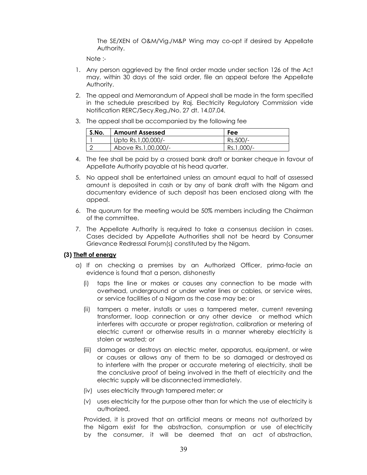The SE/XEN of O&M/Vig./M&P Wing may co-opt if desired by Appellate Authority.

Note :-

- 1. Any person aggrieved by the final order made under section 126 of the Act may, within 30 days of the said order, file an appeal before the Appellate Authority.
- 2. The appeal and Memorandum of Appeal shall be made in the form specified in the schedule prescribed by Raj. Electricity Regulatory Commission vide Notification RERC/Secy.Reg./No. 27 dt. 14.07.04.
- 3. The appeal shall be accompanied by the following fee

| S.No. | <b>Amount Assessed</b> | Fee        |
|-------|------------------------|------------|
|       | Upto Rs.1,00,000/-     | Rs.500/-   |
|       | Above Rs.1,00,000/-    | Rs.1,000/- |

- 4. The fee shall be paid by a crossed bank draft or banker cheque in favour of Appellate Authority payable at his head quarter.
- 5. No appeal shall be entertained unless an amount equal to half of assessed amount is deposited in cash or by any of bank draft with the Nigam and documentary evidence of such deposit has been enclosed along with the appeal.
- 6. The quorum for the meeting would be 50% members including the Chairman of the committee.
- 7. The Appellate Authority is required to take a consensus decision in cases. Cases decided by Appellate Authorities shall not be heard by Consumer Grievance Redressal Forum(s) constituted by the Nigam.

#### **(3) Theft of energy**

- a) If on checking a premises by an Authorized Officer, prima-facie an evidence is found that a person, dishonestly
	- (i) taps the line or makes or causes any connection to be made with overhead, underground or under water lines or cables, or service wires, or service facilities of a Nigam as the case may be; or
	- (ii) tampers a meter, installs or uses a tampered meter, current reversing transformer, loop connection or any other device or method which interferes with accurate or proper registration, calibration or metering of electric current or otherwise results in a manner whereby electricity is stolen or wasted; or
	- (iii) damages or destroys an electric meter, apparatus, equipment, or wire or causes or allows any of them to be so damaged or destroyed as to interfere with the proper or accurate metering of electricity, shall be the conclusive proof of being involved in the theft of electricity and the electric supply will be disconnected immediately.
	- (iv) uses electricity through tampered meter; or
	- (v) uses electricity for the purpose other than for which the use of electricity is authorized,

Provided, it is proved that an artificial means or means not authorized by the Nigam exist for the abstraction, consumption or use of electricity by the consumer, it will be deemed that an act of abstraction,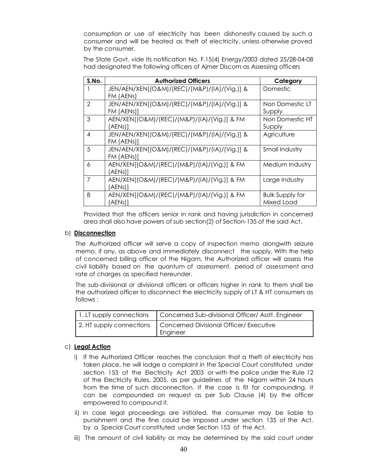consumption or use of electricity has been dishonestly caused by such a consumer and will be treated as theft of electricity, unless otherwise proved by the consumer.

The State Govt. vide its notification No. F.15(4) Energy/2003 dated 25/28-04-08 had designated the following officers of Ajmer Discom as Assessing officers

| S.No.          | <b>Authorized Officers</b>                   | Category               |
|----------------|----------------------------------------------|------------------------|
|                | JEN/AEN/XEN[(O&M)/(REC)/(M&P)/(IA)/(Vig.)] & | Domestic               |
|                | FM (AENs)                                    |                        |
| $\mathfrak{D}$ | JEN/AEN/XEN[(O&M)/(REC)/(M&P)/(IA)/(Vig.)] & | Non Domestic LT        |
|                | FM (AENs)]                                   | Supply                 |
| 3              | AEN/XEN[(O&M)/(REC)/(M&P)/(IA)/(Vig.)] & FM  | Non Domestic HT        |
|                | (AENs)]                                      | Supply                 |
| 4              | JEN/AEN/XEN[(O&M)/(REC)/(M&P)/(IA)/(Vig.)] & | Agriculture            |
|                | FM (AENs)]                                   |                        |
| 5              | JEN/AEN/XEN[(O&M)/(REC)/(M&P)/(IA)/(Vig.)] & | Small Industry         |
|                | FM (AENs)]                                   |                        |
| 6              | AEN/XEN[(O&M)/(REC)/(M&P)/(IA)/(Vig.)] & FM  | Medium Industry        |
|                | (AENs)]                                      |                        |
| 7              | AEN/XEN[(O&M)/(REC)/(M&P)/(IA)/(Vig.)] & FM  | Large Industry         |
|                | (AENs)]                                      |                        |
| 8              | AEN/XEN[(O&M)/(REC)/(M&P)/(IA)/(Vig.)] & FM  | <b>Bulk Supply for</b> |
|                | (AENs)]                                      | Mixed Load             |

Provided that the officers senior in rank and having jurisdiction in concerned area shall also have powers of sub section(2) of Section-135 of the said Act.

#### b) **Disconnection**

The Authorized officer will serve a copy of inspection memo alongwith seizure memo, if any, as above and immediately disconnect the supply. With the help of concerned billing officer of the Nigam, the Authorized officer will assess the civil liability based on the quantum of assessment, period of assessment and rate of charges as specified hereunder.

The sub-divisional or divisional officers or officers higher in rank to them shall be the authorized officer to disconnect the electricity supply of LT & HT consumers as follows :

| 1. LT supply connections   Concerned Sub-divisional Officer/ Asstt. Engineer   |
|--------------------------------------------------------------------------------|
| 2. HT supply connections   Concerned Divisional Officer/ Executive<br>Engineer |

#### c) **Legal Action**

- i) If the Authorized Officer reaches the conclusion that a theft of electricity has taken place, he will lodge a complaint in the Special Court constituted under section 153 of the Electricity Act 2003 or with the police under the Rule 12 of the Electricity Rules, 2005, as per guidelines of the Nigam within 24 hours from the time of such disconnection. If the case is fit for compounding, it can be compounded on request as per Sub Clause (4) by the officer empowered to compound it.
- ii) In case legal proceedings are initiated, the consumer may be liable to punishment and the fine could be imposed under section 135 of the Act, by a Special Court constituted under Section 153 of the Act.
- iii) The amount of civil liability as may be determined by the said court under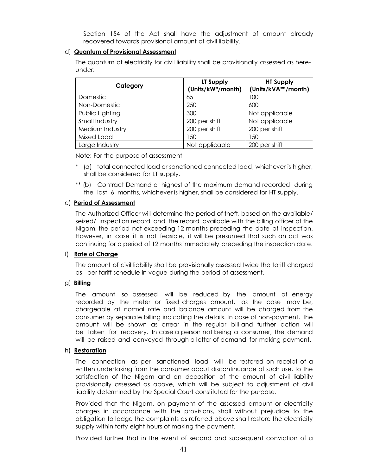Section 154 of the Act shall have the adjustment of amount already recovered towards provisional amount of civil liability.

#### d) **Quantum of Provisional Assessment**

The quantum of electricity for civil liability shall be provisionally assessed as hereunder:

| Category        | LT Supply<br>(Units/kW*/month) | <b>HT Supply</b><br>(Units/kVA**/month) |
|-----------------|--------------------------------|-----------------------------------------|
| Domestic        | 85                             | 100                                     |
| Non-Domestic    | 250                            | 600                                     |
| Public Lighting | 300                            | Not applicable                          |
| Small Industry  | 200 per shift                  | Not applicable                          |
| Medium Industry | 200 per shift                  | 200 per shift                           |
| Mixed Load      | 150                            | 150                                     |
| Large Industry  | Not applicable                 | 200 per shift                           |

Note: For the purpose of assessment

- \* (a) total connected load or sanctioned connected load, whichever is higher, shall be considered for LT supply.
- \*\* (b) Contract Demand or highest of the maximum demand recorded during the last 6 months, whichever is higher, shall be considered for HT supply.

#### e) **Period of Assessment**

The Authorized Officer will determine the period of theft, based on the available/ seized/ inspection record and the record available with the billing officer of the Nigam, the period not exceeding 12 months preceding the date of inspection. However, in case it is not feasible, it will be presumed that such an act was continuing for a period of 12 months immediately preceding the inspection date.

#### f) **Rate of Charge**

The amount of civil liability shall be provisionally assessed twice the tariff charged as per tariff schedule in vogue during the period of assessment.

#### g) **Billing**

The amount so assessed will be reduced by the amount of energy recorded by the meter or fixed charges amount, as the case may be, chargeable at normal rate and balance amount will be charged from the consumer by separate billing indicating the details. In case of non-payment, the amount will be shown as arrear in the regular bill and further action will be taken for recovery. In case a person not being a consumer, the demand will be raised and conveyed through a letter of demand, for making payment.

#### h) **Restoration**

The connection as per sanctioned load will be restored on receipt of a written undertaking from the consumer about discontinuance of such use, to the satisfaction of the Nigam and on deposition of the amount of civil liability provisionally assessed as above, which will be subject to adjustment of civil liability determined by the Special Court constituted for the purpose.

Provided that the Nigam, on payment of the assessed amount or electricity charges in accordance with the provisions, shall without prejudice to the obligation to lodge the complaints as referred above shall restore the electricity supply within forty eight hours of making the payment.

Provided further that in the event of second and subsequent conviction of a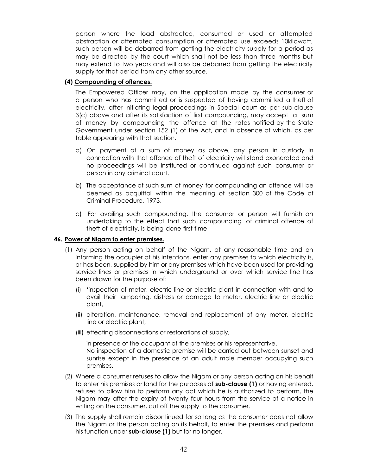person where the load abstracted, consumed or used or attempted abstraction or attempted consumption or attempted use exceeds 10kilowatt, such person will be debarred from getting the electricity supply for a period as may be directed by the court which shall not be less than three months but may extend to two years and will also be debarred from getting the electricity supply for that period from any other source.

## **(4) Compounding of offences.**

The Empowered Officer may, on the application made by the consumer or a person who has committed or is suspected of having committed a theft of electricity, after initiating legal proceedings in Special court as per sub-clause 3(c) above and after its satisfaction of first compounding, may accept a sum of money by compounding the offence at the rates notified by the State Government under section 152 (1) of the Act, and in absence of which, as per table appearing with that section.

- a) On payment of a sum of money as above, any person in custody in connection with that offence of theft of electricity will stand exonerated and no proceedings will be instituted or continued against such consumer or person in any criminal court.
- b) The acceptance of such sum of money for compounding an offence will be deemed as acquittal within the meaning of section 300 of the Code of Criminal Procedure, 1973.
- c) For availing such compounding, the consumer or person will furnish an undertaking to the effect that such compounding of criminal offence of theft of electricity, is being done first time

#### **46. Power of Nigam to enter premises.**

- (1) Any person acting on behalf of the Nigam, at any reasonable time and on informing the occupier of his intentions, enter any premises to which electricity is, or has been, supplied by him or any premises which have been used for providing service lines or premises in which underground or over which service line has been drawn for the purpose of:
	- (i) 'inspection of meter, electric line or electric plant in connection with and to avail their tampering, distress or damage to meter, electric line or electric plant,
	- (ii) alteration, maintenance, removal and replacement of any meter, electric line or electric plant,
	- (iii) effecting disconnections or restorations of supply,

in presence of the occupant of the premises or his representative. No inspection of a domestic premise will be carried out between sunset and sunrise except in the presence of an adult male member occupying such premises.

- (2) Where a consumer refuses to allow the Nigam or any person acting on his behalf to enter his premises or land for the purposes of **sub-clause (1)** or having entered, refuses to allow him to perform any act which he is authorized to perform, the Nigam may after the expiry of twenty four hours from the service of a notice in writing on the consumer, cut off the supply to the consumer.
- (3) The supply shall remain discontinued for so long as the consumer does not allow the Nigam or the person acting on its behalf, to enter the premises and perform his function under **sub-clause (1)** but for no longer.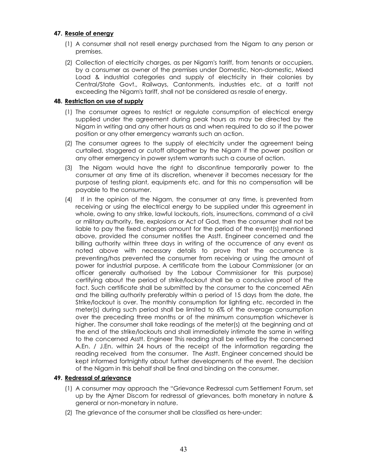#### **47. Resale of energy**

- (1) A consumer shall not resell energy purchased from the Nigam to any person or premises.
- (2) Collection of electricity charges, as per Nigam's tariff, from tenants or occupiers, by a consumer as owner of the premises under Domestic, Non-domestic, Mixed Load & industrial categories and supply of electricity in their colonies by Central/State Govt., Railways, Cantonments, industries etc. at a tariff not exceeding the Nigam's tariff, shall not be considered as resale of energy.

#### **48. Restriction on use of supply**

- (1) The consumer agrees to restrict or regulate consumption of electrical energy supplied under the agreement during peak hours as may be directed by the Nigam in writing and any other hours as and when required to do so if the power position or any other emergency warrants such an action.
- (2) The consumer agrees to the supply of electricity under the agreement being curtailed, staggered or cutoff altogether by the Nigam if the power position or any other emergency in power system warrants such a course of action.
- (3) The Nigam would have the right to discontinue temporarily power to the consumer at any time at its discretion, whenever it becomes necessary for the purpose of testing plant, equipments etc. and for this no compensation will be payable to the consumer.
- (4) If in the opinion of the Nigam, the consumer at any time, is prevented from receiving or using the electrical energy to be supplied under this agreement in whole, owing to any strike, lawful lockouts, riots, insurrections, command of a civil or military authority, fire, explosions or Act of God, then the consumer shall not be liable to pay the fixed charges amount for the period of the event(s) mentioned above, provided the consumer notifies the Asstt. Engineer concerned and the billing authority within three days in writing of the occurrence of any event as noted above with necessary details to prove that the occurrence is preventing/has prevented the consumer from receiving or using the amount of power for industrial purpose. A certificate from the Labour Commissioner (or an officer generally authorised by the Labour Commissioner for this purpose) certifying about the period of strike/lockout shall be a conclusive proof of the fact. Such certificate shall be submitted by the consumer to the concerned AEn and the billing authority preferably within a period of 15 days from the date, the Strike/lockout is over. The monthly consumption for lighting etc. recorded in the meter(s) during such period shall be limited to 6% of the average consumption over the preceding three months or of the minimum consumption whichever is higher. The consumer shall take readings of the meter(s) at the beginning and at the end of the strike/lockouts and shall immediately intimate the same in writing to the concerned Asstt. Engineer This reading shall be verified by the concerned A.En. / J.En. within 24 hours of the receipt of the information regarding the reading received from the consumer. The Asstt. Engineer concerned should be kept informed fortnightly about further developments of the event. The decision of the Nigam in this behalf shall be final and binding on the consumer.

## **49. Redressal of grievance**

- (1) A consumer may approach the "Grievance Redressal cum Settlement Forum, set up by the Ajmer Discom for redressal of grievances, both monetary in nature & general or non-monetary in nature.
- (2) The grievance of the consumer shall be classified as here-under: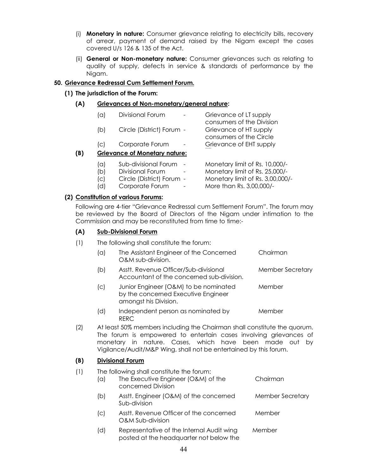- (i) **Monetary in nature:** Consumer grievance relating to electricity bills, recovery of arrear, payment of demand raised by the Nigam except the cases covered U/s 126 & 135 of the Act.
- (ii) **General or Non-monetary nature:** Consumer grievances such as relating to quality of supply, defects in service & standards of performance by the Nigam.

#### **50. Grievance Redressal Cum Settlement Forum.**

**(1) The jurisdiction of the Forum:**

#### **(A) Grievances of Non-monetary/general nature:**

| (a) | Divisional Forum                     | Grievance of LT supply    |
|-----|--------------------------------------|---------------------------|
|     |                                      | consumers of the Division |
| (b) | Circle (District) Forum -            | Grievance of HT supply    |
|     |                                      | consumers of the Circle   |
| (C) | Corporate Forum                      | Grievance of EHT supply   |
|     | <b>Grievance of Monetary nature:</b> |                           |
|     |                                      |                           |

- (a) Sub-divisional Forum Monetary limit of Rs. 10,000/- (b) Divisional Forum - Monetary limit of Rs. 25,000/- (c) Circle (District) Forum - Monetary limit of Rs. 3,00,000/-
- (d) Corporate Forum More than Rs. 3,00,000/-

#### **(2) Constitution of various Forums:**

Following are 4-tier "Grievance Redressal cum Settlement Forum". The forum may be reviewed by the Board of Directors of the Nigam under intimation to the Commission and may be reconstituted from time to time:-

#### **(A) Sub-Divisional Forum**

(1) The following shall constitute the forum:

| (a)                        | The Assistant Engineer of the Concerned<br>O&M sub-division.                                          | Chairman                |
|----------------------------|-------------------------------------------------------------------------------------------------------|-------------------------|
| (b)                        | Asstt. Revenue Officer/Sub-divisional<br>Accountant of the concerned sub-division.                    | <b>Member Secretary</b> |
| $\left( \mathrm{c}\right)$ | Junior Engineer (O&M) to be nominated<br>by the concerned Executive Engineer<br>amongst his Division. | Member                  |
|                            |                                                                                                       |                         |

- (d) Independent person as nominated by Member RERC
- (2) At least 50% members including the Chairman shall constitute the quorum. The forum is empowered to entertain cases involving grievances of monetary in nature. Cases, which have been made out by Vigilance/Audit/M&P Wing, shall not be entertained by this forum.

#### **(B) Divisional Forum**

| (1) | $(\alpha)$ | The following shall constitute the forum:<br>The Executive Engineer (O&M) of the<br>concerned Division | Chairman                |
|-----|------------|--------------------------------------------------------------------------------------------------------|-------------------------|
|     | (b)        | Asstt. Engineer (O&M) of the concerned<br>Sub-division                                                 | <b>Member Secretary</b> |
|     | (C)        | Asstt. Revenue Officer of the concerned<br>O&M Sub-division                                            | Member                  |
|     | (d)        | Representative of the Internal Audit wing<br>posted at the headquarter not below the                   | Member                  |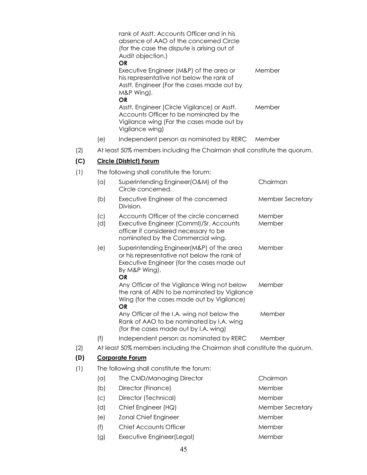|     |            | rank of Asstt. Accounts Officer and in his<br>absence of AAO of the concerned Circle<br>(for the case the dispute is arising out of                                       |                         |
|-----|------------|---------------------------------------------------------------------------------------------------------------------------------------------------------------------------|-------------------------|
|     |            | Audit objection.)                                                                                                                                                         |                         |
|     |            | <b>OR</b><br>Executive Engineer (M&P) of the area or<br>his representative not below the rank of<br>Asstt. Engineer (For the cases made out by<br>M&P Wing).<br><b>OR</b> | Member                  |
|     |            | Asstt. Engineer (Circle Vigilance) or Asstt.<br>Accounts Officer to be nominated by the<br>Vigilance wing (For the cases made out by<br>Vigilance wing)                   | Member                  |
|     | (e)        | Independent person as nominated by RERC                                                                                                                                   | Member                  |
| (2) |            | At least 50% members including the Chairman shall constitute the quorum.                                                                                                  |                         |
| (C) |            | <b>Circle (District) Forum</b>                                                                                                                                            |                         |
| (1) |            | The following shall constitute the forum:                                                                                                                                 |                         |
|     | (a)        | Superintending Engineer(O&M) of the<br>Circle concerned.                                                                                                                  | Chairman                |
|     | (b)        | Executive Engineer of the concerned<br>Division.                                                                                                                          | Member Secretary        |
|     | (c)<br>(d) | Accounts Officer of the circle concerned<br>Executive Engineer (Comml)/Sr. Accounts<br>officer if considered necessary to be<br>nominated by the Commercial wing.         | Member<br>Member        |
|     | (e)        | Superintending Engineer(M&P) of the area<br>or his representative not below the rank of<br>Executive Engineer (for the cases made out<br>By M&P Wing).<br><b>OR</b>       | Member                  |
|     |            | Any Officer of the Vigilance Wing not below<br>the rank of AEN to be nominated by Vigilance<br>Wing (for the cases made out by Vigilance)<br>OR                           | Member                  |
|     |            | Any Officer of the I.A. wing not below the<br>Rank of AAO to be nominated by I.A. wing<br>(for the cases made out by I.A. wing)                                           | Member                  |
|     | (f)        | Independent person as nominated by RERC                                                                                                                                   | Member                  |
| (2) |            | At least 50% members including the Chairman shall constitute the quorum.                                                                                                  |                         |
| (D) |            | <b>Corporate Forum</b>                                                                                                                                                    |                         |
| (1) |            | The following shall constitute the forum:                                                                                                                                 |                         |
|     | (a)        | The CMD/Managing Director                                                                                                                                                 | Chairman                |
|     | (b)        | Director (Finance)                                                                                                                                                        | Member                  |
|     | (C)        | Director (Technical)                                                                                                                                                      | Member                  |
|     | (d)        | Chief Engineer (HQ)                                                                                                                                                       | <b>Member Secretary</b> |
|     | (e)        | <b>Zonal Chief Engineer</b>                                                                                                                                               | Member                  |
|     | (f)        | <b>Chief Accounts Officer</b>                                                                                                                                             | Member                  |
|     | (g)        | Executive Engineer(Legal)                                                                                                                                                 | Member                  |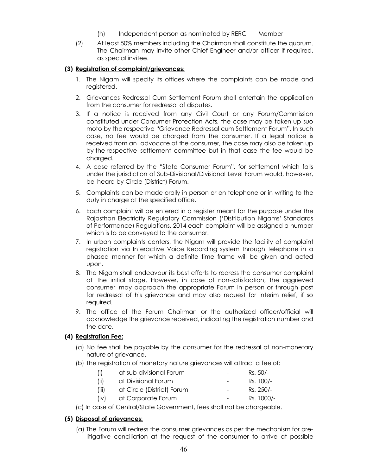- (h) Independent person as nominated by RERC Member
- (2) At least 50% members including the Chairman shall constitute the quorum. The Chairman may invite other Chief Engineer and/or officer if required, as special invitee.

#### **(3) Registration of complaint/grievances:**

- 1. The Nigam will specify its offices where the complaints can be made and registered.
- 2. Grievances Redressal Cum Settlement Forum shall entertain the application from the consumer for redressal of disputes.
- 3. If a notice is received from any Civil Court or any Forum/Commission constituted under Consumer Protection Acts, the case may be taken up suo moto by the respective "Grievance Redressal cum Settlement Forum". In such case, no fee would be charged from the consumer. If a legal notice is received from an advocate of the consumer, the case may also be taken up by the respective settlement committee but in that case the fee would be charged.
- 4. A case referred by the "State Consumer Forum", for settlement which falls under the jurisdiction of Sub-Divisional/Divisional Level Forum would, however, be heard by Circle (District) Forum.
- 5. Complaints can be made orally in person or on telephone or in writing to the duty in charge at the specified office.
- 6. Each complaint will be entered in a register meant for the purpose under the Rajasthan Electricity Regulatory Commission ('Distribution Nigams' Standards of Performance) Regulations, 2014 each complaint will be assigned a number which is to be conveyed to the consumer.
- 7. In urban complaints centers, the Nigam will provide the facility of complaint registration via Interactive Voice Recording system through telephone in a phased manner for which a definite time frame will be given and acted upon.
- 8. The Nigam shall endeavour its best efforts to redress the consumer complaint at the initial stage. However, in case of non-satisfaction, the aggrieved consumer may approach the appropriate Forum in person or through post for redressal of his grievance and may also request for interim relief, if so required.
- 9. The office of the Forum Chairman or the authorized officer/official will acknowledge the grievance received, indicating the registration number and the date.

#### **(4) Registration Fee:**

- (a) No fee shall be payable by the consumer for the redressal of non-monetary nature of grievance.
- (b) The registration of monetary nature grievances will attract a fee of:

| (1)   | at sub-divisional Forum    | $\equiv$                 | Rs. 50/-   |
|-------|----------------------------|--------------------------|------------|
| (ii)  | at Divisional Forum        | $\equiv$                 | Rs. 100/-  |
| (iii) | at Circle (District) Forum | $\sim$                   | Rs. 250/-  |
| (iv)  | at Corporate Forum         | $\overline{\phantom{0}}$ | Rs. 1000/- |

(c) In case of Central/State Government, fees shall not be chargeable.

#### **(5) Disposal of grievances:**

(a) The Forum will redress the consumer grievances as per the mechanism for prelitigative conciliation at the request of the consumer to arrive at possible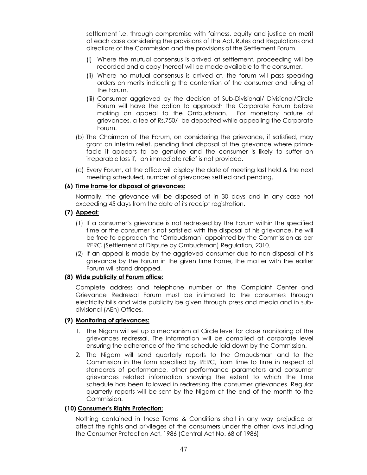settlement i.e. through compromise with fairness, equity and justice on merit of each case considering the provisions of the Act, Rules and Regulations and directions of the Commission and the provisions of the Settlement Forum.

- (i) Where the mutual consensus is arrived at settlement, proceeding will be recorded and a copy thereof will be made available to the consumer.
- (ii) Where no mutual consensus is arrived at, the forum will pass speaking orders on merits indicating the contention of the consumer and ruling of the Forum.
- (iii) Consumer aggrieved by the decision of Sub-Divisional/ Divisional/Circle Forum will have the option to approach the Corporate Forum before making an appeal to the Ombudsman. For monetary nature of grievances, a fee of Rs.750/- be deposited while appealing the Corporate Forum.
- (b) The Chairman of the Forum, on considering the grievance, if satisfied, may grant an interim relief, pending final disposal of the grievance where primafacie it appears to be genuine and the consumer is likely to suffer an irreparable loss if, an immediate relief is not provided.
- (c) Every Forum, at the office will display the date of meeting last held & the next meeting scheduled, number of grievances settled and pending.

#### **(6) Time frame for disposal of grievances:**

Normally, the grievance will be disposed of in 30 days and in any case not exceeding 45 days from the date of its receipt registration.

#### **(7) Appeal:**

- (1) If a consumer's grievance is not redressed by the Forum within the specified time or the consumer is not satisfied with the disposal of his grievance, he will be free to approach the 'Ombudsman' appointed by the Commission as per RERC (Settlement of Dispute by Ombudsman) Regulation, 2010.
- (2) If an appeal is made by the aggrieved consumer due to non-disposal of his grievance by the Forum in the given time frame, the matter with the earlier Forum will stand dropped.

#### **(8) Wide publicity of Forum office:**

Complete address and telephone number of the Complaint Center and Grievance Redressal Forum must be intimated to the consumers through electricity bills and wide publicity be given through press and media and in subdivisional (AEn) Offices.

#### **(9) Monitoring of grievances:**

- 1. The Nigam will set up a mechanism at Circle level for close monitoring of the grievances redressal. The information will be compiled at corporate level ensuring the adherence of the time schedule laid down by the Commission.
- 2. The Nigam will send quarterly reports to the Ombudsman and to the Commission in the form specified by RERC, from time to time in respect of standards of performance, other performance parameters and consumer grievances related information showing the extent to which the time schedule has been followed in redressing the consumer grievances. Regular quarterly reports will be sent by the Nigam at the end of the month to the Commission.

#### **(10) Consumer's Rights Protection:**

Nothing contained in these Terms & Conditions shall in any way prejudice or affect the rights and privileges of the consumers under the other laws including the Consumer Protection Act, 1986 (Central Act No. 68 of 1986)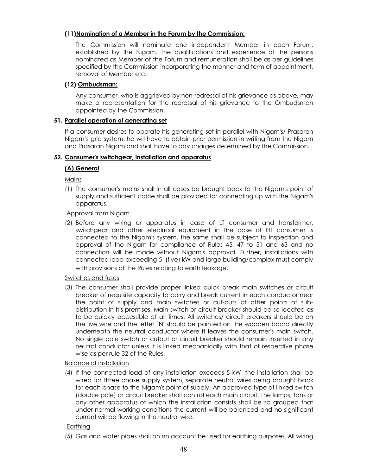## **(11)Nomination of a Member in the Forum by the Commission:**

The Commission will nominate one independent Member in each Forum, established by the Nigam. The qualifications and experience of the persons nominated as Member of the Forum and remuneration shall be as per guidelines specified by the Commission incorporating the manner and term of appointment, removal of Member etc.

## **(12) Ombudsman:**

Any consumer, who is aggrieved by non-redressal of his grievance as above**,** may make a representation for the redressal of his grievance to the Ombudsman appointed by the Commission.

#### **51. Parallel operation of generating set**

If a consumer desires to operate his generating set in parallel with Nigam's/ Prasaran Nigam's grid system, he will have to obtain prior permission in writing from the Nigam and Prasaran Nigam and shall have to pay charges determined by the Commission.

#### **52. Consumer's switchgear, installation and apparatus**

#### **(A) General**

Mains

(1) The consumer's mains shall in all cases be brought back to the Nigam's point of supply and sufficient cable shall be provided for connecting up with the Nigam's apparatus.

#### Approval from Nigam

(2) Before any wiring or apparatus in case of LT consumer and transformer, switchgear and other electrical equipment in the case of HT consumer is connected to the Nigam's system, the same shall be subject to inspection and approval of the Nigam for compliance of Rules 45, 47 to 51 and 63 and no connection will be made without Nigam's approval. Further, installations with connected load exceeding 5 (five) kW and large building/complex must comply with provisions of the Rules relating to earth leakage.

#### Switches and fuses

(3) The consumer shall provide proper linked quick break main switches or circuit breaker of requisite capacity to carry and break current in each conductor near the point of supply and main switches or cut-outs at other points of subdistribution in his premises. Main switch or circuit breaker should be so located as to be quickly accessible at all times. All switches/ circuit breakers should be on the live wire and the letter `N' should be painted on the wooden board directly underneath the neutral conductor where it leaves the consumer's main switch. No single pole switch or cutout or circuit breaker should remain inserted in any neutral conductor unless it is linked mechanically with that of respective phase wise as per rule 32 of the Rules.

#### Balance of installation

(4) If the connected load of any installation exceeds 5 kW, the installation shall be wired for three phase supply system, separate neutral wires being brought back for each phase to the Nigam's point of supply. An approved type of linked switch (double pole) or circuit breaker shall control each main circuit. The lamps, fans or any other apparatus of which the installation consists shall be so grouped that under normal working conditions the current will be balanced and no significant current will be flowing in the neutral wire.

#### Earthing

(5) Gas and water pipes shall on no account be used for earthing purposes. All wiring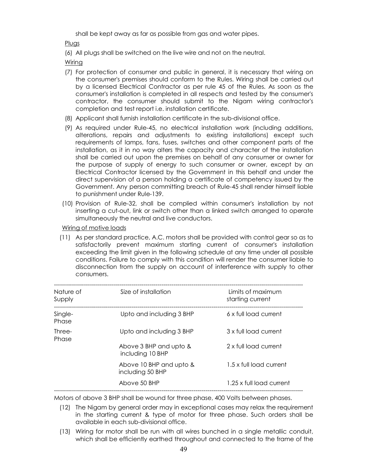shall be kept away as far as possible from gas and water pipes.

Plugs

(6) All plugs shall be switched on the live wire and not on the neutral.

Wiring

- (7) For protection of consumer and public in general, it is necessary that wiring on the consumer's premises should conform to the Rules. Wiring shall be carried out by a licensed Electrical Contractor as per rule 45 of the Rules. As soon as the consumer's installation is completed in all respects and tested by the consumer's contractor, the consumer should submit to the Nigam wiring contractor's completion and test report i.e. installation certificate.
- (8) Applicant shall furnish installation certificate in the sub-divisional office.
- (9) As required under Rule-45, no electrical installation work (including additions, alterations, repairs and adjustments to existing installations) except such requirements of lamps, fans, fuses, switches and other component parts of the installation, as it in no way alters the capacity and character of the installation shall be carried out upon the premises on behalf of any consumer or owner for the purpose of supply of energy to such consumer or owner, except by an Electrical Contractor licensed by the Government in this behalf and under the direct supervision of a person holding a certificate of competency issued by the Government. Any person committing breach of Rule-45 shall render himself liable to punishment under Rule-139.
- (10) Provision of Rule-32, shall be complied within consumer's installation by not inserting a cut-out, link or switch other than a linked switch arranged to operate simultaneously the neutral and live conductors.

Wiring of motive loads

(11) As per standard practice, A.C. motors shall be provided with control gear so as to satisfactorily prevent maximum starting current of consumer's installation exceeding the limit given in the following schedule at any time under all possible conditions. Failure to comply with this condition will render the consumer liable to disconnection from the supply on account of interference with supply to other consumers.

| Nature of<br>Supply | Size of installation                        | Limits of maximum<br>starting current |
|---------------------|---------------------------------------------|---------------------------------------|
| Single-<br>Phase    | Upto and including 3 BHP                    | 6 x full load current                 |
| Three-<br>Phase     | Upto and including 3 BHP                    | 3 x full load current                 |
|                     | Above 3 BHP and upto &<br>including 10 BHP  | 2 x full load current                 |
|                     | Above 10 BHP and upto &<br>including 50 BHP | 1.5 x full load current               |
|                     | Above 50 BHP                                | 1.25 x full load current              |

Motors of above 3 BHP shall be wound for three phase, 400 Volts between phases.

- (12) The Nigam by general order may in exceptional cases may relax the requirement in the starting current & type of motor for three phase. Such orders shall be available in each sub-divisional office.
- (13) Wiring for motor shall be run with all wires bunched in a single metallic conduit, which shall be efficiently earthed throughout and connected to the frame of the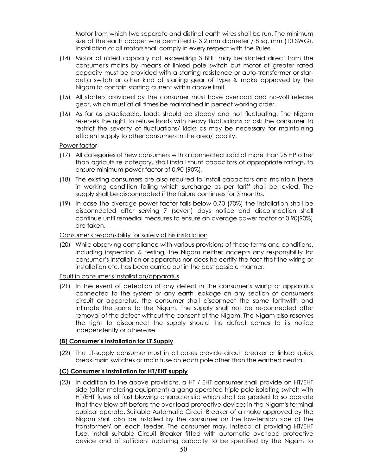Motor from which two separate and distinct earth wires shall be run. The minimum size of the earth copper wire permitted is 3.2 mm diameter / 8 sq. mm (10 SWG). Installation of all motors shall comply in every respect with the Rules.

- (14) Motor of rated capacity not exceeding 3 BHP may be started direct from the consumer's mains by means of linked pole switch but motor of greater rated capacity must be provided with a starting resistance or auto-transformer or stardelta switch or other kind of starting gear of type & make approved by the Nigam to contain starting current within above limit.
- (15) All starters provided by the consumer must have overload and no-volt release gear, which must at all times be maintained in perfect working order.
- (16) As far as practicable, loads should be steady and not fluctuating. The Nigam reserves the right to refuse loads with heavy fluctuations or ask the consumer to restrict the severity of fluctuations/ kicks as may be necessary for maintaining efficient supply to other consumers in the area/ locality.

#### Power factor

- (17) All categories of new consumers with a connected load of more than 25 HP other than agriculture category, shall install shunt capacitors of appropriate ratings, to ensure minimum power factor of 0.90 (90%).
- (18) The existing consumers are also required to install capacitors and maintain these in working condition failing which surcharge as per tariff shall be levied. The supply shall be disconnected if the failure continues for 3 months.
- (19) In case the average power factor falls below 0.70 (70%) the installation shall be disconnected after serving 7 (seven) days notice and disconnection shall continue until remedial measures to ensure an average power factor of 0.90(90%) are taken.

#### Consumer's responsibility for safety of his installation

(20) While observing compliance with various provisions of these terms and conditions, including inspection & testing, the Nigam neither accepts any responsibility for consumer's installation or apparatus nor does he certify the fact that the wiring or installation etc. has been carried out in the best possible manner.

#### Fault in consumer's installation/apparatus

(21) In the event of detection of any defect in the consumer's wiring or apparatus connected to the system or any earth leakage on any section of consumer's circuit or apparatus, the consumer shall disconnect the same forthwith and intimate the same to the Nigam. The supply shall not be re-connected after removal of the defect without the consent of the Nigam. The Nigam also reserves the right to disconnect the supply should the defect comes to its notice independently or otherwise.

#### **(B) Consumer's installation for LT Supply**

(22) The LT-supply consumer must in all cases provide circuit breaker or linked quick break main switches or main fuse on each pole other than the earthed neutral.

#### **(C) Consumer's installation for HT/EHT supply**

(23) In addition to the above provisions, a HT / EHT consumer shall provide on HT/EHT side (after metering equipment) a gang operated triple pole isolating switch with HT/EHT fuses of fast blowing characteristic which shall be graded to so operate that they blow off before the over load protective devices in the Nigam's terminal cubical operate. Suitable Automatic Circuit Breaker of a make approved by the Nigam shall also be installed by the consumer on the low-tension side of the transformer/ on each feeder. The consumer may, instead of providing HT/EHT fuse, install suitable Circuit Breaker fitted with automatic overload protective device and of sufficient rupturing capacity to be specified by the Nigam to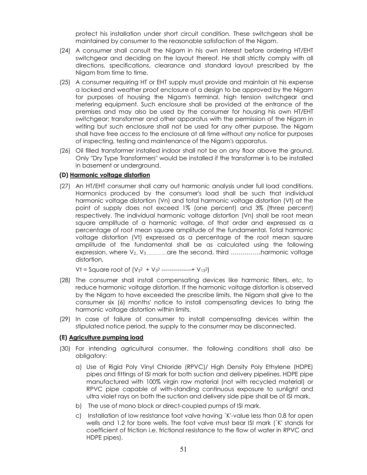protect his installation under short circuit condition. These switchgears shall be maintained by consumer to the reasonable satisfaction of the Nigam.

- (24) A consumer shall consult the Nigam in his own interest before ordering HT/EHT switchgear and deciding on the layout thereof. He shall strictly comply with all directions, specifications, clearance and standard layout prescribed by the Nigam from time to time.
- (25) A consumer requiring HT or EHT supply must provide and maintain at his expense a locked and weather proof enclosure of a design to be approved by the Nigam for purposes of housing the Nigam's terminal, high tension switchgear and metering equipment. Such enclosure shall be provided at the entrance of the premises and may also be used by the consumer for housing his own HT/EHT switchgear; transformer and other apparatus with the permission of the Nigam in writing but such enclosure shall not be used for any other purpose. The Nigam shall have free access to the enclosure at all time without any notice for purposes of inspecting, testing and maintenance of the Nigam's apparatus.
- (26) Oil filled transformer installed indoor shall not be on any floor above the ground. Only "Dry Type Transformers" would be installed if the transformer is to be installed in basement or underground.

#### **(D) Harmonic voltage distortion**

(27) An HT/EHT consumer shall carry out harmonic analysis under full load conditions. Harmonics produced by the consumer's load shall be such that individual harmonic voltage distortion (Vn) and total harmonic voltage distortion (Vt) at the point of supply does not exceed 1% (one percent) and 3% (three percent) respectively. The individual harmonic voltage distortion (Vn) shall be root mean square amplitude of a harmonic voltage, of that order and expressed as a percentage of root mean square amplitude of the fundamental. Total harmonic voltage distortion (Vt) expressed as a percentage of the root mean square amplitude of the fundamental shall be as calculated using the following expression, where  $V_{2}$ ,  $V_{3}$  ...............are the second, third ................harmonic voltage distortion,

 $Vt =$  Square root of  $(V_2^2 + V_3^2$  ---------------+  $V_{13}^2$ 

- (28) The consumer shall install compensating devices like harmonic filters, etc, to reduce harmonic voltage distortion. If the harmonic voltage distortion is observed by the Nigam to have exceeded the prescribe limits, the Nigam shall give to the consumer six (6) months' notice to install compensating devices to bring the harmonic voltage distortion within limits.
- (29) In case of failure of consumer to install compensating devices within the stipulated notice period, the supply to the consumer may be disconnected.

#### **(E) Agriculture pumping load**

- (30) For intending agricultural consumer, the following conditions shall also be obligatory:
	- a) Use of Rigid Poly Vinyl Chloride (RPVC)/ High Density Poly Ethylene (HDPE) pipes and fittings of ISI mark for both suction and delivery pipelines. HDPE pipe manufactured with 100% virgin raw material (not with recycled material) or RPVC pipe capable of with-standing continuous exposure to sunlight and ultra violet rays on both the suction and delivery side pipe shall be of ISI mark.
	- b) The use of mono block or direct-coupled pumps of ISI mark.
	- c) Installation of low resistance foot valve having `K'-value less than 0.8 for open wells and 1.2 for bore wells. The foot valve must bear ISI mark (`K' stands for coefficient of friction i.e. frictional resistance to the flow of water in RPVC and HDPE pipes).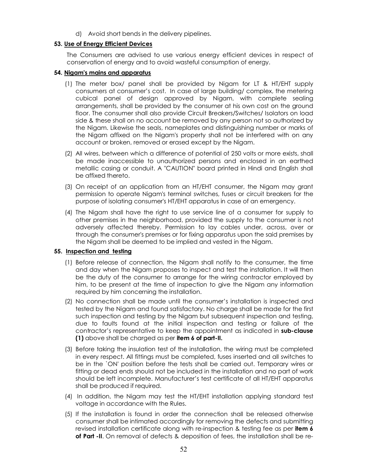d) Avoid short bends in the delivery pipelines.

### **53. Use of Energy Efficient Devices**

The Consumers are advised to use various energy efficient devices in respect of conservation of energy and to avoid wasteful consumption of energy.

#### **54. Nigam's mains and apparatus**

- (1) The meter box/ panel shall be provided by Nigam for LT & HT/EHT supply consumers at consumer's cost. In case of large building/ complex, the metering cubical panel of design approved by Nigam, with complete sealing arrangements, shall be provided by the consumer at his own cost on the ground floor. The consumer shall also provide Circuit Breakers/Switches/ Isolators on load side & these shall on no account be removed by any person not so authorized by the Nigam. Likewise the seals, nameplates and distinguishing number or marks of the Nigam affixed on the Nigam's property shall not be interfered with on any account or broken, removed or erased except by the Nigam.
- (2) All wires, between which a difference of potential of 250 volts or more exists, shall be made inaccessible to unauthorized persons and enclosed in an earthed metallic casing or conduit. A "CAUTION" board printed in Hindi and English shall be affixed thereto.
- (3) On receipt of an application from an HT/EHT consumer, the Nigam may grant permission to operate Nigam's terminal switches, fuses or circuit breakers for the purpose of isolating consumer's HT/EHT apparatus in case of an emergency.
- (4) The Nigam shall have the right to use service line of a consumer for supply to other premises in the neighborhood, provided the supply to the consumer is not adversely affected thereby. Permission to lay cables under, across, over or through the consumer's premises or for fixing apparatus upon the said premises by the Nigam shall be deemed to be implied and vested in the Nigam.

## **55. Inspection and testing**

- (1) Before release of connection, the Nigam shall notify to the consumer, the time and day when the Nigam proposes to inspect and test the installation. It will then be the duty of the consumer to arrange for the wiring contractor employed by him, to be present at the time of inspection to give the Nigam any information required by him concerning the installation.
- (2) No connection shall be made until the consumer's installation is inspected and tested by the Nigam and found satisfactory. No charge shall be made for the first such inspection and testing by the Nigam but subsequent inspection and testing, due to faults found at the initial inspection and testing or failure of the contractor's representative to keep the appointment as indicated in **sub-clause (1)** above shall be charged as per **item 6 of part-II.**
- (3) Before taking the insulation test of the installation, the wiring must be completed in every respect. All fittings must be completed, fuses inserted and all switches to be in the `ON' position before the tests shall be carried out. Temporary wires or fitting or dead ends should not be included in the installation and no part of work should be left incomplete. Manufacturer's test certificate of all HT/EHT apparatus shall be produced if required.
- (4) In addition, the Nigam may test the HT/EHT installation applying standard test voltage in accordance with the Rules.
- (5) If the installation is found in order the connection shall be released otherwise consumer shall be intimated accordingly for removing the defects and submitting revised installation certificate along with re-inspection & testing fee as per **item 6 of Part -II**. On removal of defects & deposition of fees, the installation shall be re-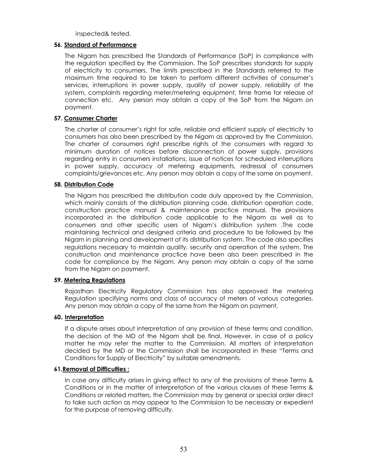inspected& tested.

#### **56. Standard of Performance**

The Nigam has prescribed the Standards of Performance (SoP) in compliance with the regulation specified by the Commission. The SoP prescribes standards for supply of electricity to consumers. The limits prescribed in the Standards referred to the maximum time required to be taken to perform different activities of consumer's services, interruptions in power supply, quality of power supply, reliability of the system, complaints regarding meter/metering equipment, time frame for release of connection etc. Any person may obtain a copy of the SoP from the Nigam on payment.

#### **57. Consumer Charter**

The charter of consumer's right for safe, reliable and efficient supply of electricity to consumers has also been prescribed by the Nigam as approved by the Commission. The charter of consumers right prescribe rights of the consumers with regard to minimum duration of notices before disconnection of power supply, provisions regarding entry in consumers installations, issue of notices for scheduled interruptions in power supply, accuracy of metering equipments, redressal of consumers complaints/grievances etc. Any person may obtain a copy of the same on payment.

#### **58. Distribution Code**

The Nigam has prescribed the distribution code duly approved by the Commission, which mainly consists of the distribution planning code, distribution operation code, construction practice manual & maintenance practice manual. The provisions incorporated in the distribution code applicable to the Nigam as well as to consumers and other specific users of Nigam's distribution system .The code maintaining technical and designed criteria and procedure to be followed by the Nigam in planning and development of its distribution system. The code also specifies regulations necessary to maintain quality, security and operation of the system. The construction and maintenance practice have been also been prescribed in the code for compliance by the Nigam. Any person may obtain a copy of the same from the Nigam on payment.

#### **59. Metering Regulations**

Rajasthan Electricity Regulatory Commission has also approved the metering Regulation specifying norms and class of accuracy of meters of various categories. Any person may obtain a copy of the same from the Nigam on payment.

#### **60. Interpretation**

If a dispute arises about interpretation of any provision of these terms and condition, the decision of the MD of the Nigam shall be final. However, in case of a policy matter he may refer the matter to the Commission. All matters of interpretation decided by the MD or the Commission shall be incorporated in these "Terms and Conditions for Supply of Electricity" by suitable amendments.

### **61.Removal of Difficulties :**

In case any difficulty arises in giving effect to any of the provisions of these Terms & Conditions or in the matter of interpretation of the various clauses of these Terms & Conditions or related matters, the Commission may by general or special order direct to take such action as may appear to the Commission to be necessary or expedient for the purpose of removing difficulty.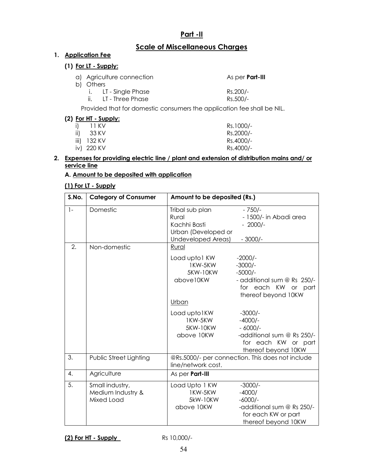## **Part -II**

## **Scale of Miscellaneous Charges**

As per **Part-III** 

## **1. Application Fee**

## **(1) For LT - Supply:**

| a) Agriculture connection |  |
|---------------------------|--|
|---------------------------|--|

b) Others

| - - . - |                      |          |
|---------|----------------------|----------|
|         | i. LT - Single Phase | Rs.200/- |
| ii.     | LT - Three Phase     | Rs.500/- |

Provided that for domestic consumers the application fee shall be NIL.

## **(2) For HT - Supply:**

|     | . <b>.</b>  |           |
|-----|-------------|-----------|
|     | i) 11 KV    | Rs.1000/- |
| ii) | – 33 KV     | Rs.2000/- |
|     | iii) 132 KV | Rs.4000/- |
|     | iv) 220 KV  | Rs.4000/- |

#### **2. Expenses for providing electric line / plant and extension of distribution mains and/ or service line**

#### **A. Amount to be deposited with application**

## **(1) For LT - Supply**

| S.No.        | <b>Category of Consumer</b>                        | Amount to be deposited (Rs.)                                                          |                                                                                                                  |
|--------------|----------------------------------------------------|---------------------------------------------------------------------------------------|------------------------------------------------------------------------------------------------------------------|
| $\mathbf{1}$ | Domestic                                           | Tribal sub plan<br>Rural<br>Kachhi Basti<br>Urban (Developed or<br>Undeveloped Areas) | $-750/-$<br>- 1500/- in Abadi area<br>$-2000/-$<br>$-3000/-$                                                     |
| 2.           | Non-domestic                                       | Rural                                                                                 |                                                                                                                  |
|              |                                                    | Load upto 1 KW<br>1KW-5KW<br>5KW-10KW<br>above10KW<br>Urban                           | $-2000/-$<br>$-3000/-$<br>$-5000/-$<br>- additional sum @ Rs 250/-<br>for each KW or part<br>thereof beyond 10KW |
|              |                                                    | Load upto1KW<br>1KW-5KW<br>5KW-10KW<br>above 10KW                                     | $-3000/-$<br>$-4000/-$<br>$-6000/-$<br>-additional sum @ Rs 250/-<br>for each KW or part<br>thereof beyond 10KW  |
| 3.           | Public Street Lighting                             | line/network cost.                                                                    | @Rs.5000/- per connection. This does not include                                                                 |
| 4.           | Agriculture                                        | As per Part-III                                                                       |                                                                                                                  |
| 5.           | Small industry,<br>Medium Industry &<br>Mixed Load | Load Upto 1 KW<br>1KW-5KW<br>5kW-10KW<br>above 10KW                                   | $-3000/-$<br>$-4000/$<br>$-6000/-$<br>-additional sum @ Rs 250/-<br>for each KW or part<br>thereof beyond 10KW   |

**(2) For HT - Supply** Rs 10,000/-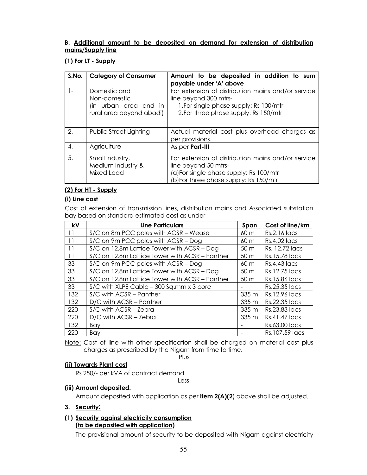### **B. Additional amount to be deposited on demand for extension of distribution mains/Supply line**

## **(1) For LT - Supply**

| S.No. | <b>Category of Consumer</b>                                                                                                                                                                                                                         | Amount to be deposited in addition to sum<br>payable under 'A' above                                                                                           |
|-------|-----------------------------------------------------------------------------------------------------------------------------------------------------------------------------------------------------------------------------------------------------|----------------------------------------------------------------------------------------------------------------------------------------------------------------|
| 1-    | For extension of distribution mains and/or service<br>Domestic and<br>Non-domestic<br>line beyond 300 mtrs-<br>1. For single phase supply: Rs 100/mtr<br>(in urban area and in<br>2. For three phase supply: Rs 150/mtr<br>rural area beyond abadi) |                                                                                                                                                                |
| 2.    | Public Street Lighting<br>Actual material cost plus overhead charges as<br>per provisions.                                                                                                                                                          |                                                                                                                                                                |
| 4.    | Agriculture                                                                                                                                                                                                                                         | As per Part-III                                                                                                                                                |
| 5.    | Small industry,<br>Medium Industry &<br>Mixed Load                                                                                                                                                                                                  | For extension of distribution mains and/or service<br>line beyond 50 mtrs-<br>(a) For single phase supply: Rs 100/mtr<br>(b)For three phase supply: Rs 150/mtr |

## **(2) For HT - Supply**

## **(i) Line cost**

Cost of extension of transmission lines, distribution mains and Associated substation bay based on standard estimated cost as under

| kV  | <b>Line Particulars</b>                        | Span            | Cost of line/km |
|-----|------------------------------------------------|-----------------|-----------------|
| 11  | S/C on 8m PCC poles with ACSR - Weasel         | 60 m            | Rs.2.16 lacs    |
| 11  | S/C on 9m PCC poles with ACSR - Dog            | 60 m            | $Rs.4.02$ lacs  |
| 11  | S/C on 12.8m Lattice Tower with ACSR - Dog     | 50 <sub>m</sub> | Rs. 12.72 lacs  |
| 11  | S/C on 12.8m Lattice Tower with ACSR - Panther | 50 m            | Rs.15.78 lacs   |
| 33  | S/C on 9m PCC poles with ACSR - Dog            | 60 <sub>m</sub> | $Rs.4.43$ lacs  |
| 33  | S/C on 12.8m Lattice Tower with ACSR - Dog     | 50 <sub>m</sub> | Rs.12.75 lacs   |
| 33  | S/C on 12.8m Lattice Tower with ACSR - Panther | 50 <sub>m</sub> | Rs.15.86 lacs   |
| 33  | S/C with XLPE Cable - 300 Sq.mm x 3 core       |                 | Rs.25.35 lacs   |
| 132 | S/C with ACSR - Panther                        | 335 m           | Rs.12.96 lacs   |
| 132 | D/C with ACSR - Panther                        | 335 m           | Rs.22.35 lacs   |
| 220 | S/C with ACSR - Zebra                          | 335 m           | Rs.23.83 lacs   |
| 220 | D/C with ACSR - Zebra                          | 335 m           | Rs.41.47 lacs   |
| 132 | Bay                                            |                 | Rs.63.00 lacs   |
| 220 | Bay                                            |                 | Rs.107.59 lacs  |

Note: Cost of line with other specification shall be charged on material cost plus charges as prescribed by the Nigam from time to time.

Plus

## **(ii) Towards Plant cost**

Rs 250/- per kVA of contract demand

Less

## **(iii) Amount deposited.**

Amount deposited with application as per **item 2(A)(2**) above shall be adjusted.

## **3. Security:**

## **(1) Security against electricity consumption (to be deposited with application)**

The provisional amount of security to be deposited with Nigam against electricity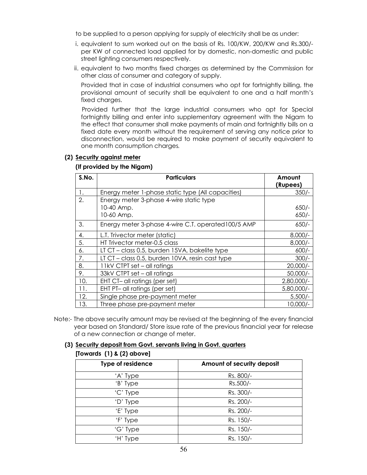to be supplied to a person applying for supply of electricity shall be as under:

- i. equivalent to sum worked out on the basis of Rs. 100/KW, 200/KW and Rs.300/ per KW of connected load applied for by domestic, non-domestic and public street lighting consumers respectively.
- ii. equivalent to two months fixed charges as determined by the Commission for other class of consumer and category of supply.

Provided that in case of industrial consumers who opt for fortnightly billing, the provisional amount of security shall be equivalent to one and a half month's fixed charges.

 Provided further that the large industrial consumers who opt for Special fortnightly billing and enter into supplementary agreement with the Nigam to the effect that consumer shall make payments of main and fortnightly bills on a fixed date every month without the requirement of serving any notice prior to disconnection, would be required to make payment of security equivalent to one month consumption charges.

#### **(2) Security against meter**

#### **(If provided by the Nigam)**

| S.No. | <b>Particulars</b>                                  | Amount<br>(Rupees) |
|-------|-----------------------------------------------------|--------------------|
| 1.    | Energy meter 1-phase static type (All capacities)   | $350/-$            |
| 2.    | Energy meter 3-phase 4-wire static type             |                    |
|       | 10-40 Amp.                                          | $650/-$            |
|       | 10-60 Amp.                                          | $650/-$            |
| 3.    | Energy meter 3-phase 4-wire C.T. operated 100/5 AMP | $650/-$            |
| 4.    | L.T. Trivector meter (static)                       | $8,000/-$          |
| 5.    | HT Trivector meter-0.5 class                        | $8,000/-$          |
| 6.    | LT CT - class 0.5, burden 15VA, bakelite type       | $600/-$            |
| 7.    | LT CT - class 0.5, burden 10VA, resin cast type     | $300/-$            |
| 8.    | 11kV CTPT set - all ratings                         | $20,000/-$         |
| 9.    | 33kV CTPT set - all ratings                         | $50,000/-$         |
| 10.   | EHT CT-all ratings (per set)                        | $2,80,000/-$       |
| 11.   | EHT PT- all ratings (per set)                       | 5,80,000/-         |
| 12.   | Single phase pre-payment meter                      | $5,500/-$          |
| 13.   | Three phase pre-payment meter                       | $10,000/-$         |

Note:- The above security amount may be revised at the beginning of the every financial year based on Standard/ Store issue rate of the previous financial year for release of a new connection or change of meter.

#### **(3) Security deposit from Govt. servants living in Govt. quarters**

#### **[Towards (1) & (2) above]**

| <b>Type of residence</b> | Amount of security deposit |
|--------------------------|----------------------------|
| 'A' Type                 | Rs. 800/-                  |
| 'B' Type                 | Rs.500/-                   |
| 'C' Type                 | Rs. 300/-                  |
| 'D' Type                 | Rs. 200/-                  |
| 'E' Type                 | Rs. 200/-                  |
| 'F' Type                 | Rs. 150/-                  |
| 'G' Type                 | Rs. 150/-                  |
| 'H' Type                 | Rs. 150/-                  |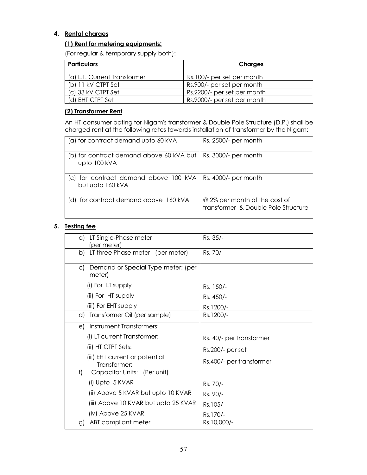## **4. Rental charges**

## **(1) Rent for metering equipments:**

(For regular & temporary supply both):

| <b>Particulars</b>           | <b>Charges</b>              |
|------------------------------|-----------------------------|
| (a) L.T. Current Transformer | Rs.100/- per set per month  |
| (b) 11 kV CTPT Set           | Rs.900/- per set per month  |
| (c) 33 kV CTPT Set           | Rs.2200/- per set per month |
| (d) EHT CTPT Set             | Rs.9000/- per set per month |

#### **(2) Transformer Rent**

An HT consumer opting for Nigam's transformer & Double Pole Structure (D.P.) shall be charged rent at the following rates towards installation of transformer by the Nigam:

| (a) for contract demand upto 60 kVA                                              | Rs. 2500/- per month                                                 |
|----------------------------------------------------------------------------------|----------------------------------------------------------------------|
| (b) for contract demand above 60 kVA but<br>upto 100 kVA                         | Rs. 3000/- per month                                                 |
| (c) for contract demand above 100 kVA   Rs. 4000/- per month<br>but upto 160 kVA |                                                                      |
| (d) for contract demand above 160 kVA                                            | @ 2% per month of the cost of<br>transformer & Double Pole Structure |

## **5. Testing fee**

| a) LT Single-Phase meter<br>(per meter)         | Rs. 35/-                 |
|-------------------------------------------------|--------------------------|
| b) LT three Phase meter (per meter)             | Rs. 70/-                 |
| c) Demand or Special Type meter: (per<br>meter) |                          |
| (i) For LT supply                               | Rs. 150/-                |
| (ii) For HT supply                              | Rs. 450/-                |
| (iii) For EHT supply                            | Rs.1200/-                |
| d) Transformer Oil (per sample)                 | Rs.1200/-                |
| e) Instrument Transformers:                     |                          |
| (i) LT current Transformer:                     | Rs. 40/- per transformer |
| (ii) HT CTPT Sets:                              | Rs.200/- per set         |
| (iii) EHT current or potential<br>Transformer:  | Rs.400/- per transformer |
| f)<br>Capacitor Units: (Per unit)               |                          |
| (i) Upto 5 KVAR                                 | Rs. 70/-                 |
| (ii) Above 5 KVAR but upto 10 KVAR              | Rs. 90/-                 |
| (iii) Above 10 KVAR but upto 25 KVAR            | Rs.105/-                 |
| (iv) Above 25 KVAR                              | Rs.170/-                 |
| ABT compliant meter<br>g)                       | Rs.10,000/-              |
|                                                 |                          |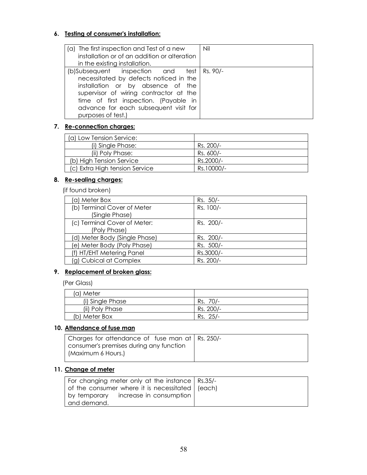## **6. Testing of consumer's installation:**

| (a) The first inspection and Test of a new<br>installation or of an addition or alteration<br>in the existing installation.                                                                                                                                        | Nil      |
|--------------------------------------------------------------------------------------------------------------------------------------------------------------------------------------------------------------------------------------------------------------------|----------|
| (b)Subsequent inspection and test<br>necessitated by defects noticed in the<br>installation or by absence of the<br>supervisor of wiring contractor at the<br>time of first inspection. (Payable in<br>advance for each subsequent visit for<br>purposes of test.) | Rs. 90/- |

## **7. Re-connection charges:**

| (a) Low Tension Service:       |            |
|--------------------------------|------------|
| (i) Single Phase:              | Rs. 200/-  |
| (ii) Poly Phase:               | Rs. 600/-  |
| (b) High Tension Service       | Rs.2000/-  |
| (c) Extra High tension Service | Rs.10000/- |

## **8. Re-sealing charges:**

(if found broken)

| (a) Meter Box                                 | Rs. 50/-  |
|-----------------------------------------------|-----------|
| (b) Terminal Cover of Meter<br>(Single Phase) | Rs. 100/- |
| (c) Terminal Cover of Meter:<br>(Poly Phase)  | Rs. 200/- |
| (d) Meter Body (Single Phase)                 | Rs. 200/- |
| (e) Meter Body (Poly Phase)                   | Rs. 500/- |
| (f) HT/EHT Metering Panel                     | Rs.3000/- |
| (g) Cubical at Complex                        | Rs. 200/- |

## **9. Replacement of broken glass:**

(Per Glass)

| (a) Meter        |               |
|------------------|---------------|
| (i) Single Phase | 70/-<br>Rs.   |
| (ii) Poly Phase  | Rs. 200/-     |
| (b) Meter Box    | $25/-$<br>Rs. |

## **10. Attendance of fuse man**

| Charges for attendance of fuse man at   Rs. 250/- |  |
|---------------------------------------------------|--|
| consumer's premises during any function           |  |
| (Maximum 6 Hours.)                                |  |

## **11. Change of meter**

| For changing meter only at the instance   Rs.35/- |  |
|---------------------------------------------------|--|
| of the consumer where it is necessitated   (each) |  |
| by temporary increase in consumption              |  |
| I and demand.                                     |  |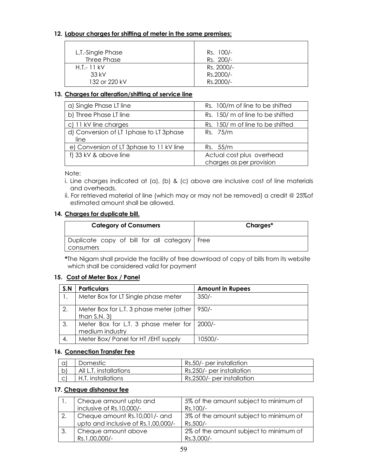### **12. Labour charges for shifting of meter in the same premises:**

| L.T.-Single Phase | Rs. 100/-  |
|-------------------|------------|
| Three Phase       | Rs. 200/-  |
| H.T.- 11 kV       | Rs. 2000/- |
| $33$ kV           | Rs.2000/-  |
| 132 or 220 kV     | Rs.2000/-  |

## **13. Charges for alteration/shifting of service line**

| a) Single Phase LT line                  | Rs. 100/m of line to be shifted  |
|------------------------------------------|----------------------------------|
| b) Three Phase LT line                   | Rs. 150/ m of line to be shifted |
| c) 11 kV line charges                    | Rs. 150/ m of line to be shifted |
| d) Conversion of LT 1phase to LT 3phase  | Rs. 75/m                         |
| line                                     |                                  |
| e) Conversion of LT 3phase to 11 kV line | Rs. 55/m                         |
| f) 33 kV & above line                    | Actual cost plus overhead        |
|                                          | charges as per provision         |

Note:

- i. Line charges indicated at (a), (b) & (c) above are inclusive cost of line materials and overheads.
- ii. For retrieved material of line (which may or may not be removed) a credit @ 25%of estimated amount shall be allowed.

#### **14. Charges for duplicate bill.**

| <b>Category of Consumers</b>                   | Charges* |
|------------------------------------------------|----------|
| Duplicate copy of bill for all category   Free |          |
| consumers                                      |          |

**\***The Nigam shall provide the facility of free download of copy of bills from its website which shall be considered valid for payment

## **15. Cost of Meter Box / Panel**

| S.N | <b>Particulars</b>                                               | <b>Amount in Rupees</b> |
|-----|------------------------------------------------------------------|-------------------------|
|     | Meter Box for LT Single phase meter                              | $350/-$                 |
| 2.  | Meter Box for L.T. 3 phase meter (other   950/-<br>than $S.N. 3$ |                         |
| 3.  | Meter Box for L.T. 3 phase meter for   2000/-<br>medium industry |                         |
| 4.  | Meter Box/ Panel for HT / EHT supply                             | $10500/-$               |

## **16. Connection Transfer Fee**

| Domestic               | Rs.50/- per installation   |
|------------------------|----------------------------|
| All L.T. installations | Rs.250/- per installation  |
| H.T. installations     | Rs.2500/- per installation |

## **17. Cheque dishonour fee**

| Cheque amount upto and<br>inclusive of Rs.10,000/-                   | 5% of the amount subject to minimum of<br>Rs.100/-   |
|----------------------------------------------------------------------|------------------------------------------------------|
| Cheque amount Rs.10,001/- and<br>upto and inclusive of Rs.1,00,000/- | 3% of the amount subject to minimum of<br>Rs.500/-   |
| Cheque amount above<br>Rs.1,00,000/-                                 | 2% of the amount subject to minimum of<br>Rs.3,000/- |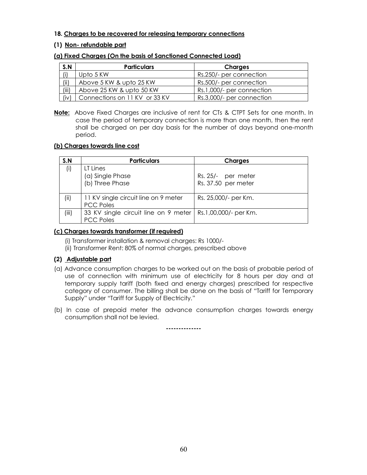#### **18. Charges to be recovered for releasing temporary connections**

#### **(1) Non- refundable part**

## **(a) Fixed Charges (On the basis of Sanctioned Connected Load)**

| S.N   | <b>Particulars</b><br><b>Charges</b> |                           |  |  |
|-------|--------------------------------------|---------------------------|--|--|
| (i)   | Upto 5 KW                            | Rs.250/- per connection   |  |  |
| (iii) | Above 5 KW & upto 25 KW              | Rs.500/- per connection   |  |  |
| (iii) | Above 25 KW & upto 50 KW             | Rs.1,000/- per connection |  |  |
| (iv)  | Connections on 11 KV or 33 KV        | Rs.3,000/- per connection |  |  |

**Note:** Above Fixed Charges are inclusive of rent for CTs & CTPT Sets for one month. In case the period of temporary connection is more than one month, then the rent shall be charged on per day basis for the number of days beyond one-month period.

#### **(b) Charges towards line cost**

| S.N   | <b>Particulars</b>                                           | <b>Charges</b>       |
|-------|--------------------------------------------------------------|----------------------|
| (i)   | LT Lines                                                     |                      |
|       | (a) Single Phase                                             | Rs. 25/- per meter   |
|       | (b) Three Phase                                              | Rs. 37.50 per meter  |
|       |                                                              |                      |
| (i)   | 11 KV single circuit line on 9 meter                         | Rs. 25,000/- per Km. |
|       | <b>PCC Poles</b>                                             |                      |
| (iii) | 33 KV single circuit line on 9 meter   Rs.1,00,000/- per Km. |                      |
|       | <b>PCC Poles</b>                                             |                      |

#### **(c) Charges towards transformer (if required)**

(i) Transformer installation & removal charges: Rs 1000/-

(ii) Transformer Rent: 80% of normal charges, prescribed above

## **(2) Adjustable part**

- (a) Advance consumption charges to be worked out on the basis of probable period of use of connection with minimum use of electricity for 8 hours per day and at temporary supply tariff (both fixed and energy charges) prescribed for respective category of consumer. The billing shall be done on the basis of "Tariff for Temporary Supply" under "Tariff for Supply of Electricity."
- (b) In case of prepaid meter the advance consumption charges towards energy consumption shall not be levied.

**--------------**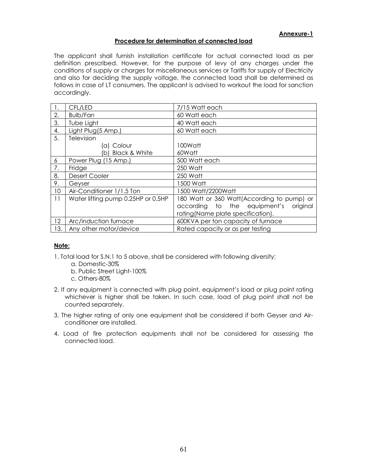#### **Procedure for determination of connected load**

The applicant shall furnish installation certificate for actual connected load as per definition prescribed. However, for the purpose of levy of any charges under the conditions of supply or charges for miscellaneous services or Tariffs for supply of Electricity and also for deciding the supply voltage, the connected load shall be determined as follows in case of LT consumers. The applicant is advised to workout the load for sanction accordingly.

|     | CFL/LED                            | 7/15 Watt each                             |
|-----|------------------------------------|--------------------------------------------|
| 2.  | <b>Bulb/Fan</b>                    | 60 Watt each                               |
| 3.  | Tube Light                         | 40 Watt each                               |
| 4.  | Light Plug(5 Amp.)                 | 60 Watt each                               |
| 5.  | Television                         |                                            |
|     | (a) Colour                         | 100Watt                                    |
|     | (b) Black & White                  | 60Watt                                     |
| 6   | Power Plug (15 Amp.)               | 500 Watt each                              |
| 7.  | Fridge                             | 250 Watt                                   |
| 8.  | <b>Desert Cooler</b>               | 250 Watt                                   |
| 9.  | Geyser                             | 1500 Watt                                  |
| 10  | Air-Conditioner 1/1.5 Ton          | 1500 Watt/2200Watt                         |
| 11  | Water lifting pump 0.25HP or 0.5HP | 180 Watt or 360 Watt(According to pump) or |
|     |                                    | according to the equipment's<br>original   |
|     |                                    | rating(Name plate specification).          |
| 12  | Arc/induction furnace              | 600KVA per ton capacity of furnace         |
| 13. | Any other motor/device             | Rated capacity or as per testing           |

#### **Note:**

- 1. Total load for S.N.1 to 5 above, shall be considered with following diversity:
	- a. Domestic-30%
	- b. Public Street Light-100%
	- c. Others-80%
- 2. If any equipment is connected with plug point, equipment's load or plug point rating whichever is higher shall be taken. In such case, load of plug point shall not be counted separately.
- 3. The higher rating of only one equipment shall be considered if both Geyser and Airconditioner are installed.
- 4. Load of fire protection equipments shall not be considered for assessing the connected load.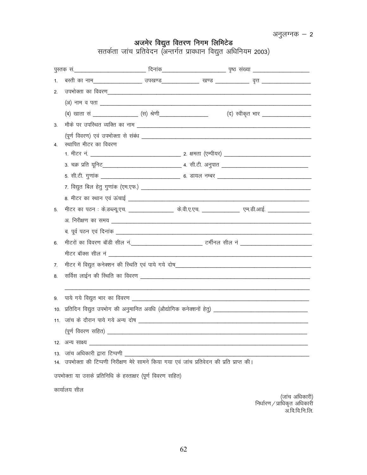अनुलग्नक $-2$ 

अ.वि.वि.नि.लि.

## अजमेर विद्युत वितरण निगम लिमिटेड

सतर्कता जांच प्रतिवेदन (अन्तर्गत प्रावधान विद्युत अधिनियम 2003)

| 1 <sub>1</sub>                                             |                                                                                              |  |  |  |                                                |
|------------------------------------------------------------|----------------------------------------------------------------------------------------------|--|--|--|------------------------------------------------|
| 2.                                                         |                                                                                              |  |  |  |                                                |
|                                                            |                                                                                              |  |  |  |                                                |
|                                                            | (ब) खाता सं ___________________ (स) श्रेण <u>ी __________________________________</u>        |  |  |  | (द) स्वीकृत भार _________________              |
| 3.                                                         |                                                                                              |  |  |  |                                                |
|                                                            |                                                                                              |  |  |  |                                                |
| 4.                                                         | स्थापित मीटर का विवरण                                                                        |  |  |  |                                                |
|                                                            |                                                                                              |  |  |  |                                                |
|                                                            |                                                                                              |  |  |  |                                                |
|                                                            |                                                                                              |  |  |  |                                                |
|                                                            |                                                                                              |  |  |  |                                                |
|                                                            |                                                                                              |  |  |  |                                                |
| 5.                                                         |                                                                                              |  |  |  |                                                |
|                                                            |                                                                                              |  |  |  |                                                |
|                                                            |                                                                                              |  |  |  |                                                |
| 6.                                                         |                                                                                              |  |  |  |                                                |
|                                                            |                                                                                              |  |  |  |                                                |
| 7.                                                         |                                                                                              |  |  |  |                                                |
| 8.                                                         |                                                                                              |  |  |  |                                                |
|                                                            |                                                                                              |  |  |  |                                                |
| 9.                                                         |                                                                                              |  |  |  |                                                |
|                                                            |                                                                                              |  |  |  |                                                |
|                                                            | 11. जांच के दौरान पाये गये अन्य दोष                                                          |  |  |  |                                                |
|                                                            |                                                                                              |  |  |  |                                                |
|                                                            |                                                                                              |  |  |  |                                                |
|                                                            |                                                                                              |  |  |  |                                                |
|                                                            | 13. जांच अधिकारी द्वारा टिप्पणी                                                              |  |  |  |                                                |
|                                                            | 14. उपभोक्ता की टिप्पणी निरीक्षण मेरे सामने किया गया एवं जांच प्रतिवेदन की प्रति प्राप्त की। |  |  |  |                                                |
| उपभोक्ता या उसके प्रतिनिधि के हस्ताक्षर (पूर्ण विवरण सहित) |                                                                                              |  |  |  |                                                |
|                                                            | कार्यालय सील                                                                                 |  |  |  |                                                |
|                                                            |                                                                                              |  |  |  | (जांच अधिकारी)<br>निर्धारण / प्राधिकृत अधिकारी |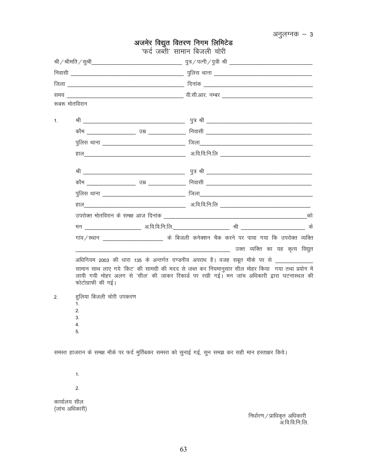| 'फर्द जब्ती' सामान बिजली चोरी |                                                                                       |                                                                                                                                                                                              |  |  |  |
|-------------------------------|---------------------------------------------------------------------------------------|----------------------------------------------------------------------------------------------------------------------------------------------------------------------------------------------|--|--|--|
|                               |                                                                                       |                                                                                                                                                                                              |  |  |  |
|                               |                                                                                       |                                                                                                                                                                                              |  |  |  |
|                               |                                                                                       |                                                                                                                                                                                              |  |  |  |
|                               |                                                                                       |                                                                                                                                                                                              |  |  |  |
| रूबरू मोतविरान                |                                                                                       |                                                                                                                                                                                              |  |  |  |
| 1 <sub>1</sub>                |                                                                                       |                                                                                                                                                                                              |  |  |  |
|                               |                                                                                       |                                                                                                                                                                                              |  |  |  |
|                               |                                                                                       |                                                                                                                                                                                              |  |  |  |
|                               |                                                                                       |                                                                                                                                                                                              |  |  |  |
|                               |                                                                                       |                                                                                                                                                                                              |  |  |  |
|                               |                                                                                       |                                                                                                                                                                                              |  |  |  |
|                               |                                                                                       |                                                                                                                                                                                              |  |  |  |
|                               |                                                                                       |                                                                                                                                                                                              |  |  |  |
|                               |                                                                                       |                                                                                                                                                                                              |  |  |  |
|                               |                                                                                       |                                                                                                                                                                                              |  |  |  |
|                               |                                                                                       |                                                                                                                                                                                              |  |  |  |
|                               |                                                                                       | गांव/स्थान ________________________ के बिजली कनेक्शन चैक करने पर पाया गया कि उपरोक्त व्यक्ति                                                                                                 |  |  |  |
|                               |                                                                                       |                                                                                                                                                                                              |  |  |  |
|                               | अधिनियम 2003 की धारा 135 के अन्तर्गत दण्डनीय अपराध है। वजह सबूत मौके पर से __________ |                                                                                                                                                                                              |  |  |  |
|                               | फोटोग्राफी की गई।                                                                     | सामान साथ लाए गये 'किट' की सामग्री की मदद से जब्त कर नियमानुसार सील मोहर किया गया तथा प्रयोग में<br>लायी गयी मोहर अलग से 'सील' की जाकर रिकार्ड पर रखी गई। मन जांच अधिकारी द्वारा घटनास्थल की |  |  |  |
| 2.                            | हुलिया बिजली चोरी उपकरण                                                               |                                                                                                                                                                                              |  |  |  |
|                               | 1.<br>2.                                                                              |                                                                                                                                                                                              |  |  |  |
|                               | 3.                                                                                    |                                                                                                                                                                                              |  |  |  |
|                               | 4.<br>5.                                                                              |                                                                                                                                                                                              |  |  |  |
|                               |                                                                                       |                                                                                                                                                                                              |  |  |  |
|                               |                                                                                       | समस्त हाजरान के समक्ष मौके पर फर्द मुर्तिबकर समस्त को सुनाई गई, सुन समझ कर सही मान हस्ताक्षर किये।                                                                                           |  |  |  |
|                               | 1.                                                                                    |                                                                                                                                                                                              |  |  |  |
|                               | 2.                                                                                    |                                                                                                                                                                                              |  |  |  |
|                               | कार्यालय सील                                                                          |                                                                                                                                                                                              |  |  |  |

## अजमेर विद्युत वितरण निगम लिमिटेड

'फर्द जब्ती' सामान बिजली चोरी

कार्यालय सील (जांच अधिकारी)

> निर्धारण $\,$  प्राधिकृत अधिकारी अ.वि.वि.नि.लि.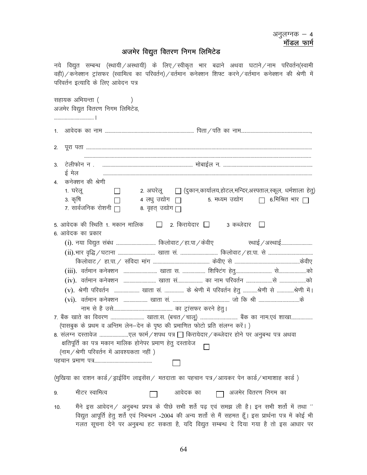# अजमेर विद्युत वितरण निगम लिमिटेड

नये विद्युत सम्बन्ध (स्थायी /अस्थायी) के लिए / स्वीकृत भार बढाने अथवा घटाने / नाम परिवर्तन(स्वामी ogh)/कनेक्शन ट्रांसफर (स्वामित्व का परिवर्तन)/वर्तमान कनेक्शन शिफ्ट करने/वर्तमान कनेक्शन की श्रेणी में परिवर्तन इत्यादि के लिए आवेदन पत्र

| सहायक अभियन्ता ( )<br>अजमेर विद्युत वितरण निगम लिमिटेड, |                                                                                                                                                                                                                                         |  |  |  |
|---------------------------------------------------------|-----------------------------------------------------------------------------------------------------------------------------------------------------------------------------------------------------------------------------------------|--|--|--|
|                                                         |                                                                                                                                                                                                                                         |  |  |  |
|                                                         |                                                                                                                                                                                                                                         |  |  |  |
| 3.                                                      |                                                                                                                                                                                                                                         |  |  |  |
|                                                         | ई मेल<br>4. कनेक्शन की श्रेणी                                                                                                                                                                                                           |  |  |  |
|                                                         | 1. घरेलू<br>$\Box$ 2. अघरेलू $\Box$ (दुकान,कार्यालय,होटल,मन्दिर,अस्पताल,स्कूल, धर्मशाला हेतु)<br>5. मध्यम उद्योग $\Box$ 6.मिश्रित भार $\Box$<br>3. कृषि<br>$\Box$ 4  लधु उद्योग $\Box$<br>7. सार्वजनिक रोशनी $\Box$<br>8. वृहत् उद्योग∏ |  |  |  |
|                                                         | 5. आवेदक की स्थिति 1. मकान मालिक $\qquad \Box$ 2. किरायेदार $\Box$ 3 कब्जेदार<br>$\Box$                                                                                                                                                 |  |  |  |
|                                                         | 6. आवेदक का प्रकार                                                                                                                                                                                                                      |  |  |  |
|                                                         |                                                                                                                                                                                                                                         |  |  |  |
|                                                         |                                                                                                                                                                                                                                         |  |  |  |
|                                                         |                                                                                                                                                                                                                                         |  |  |  |
|                                                         |                                                                                                                                                                                                                                         |  |  |  |
|                                                         |                                                                                                                                                                                                                                         |  |  |  |
|                                                         | (v). श्रेणी परिवर्तन  खाता सं.  के श्रेणी में परिवर्तन हेतु श्रेणी से श्रेणी में।                                                                                                                                                       |  |  |  |
|                                                         |                                                                                                                                                                                                                                         |  |  |  |
|                                                         |                                                                                                                                                                                                                                         |  |  |  |
|                                                         |                                                                                                                                                                                                                                         |  |  |  |
|                                                         | (पासबुक के प्रथम व अन्तिम लेन–देन के पृष्ठ की प्रमाणित फोटो प्रति संलग्न करें। )                                                                                                                                                        |  |  |  |
|                                                         |                                                                                                                                                                                                                                         |  |  |  |
|                                                         | क्षतिपूर्ति का पत्र मकान मालिक होनेपर प्रमाण हेतु दस्तावेज                                                                                                                                                                              |  |  |  |
|                                                         | (नाम / श्रेणी परिवर्तन में आवश्यकता नहीं)                                                                                                                                                                                               |  |  |  |
|                                                         |                                                                                                                                                                                                                                         |  |  |  |
|                                                         | (मुखिया का राशन कार्ड/ड्राईविंग लाइसेंस/ मतदाता का पहचान पत्र/आयकर पेन कार्ड/भामाशाह कार्ड)                                                                                                                                             |  |  |  |
| 9.                                                      | मीटर स्वामित्व<br>आवेदक का निया अजमेर वितरण निगम का                                                                                                                                                                                     |  |  |  |
| 10.                                                     | ." मैंने इस आवेदन / अनुबन्ध प्रपत्र के पीछे सभी शर्ते पढ़ एवं समझ ली है। इन सभी शर्तो में तथा<br>विद्युत आपूर्ति हेतु शर्ते एवं निबन्धन -2004 की अन्य शर्तो से मैं सहमत हूँ। इस प्रार्थना पत्र में कोई भी                               |  |  |  |

गलत सूचना देने पर अनुबन्ध हट सकता है, यदि विद्युत सम्बन्ध दे दिया गया है तो इस आधार पर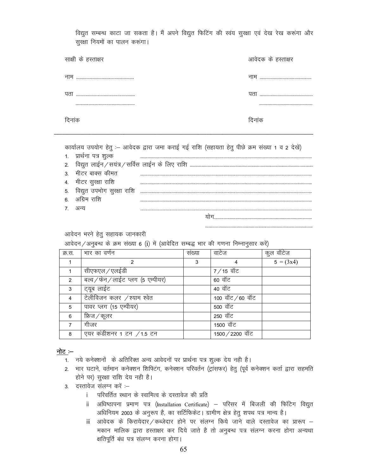विद्युत सम्बन्ध काटा जा सकता है। मैं अपने विद्युत फिटिंग की स्वयं सुरक्षा एवं देख रेख करूंगा और सुरक्षा नियमों का पालन करूंगा।

| साक्षी के हस्ताक्षर | आवेदक के हस्ताक्षर |
|---------------------|--------------------|
|                     |                    |
|                     |                    |
|                     |                    |
| दिनांक              | दिनांक             |

कार्यालय उपयोग हेतु :– आवेदक द्वारा जमा कराई गई राशि (सहायता हेतु पीछे क्रम संख्या 1 व 2 देखें)

 $\overline{\phantom{a}}$  , and the contract of the contract of the contract of the contract of the contract of the contract of the contract of the contract of the contract of the contract of the contract of the contract of the contrac

- 1- izkFk Zuk i= 'kqYd ----------------------------------------------------------------------------------------------------------------------------------------------
- 2- fo|qr ykbZu@l;a=@lfoZl ykb Zu ds fy, jkf'k ------------------------------------------------------------------------------------------------------
- 3- ehVj ckDl dher ----------------------------------------------------------------------------------------------------------------------------------------------
- 4- ehVj lqj{kk jkf'k ----------------------------------------------------------------------------------------------------------------------------------------------
- 5- fo|qr miHkksx lqj{kk jkf'k ----------------------------------------------------------------------------------------------------------------------------------------------
- 6. अग्रिम राशि
- 7. अन्य

;ksx---------------------------------------------------------------------------------

-----------------------------------------------------------------------------------------

आवेदन भरने हेतु सहायक जानकारी

आवेदन/अनुबन्ध के क्रम संख्या 6 (i) में (आवेदित सम्बद्ध भार की गणना निम्नानुसार करें)

| क्र.स.         | भार का वर्णन                       | संख्या | वाटेज              | कुल वॉटेज   |
|----------------|------------------------------------|--------|--------------------|-------------|
|                |                                    | 3      | 4                  | $5 = (3x4)$ |
|                | सीएफएल / एलईडी                     |        | 7 ⁄ 15 वॉट         |             |
| 2              | बल्व / फेन / लाईट प्लग (5 एम्पीयर) |        | 60 वॉट             |             |
| 3              | ट्यूब लाईट                         |        | 40 वॉट             |             |
| $\overline{4}$ | टेलीविजन कलर /श्याम श्वेत          |        | $100$ वॉट / 60 वॉट |             |
| 5              | पावर प्लग (15 एम्पीयर)             |        | 500 वॉट            |             |
| 6              | फ्रिज ∕ कूलर                       |        | 250 वॉट            |             |
| $\overline{7}$ | गीजर                               |        | 1500 वॉट           |             |
| 8              | एयर कडीशनर 1 टन $/1.5$ टन          |        | 1500 / 2200 वॉट    |             |

#### नोट $:$   $-$

- 1. नये कनेक्शनों के अतिरिक्त अन्य आवेदनों पर प्रार्थना पत्र शुल्क देय नही है।
- 2. भार घटाने, वर्तमान कनेक्शन शिफिटंग, कनेक्शन परिवर्तन (ट्रांसफर) हेतु (पूर्व कनेक्शन कर्ता द्वारा सहमति होने पर) सुरक्षा राशि देय नही है।
- 3. दस्तावेज संलग्न करें :-
	- i परिवर्तित स्थान के स्वामित्व के दस्तावेज की प्रति
	- ii अधिष्ठापना प्रमाण पत्र (Installation Certificate) परिसर में बिजली की फिंटिग विद्युत अधिनियम 2003 के अनुरूप है, का सर्टिफिकेट। ग्रामीण क्षेत्र हेतू शपथ पत्र मान्य है।
	- iii आवेदक के किरायेदार/कब्जेदार होने पर संलग्न किये जाने वाले दस्तावेज का प्रारूप मकान मालिक द्वारा हस्ताक्षर कर दिये जाते है तो अनुबन्ध पत्र संलग्न करना होगा अन्यथा क्षतिपूर्ति बंध पत्र संलग्न करना होगा।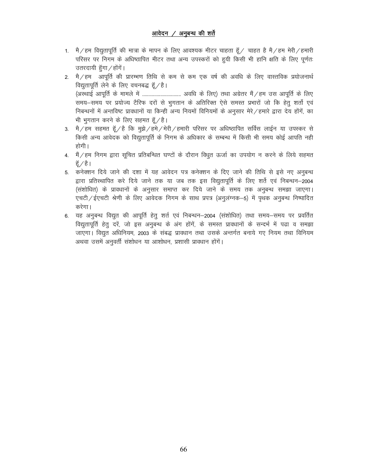#### आवेदन / अनुबन्ध की शर्ते

- 1. मै / हम विद्युतापूर्ति की मात्रा के मापन के लिए आवश्यक मीटर चाहता हूँ / चाहत है मै / हम मेरी / हमारी परिसर पर निगम के अधिष्ठापित मीटर तथा अन्य उपस्करों को हुयी किसी भी हानि क्षति के लिए पूर्णतः उतरदायी हॅगा / होंगें।
- 2. मै/हम आपूर्ति की प्रारम्भण तिथि से कम से कम एक वर्ष की अवधि के लिए वास्तविक प्रयोजनार्थ विद्युतापूर्ति लेने के लिए वचनबद्ध हूँ/है। समय-समय पर प्रयोज्य टैरिफ दरों से भगतान के अतिरिक्त ऐसे समस्त प्रभारों जो कि हेतु शर्तो एवं निबन्धनों में अन्तविष्ट प्रावधानों या किन्ही अन्य नियमों विनियमों के अनुसार मेरे / हमारे द्वारा देय होंगें, का भी भगतान करने के लिए सहमत हूँ/है।
- 3. मै/हम सहमत हूँ/है कि मुझे/हमे/मेरी/हमारी परिसर पर अधिष्ठापित सर्विस लाईन या उपस्कर से किसी अन्य आवेदक को विद्युतापूर्ति के निगम के अधिकार के सम्बन्ध में किसी भी समय कोई आपति नही होगी।
- 4. मैं/हम निगम द्वारा सूचित प्रतिबन्धित घण्टों के दौरान विधुत ऊर्जा का उपयोग न करने के लिये सहमत हॅं / है।
- 5. कनेक्शन दिये जाने की दशा में यह आवेदन पत्र कनेक्शन के दिए जाने की तिथि से इसे नए अनुबन्ध द्वारा प्रतिस्थापित करे दिये जाने तक या जब तक इस विद्युतापूर्ति के लिए शर्ते एवं निबन्धन–2004 (संशोधित) के प्रावधानों के अनुसार समाप्त कर दिये जाने के समय तक अनुबन्ध समझा जाएगा। एचटी / ईएचटी श्रेणी के लिए आवेदक निगम के साथ प्रपत्र (अनुलंग्नक–5) में पृथक अनुबन्ध निष्पादित करेगा।
- 6. यह अनुबन्ध विद्युत की आपूर्ति हेतु शर्त एवं निबन्धन–2004 (संशोधित) तथा समय–समय पर प्रवर्तित विद्युतापूर्ति हेतु दरें, जो इस अनुबन्ध के अंग होंगें, के समस्त प्रावधानों के सन्दर्भ में पढा व समझा जाएगा। विद्युत अधिनियम, 2003 के संबद्ध प्रावधान तथा उसके अन्तर्गत बनाये गए नियम तथा विनियम अथवा उसमें अनुवर्ती संशोधन या आशोधन, प्रशासी प्रावधान होंगें।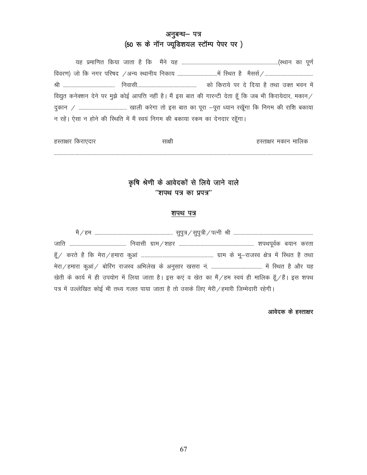# अनुबन्ध– पत्र<br>(50 रू के नॉन ज्यूडिशयल स्टॉम्प पेपर पर)

| [विद्युत कनेक्शन देने पर मुझे कोई आपत्ति नहीं है। मैं इस बात की गारन्टी देता हूँ कि जब भी किरायेदार, मकान |  |  |  |  |  |  |  |  |
|-----------------------------------------------------------------------------------------------------------|--|--|--|--|--|--|--|--|
|                                                                                                           |  |  |  |  |  |  |  |  |
| न रहें। ऐसा न होने की स्थिति में मैं स्वयं निगम की बकाया रकम का देनदार रहूँगा।                            |  |  |  |  |  |  |  |  |

| हस्ताक्षर किराएदार | साक्षी | हस्ताक्षर मकान मालिक |
|--------------------|--------|----------------------|
|                    |        |                      |

## कृषि श्रेणी के आवेदकों से लिये जाने वाले "शपथ पत्र का प्रपत्र"

### शपथ पत्र

|                                                                                           | खेती के कार्य में ही उपयोग में लिया जाता है। इस कए व खेत का मैं/हम स्वयं ही मालिक हूँ/हैं। इस शपथ |
|-------------------------------------------------------------------------------------------|---------------------------------------------------------------------------------------------------|
| पत्र में उल्लेखित कोई भी तथ्य गलत पाया जाता है तो उसके लिए मेरी / हमारी जिम्मेदारी रहेगी। |                                                                                                   |

आवेदक के हस्ताक्षर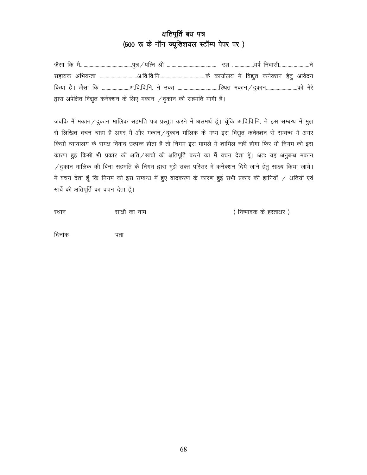## क्षतिपूर्ति बंध पत्र (500 रू के नॉन ज्यूडिशयल स्टॉम्प पेपर पर)

द्वारा अपेक्षित विद्युत कनेक्शन के लिए मकान / दुकान की सहमति मांगी है।

जबकि मैं मकान/दुकान मालिक सहमति पत्र प्रस्तुत करने में असमर्थ हूँ। चूँकि अ.वि.वि.नि, ने इस सम्बन्ध में मुझ से लिखित वचन चाहा है अगर मैं और मकान/दुकान मालिक के मध्य इस विद्युत कनेक्शन से सम्बन्ध में अगर किसी न्यायालय के समक्ष विवाद उत्पन्न होता है तो निगम इस मामले में शामिल नहीं होगा फिर भी निगम को इस कारण हुई किसी भी प्रकार की क्षति / खर्चो की क्षतिपूर्ति करने का मैं वचन देता हूँ। अतः यह अनुबन्ध मकान  $\sqrt{3}$ कान मालिक की बिना सहमति के निगम द्वारा मुझे उक्त परिसर में कनेक्शन दिये जाने हेतु साक्ष्य किया जाये। मैं वचन देता हूँ कि निगम को इस सम्बन्ध में हुए वादकरण के कारण हुई सभी प्रकार की हानियों / क्षतियों एवं खर्चे की क्षतिपूर्ति का वचन देता हूँ।

(निष्पादक के हस्ताक्षर)

साक्षी का नाम

दिनांक पता

स्थान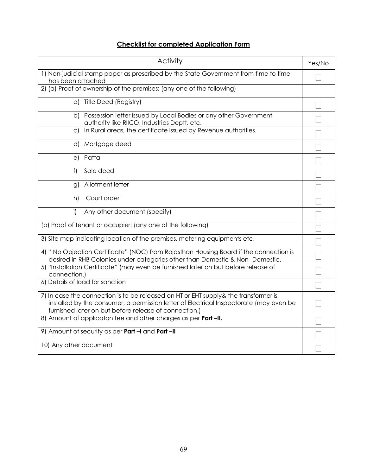## **Checklist for completed Application Form**

| Activity                                                                                                                                                                                                                               | Yes/No |  |  |
|----------------------------------------------------------------------------------------------------------------------------------------------------------------------------------------------------------------------------------------|--------|--|--|
| 1) Non-judicial stamp paper as prescribed by the State Government from time to time<br>has been attached                                                                                                                               |        |  |  |
| 2) (a) Proof of ownership of the premises: (any one of the following)                                                                                                                                                                  |        |  |  |
| a) Title Deed (Registry)                                                                                                                                                                                                               |        |  |  |
| b)<br>Possession letter issued by Local Bodies or any other Government<br>authority like RIICO, Industries Deptt. etc.                                                                                                                 |        |  |  |
| In Rural areas, the certificate issued by Revenue authorities.<br>$\circ$                                                                                                                                                              |        |  |  |
| d) Mortgage deed                                                                                                                                                                                                                       |        |  |  |
| Patta<br>e)                                                                                                                                                                                                                            |        |  |  |
| Sale deed<br>f                                                                                                                                                                                                                         |        |  |  |
| Allotment letter<br>g)                                                                                                                                                                                                                 |        |  |  |
| Court order<br>h)                                                                                                                                                                                                                      |        |  |  |
| Any other document (specify)<br>i)                                                                                                                                                                                                     |        |  |  |
| (b) Proof of tenant or occupier: (any one of the following)                                                                                                                                                                            |        |  |  |
| 3) Site map indicating location of the premises, metering equipments etc.                                                                                                                                                              |        |  |  |
| 4) " No Objection Certificate" (NOC) from Rajasthan Housing Board if the connection is<br>desired in RHB Colonies under categories other than Domestic & Non-Domestic.                                                                 |        |  |  |
| 5) "Installation Certificate" (may even be furnished later on but before release of<br>connection.)                                                                                                                                    |        |  |  |
| 6) Details of load for sanction                                                                                                                                                                                                        |        |  |  |
| 7) In case the connection is to be released on HT or EHT supply& the transformer is<br>installed by the consumer, a permission letter of Electrical Inspectorate (may even be<br>furnished later on but before release of connection.) |        |  |  |
| 8) Amount of applicaton fee and other charges as per Part-II.                                                                                                                                                                          |        |  |  |
| 9) Amount of security as per Part -I and Part -II                                                                                                                                                                                      |        |  |  |
| 10) Any other document                                                                                                                                                                                                                 |        |  |  |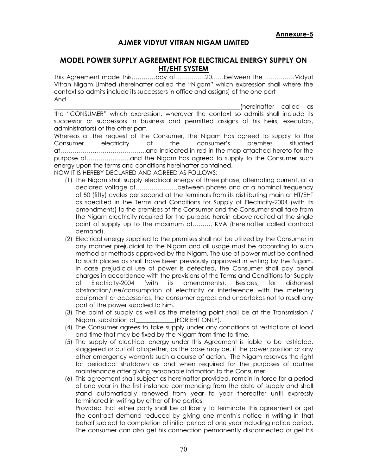#### **AJMER VIDYUT VITRAN NIGAM LIMITED**

#### **MODEL POWER SUPPLY AGREEMENT FOR ELECTRICAL ENERGY SUPPLY ON HT/EHT SYSTEM**

This Agreement made this…………day of……………20……between the ……………Vidyut Vitran Nigam Limited (hereinafter called the "Nigam" which expression shall where the context so admits include its successors in office and assigns) of the one part And

\_\_\_\_\_\_\_\_\_\_\_\_\_\_\_\_\_\_\_\_\_\_\_\_\_\_\_\_\_\_\_\_\_\_\_\_\_\_\_\_\_\_\_\_\_\_\_\_\_\_\_\_\_\_\_\_\_\_\_\_\_\_(hereinafter called as the "CONSUMER" which expression, wherever the context so admits shall include its successor or successors in business and permitted assigns of his heirs, executors, administrators) of the other part.

Whereas at the request of the Consumer, the Nigam has agreed to supply to the Consumer electricity at the consumer's premises situated Consumer electricity at the consumer's premises situated at…………………………………….and indicated in red in the map attached hereto for the purpose of………………….and the Nigam has agreed to supply to the Consumer such energy upon the terms and conditions hereinafter contained.

NOW IT IS HEREBY DECLARED AND AGREED AS FOLLOWS:

- (1) The Nigam shall supply electrical energy of three phase, alternating current, at a declared voltage of…………………between phases and at a nominal frequency of 50 (fifty) cycles per second at the terminals from its distributing main at HT/EHT as specified in the Terms and Conditions for Supply of Electricity-2004 (with its amendments) to the premises of the Consumer and the Consumer shall take from the Nigam electricity required for the purpose herein above recited at the single point of supply up to the maximum of………. KVA (hereinafter called contract demand).
- (2) Electrical energy supplied to the premises shall not be utilized by the Consumer in any manner prejudicial to the Nigam and all usage must be according to such method or methods approved by the Nigam. The use of power must be confined to such places as shall have been previously approved in writing by the Nigam. In case prejudicial use of power is detected, the Consumer shall pay penal charges in accordance with the provisions of the Terms and Conditions for Supply of Electricity-2004 (with its amendments). Besides, for dishonest abstraction/use/consumption of electricity or interference with the metering equipment or accessories, the consumer agrees and undertakes not to resell any part of the power supplied to him.
- (3) The point of supply as well as the metering point shall be at the Transmission / Nigam, substation at\_\_\_\_\_\_\_\_\_\_\_\_\_(FOR EHT ONLY).
- (4) The Consumer agrees to take supply under any conditions of restrictions of load and time that may be fixed by the Nigam from time to time.
- (5) The supply of electrical energy under this Agreement is liable to be restricted, staggered or cut off altogether, as the case may be, if the power position or any other emergency warrants such a course of action. The Nigam reserves the right for periodical shutdown as and when required for the purposes of routine maintenance after giving reasonable intimation to the Consumer.
- (6) This agreement shall subject as hereinafter provided, remain in force for a period of one year in the first instance commencing from the date of supply and shall stand automatically renewed from year to year thereafter until expressly terminated in writing by either of the parties.

Provided that either party shall be at liberty to terminate this agreement or get the contract demand reduced by giving one month's notice in writing in that behalf subject to completion of initial period of one year including notice period. The consumer can also get his connection permanently disconnected or get his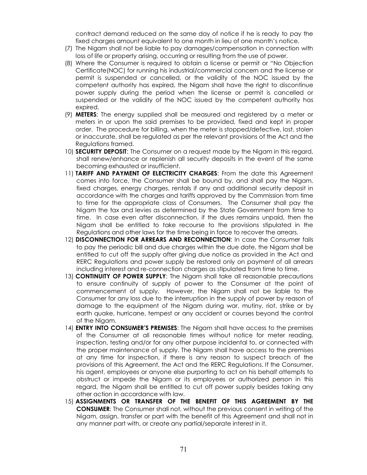contract demand reduced on the same day of notice if he is ready to pay the fixed charges amount equivalent to one month in lieu of one month's notice.

- (7) The Nigam shall not be liable to pay damages/compensation in connection with loss of life or property arising, occurring or resulting from the use of power.
- (8) Where the Consumer is required to obtain a license or permit or "No Objection Certificate(NOC) for running his industrial/commercial concern and the license or permit is suspended or cancelled, or the validity of the NOC issued by the competent authority has expired, the Nigam shall have the right to discontinue power supply during the period when the license or permit is cancelled or suspended or the validity of the NOC issued by the competent authority has expired.
- (9) **METERS**: The energy supplied shall be measured and registered by a meter or meters in or upon the said premises to be provided, fixed and kept in proper order. The procedure for billing, when the meter is stopped/defective, lost, stolen or inaccurate, shall be regulated as per the relevant provisions of the Act and the Regulations framed.
- 10) **SECURITY DEPOSIT**: The Consumer on a request made by the Nigam in this regard, shall renew/enhance or replenish all security deposits in the event of the same becoming exhausted or insufficient.
- 11) **TARIFF AND PAYMENT OF ELECTRICITY CHARGES**: From the date this Agreement comes into force, the Consumer shall be bound by, and shall pay the Nigam, fixed charges, energy charges, rentals if any and additional security deposit in accordance with the charges and tariffs approved by the Commission from time to time for the appropriate class of Consumers. The Consumer shall pay the Nigam the tax and levies as determined by the State Government from time to time. In case even after disconnection, if the dues remains unpaid, then the Nigam shall be entitled to take recourse to the provisions stipulated in the Regulations and other laws for the time being in force to recover the arrears.
- 12) **DISCONNECTION FOR ARREARS AND RECONNECTION:** In case the Consumer fails to pay the periodic bill and due charges within the due date, the Nigam shall be entitled to cut off the supply after giving due notice as provided in the Act and RERC Regulations and power supply be restored only on payment of all arrears including interest and re-connection charges as stipulated from time to time.
- 13) **CONTINUITY OF POWER SUPPLY**: The Nigam shall take all reasonable precautions to ensure continuity of supply of power to the Consumer at the point of commencement of supply. However, the Nigam shall not be liable to the Consumer for any loss due to the interruption in the supply of power by reason of damage to the equipment of the Nigam during war, mutiny, riot, strike or by earth quake, hurricane, tempest or any accident or courses beyond the control of the Nigam.
- 14) **ENTRY INTO CONSUMER'S PREMISES**: The Nigam shall have access to the premises of the Consumer at all reasonable times without notice for meter reading, inspection, testing and/or for any other purpose incidental to, or connected with the proper maintenance of supply. The Nigam shall have access to the premises at any time for inspection, if there is any reason to suspect breach of the provisions of this Agreement, the Act and the RERC Regulations. If the Consumer, his agent, employees or anyone else purporting to act on his behalf attempts to obstruct or impede the Nigam or its employees or authorized person in this regard, the Nigam shall be entitled to cut off power supply besides taking any other action in accordance with law.
- 15) **ASSIGNMENTS OR TRANSFER OF THE BENEFIT OF THIS AGREEMENT BY THE CONSUMER**: The Consumer shall not, without the previous consent in writing of the Nigam, assign, transfer or part with the benefit of this Agreement and shall not in any manner part with, or create any partial/separate interest in it.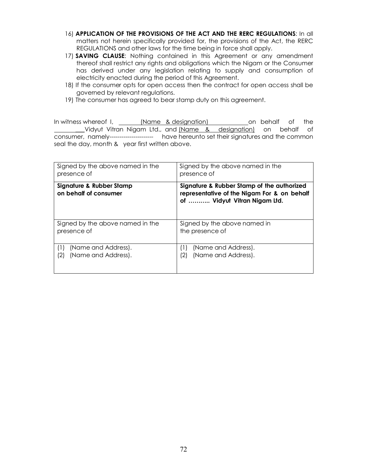- 16) **APPLICATION OF THE PROVISIONS OF THE ACT AND THE RERC REGULATIONS**: In all matters not herein specifically provided for, the provisions of the Act, the RERC REGULATIONS and other laws for the time being in force shall apply.
- 17) **SAVING CLAUSE**: Nothing contained in this Agreement or any amendment thereof shall restrict any rights and obligations which the Nigam or the Consumer has derived under any legislation relating to supply and consumption of electricity enacted during the period of this Agreement.
- 18) If the consumer opts for open access then the contract for open access shall be governed by relevant regulations.
- 19) The consumer has agreed to bear stamp duty on this agreement.

In witness whereof I, \_\_\_\_\_\_(Name & designation) \_\_\_\_\_\_\_\_\_\_\_on behalf of the Vidyut Vitran Nigam Ltd., and (Name & designation) on behalf of consumer, namely---------------------- have hereunto set their signatures and the common seal the day, month & year first written above.

| Signed by the above named in the                         | Signed by the above named in the                                                                                          |  |  |  |  |
|----------------------------------------------------------|---------------------------------------------------------------------------------------------------------------------------|--|--|--|--|
| presence of                                              | presence of                                                                                                               |  |  |  |  |
| Signature & Rubber Stamp<br>on behalf of consumer        | Signature & Rubber Stamp of the authorized<br>representative of the Nigam For & on behalf<br>of  Vidyut Vitran Nigam Ltd. |  |  |  |  |
| Signed by the above named in the                         | Signed by the above named in                                                                                              |  |  |  |  |
| presence of                                              | the presence of                                                                                                           |  |  |  |  |
| (Name and Address).<br>(1)<br>(Name and Address).<br>(2) | (Name and Address).<br>(2)<br>(Name and Address).                                                                         |  |  |  |  |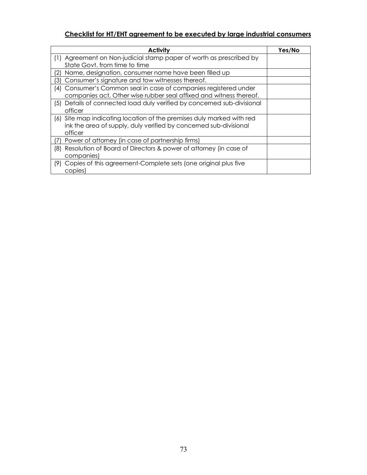## **Checklist for HT/EHT agreement to be executed by large industrial consumers**

| Activity                                                                | Yes/No |
|-------------------------------------------------------------------------|--------|
| (1) Agreement on Non-judicial stamp paper of worth as prescribed by     |        |
| State Govt, from time to time                                           |        |
| Name, designation, consumer name have been filled up<br>(2)             |        |
| Consumer's signature and tow witnesses thereof.<br>(3)                  |        |
| (4) Consumer's Common seal in case of companies registered under        |        |
| companies act, Other wise rubber seal affixed and witness thereof.      |        |
| (5) Details of connected load duly verified by concerned sub-divisional |        |
| officer                                                                 |        |
| (6) Site map indicating location of the premises duly marked with red   |        |
| ink the area of supply, duly verified by concerned sub-divisional       |        |
| officer                                                                 |        |
| Power of attorney (in case of partnership firms)                        |        |
| Resolution of Board of Directors & power of attorney (in case of<br>(8) |        |
| companies)                                                              |        |
| Copies of this agreement-Complete sets (one original plus five<br>(9)   |        |
| copies)                                                                 |        |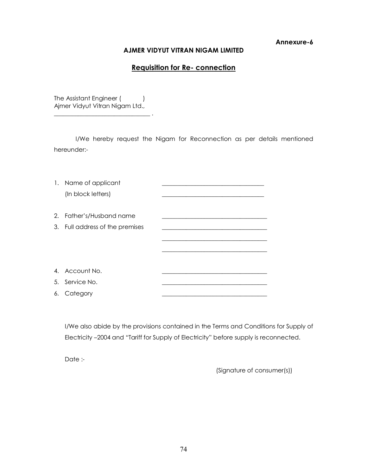#### **Annexure-6**

#### **AJMER VIDYUT VITRAN NIGAM LIMITED**

#### **Requisition for Re- connection**

The Assistant Engineer () Ajmer Vidyut Vitran Nigam Ltd., \_\_\_\_\_\_\_\_\_\_\_\_\_\_\_\_\_\_\_\_\_\_\_\_\_\_\_\_\_\_\_\_ .

I/We hereby request the Nigam for Reconnection as per details mentioned hereunder:-

| 1. Name of applicant            |  |
|---------------------------------|--|
| (In block letters)              |  |
| 2. Father's/Husband name        |  |
| 3. Full address of the premises |  |
|                                 |  |
|                                 |  |
| 4. Account No.                  |  |
| 5. Service No.                  |  |
| 6. Category                     |  |

I/We also abide by the provisions contained in the Terms and Conditions for Supply of Electricity –2004 and "Tariff for Supply of Electricity" before supply is reconnected.

Date :-

(Signature of consumer(s))